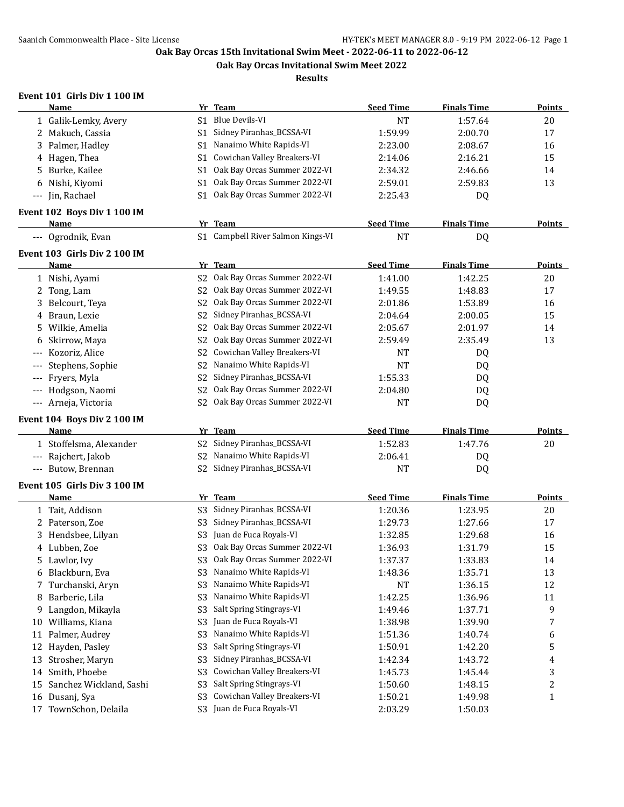**Oak Bay Orcas Invitational Swim Meet 2022**

**Results**

# **Event 101 Girls Div 1 100 IM**

|                                          | <b>Name</b>                  |                | Yr Team                           | <b>Seed Time</b> | <b>Finals Time</b> | <b>Points</b> |
|------------------------------------------|------------------------------|----------------|-----------------------------------|------------------|--------------------|---------------|
|                                          | 1 Galik-Lemky, Avery         | S1             | <b>Blue Devils-VI</b>             | <b>NT</b>        | 1:57.64            | 20            |
|                                          | 2 Makuch, Cassia             | S1             | Sidney Piranhas_BCSSA-VI          | 1:59.99          | 2:00.70            | 17            |
| 3                                        | Palmer, Hadley               | S1             | Nanaimo White Rapids-VI           | 2:23.00          | 2:08.67            | 16            |
|                                          | 4 Hagen, Thea                | S1             | Cowichan Valley Breakers-VI       | 2:14.06          | 2:16.21            | 15            |
| 5.                                       | Burke, Kailee                | S1             | Oak Bay Orcas Summer 2022-VI      | 2:34.32          | 2:46.66            | 14            |
| 6                                        | Nishi, Kiyomi                | S1             | Oak Bay Orcas Summer 2022-VI      | 2:59.01          | 2:59.83            | 13            |
| $\hspace{0.05cm} \ldots \hspace{0.05cm}$ | Jin, Rachael                 | S1             | Oak Bay Orcas Summer 2022-VI      | 2:25.43          | DQ                 |               |
|                                          |                              |                |                                   |                  |                    |               |
|                                          | Event 102 Boys Div 1 100 IM  |                |                                   |                  |                    |               |
|                                          | Name                         |                | Yr Team                           | <b>Seed Time</b> | <b>Finals Time</b> | <b>Points</b> |
|                                          | --- Ogrodnik, Evan           |                | S1 Campbell River Salmon Kings-VI | <b>NT</b>        | DQ                 |               |
|                                          | Event 103 Girls Div 2 100 IM |                |                                   |                  |                    |               |
|                                          | <b>Name</b>                  |                | Yr Team                           | <b>Seed Time</b> | <b>Finals Time</b> | <b>Points</b> |
|                                          | 1 Nishi, Ayami               | S <sub>2</sub> | Oak Bay Orcas Summer 2022-VI      | 1:41.00          | 1:42.25            | 20            |
|                                          | 2 Tong, Lam                  | S2             | Oak Bay Orcas Summer 2022-VI      | 1:49.55          | 1:48.83            | 17            |
|                                          | 3 Belcourt, Teya             | S2             | Oak Bay Orcas Summer 2022-VI      | 2:01.86          | 1:53.89            | 16            |
|                                          | 4 Braun, Lexie               | S2             | Sidney Piranhas_BCSSA-VI          | 2:04.64          | 2:00.05            | 15            |
| 5.                                       | Wilkie, Amelia               | S <sub>2</sub> | Oak Bay Orcas Summer 2022-VI      | 2:05.67          | 2:01.97            | 14            |
| 6                                        | Skirrow, Maya                | S <sub>2</sub> | Oak Bay Orcas Summer 2022-VI      | 2:59.49          | 2:35.49            | 13            |
|                                          | Kozoriz, Alice               | S <sub>2</sub> | Cowichan Valley Breakers-VI       | <b>NT</b>        | DQ                 |               |
|                                          | Stephens, Sophie             | S <sub>2</sub> | Nanaimo White Rapids-VI           | <b>NT</b>        | DQ                 |               |
| $---$                                    | Fryers, Myla                 | S2             | Sidney Piranhas_BCSSA-VI          | 1:55.33          | DQ                 |               |
| $---$                                    | Hodgson, Naomi               | S <sub>2</sub> | Oak Bay Orcas Summer 2022-VI      | 2:04.80          | DQ                 |               |
| $\hspace{0.05cm} \ldots \hspace{0.05cm}$ | Arneja, Victoria             | S <sub>2</sub> | Oak Bay Orcas Summer 2022-VI      | <b>NT</b>        | DQ                 |               |
|                                          |                              |                |                                   |                  |                    |               |
|                                          | Event 104 Boys Div 2 100 IM  |                |                                   |                  |                    |               |
|                                          | Name                         |                | Yr Team                           | <b>Seed Time</b> | <b>Finals Time</b> | Points        |
|                                          | 1 Stoffelsma, Alexander      | S2             | Sidney Piranhas_BCSSA-VI          | 1:52.83          | 1:47.76            | 20            |
| $---$                                    | Rajchert, Jakob              |                | S2 Nanaimo White Rapids-VI        | 2:06.41          | DQ                 |               |
|                                          | Butow, Brennan               | S <sub>2</sub> | Sidney Piranhas_BCSSA-VI          | <b>NT</b>        | DQ                 |               |
|                                          | Event 105 Girls Div 3 100 IM |                |                                   |                  |                    |               |
|                                          | <b>Name</b>                  |                | Yr Team                           | <b>Seed Time</b> | <b>Finals Time</b> | <b>Points</b> |
|                                          | 1 Tait, Addison              | S <sub>3</sub> | Sidney Piranhas_BCSSA-VI          | 1:20.36          | 1:23.95            | 20            |
|                                          | 2 Paterson, Zoe              | S3             | Sidney Piranhas_BCSSA-VI          | 1:29.73          | 1:27.66            | 17            |
|                                          | 3 Hendsbee, Lilyan           | S3             | Juan de Fuca Royals-VI            | 1:32.85          | 1:29.68            | 16            |
|                                          | 4 Lubben, Zoe                |                | S3 Oak Bay Orcas Summer 2022-VI   | 1:36.93          | 1:31.79            | 15            |
|                                          | 5 Lawlor, Ivy                |                | S3 Oak Bay Orcas Summer 2022-VI   | 1:37.37          | 1:33.83            | 14            |
|                                          | 6 Blackburn, Eva             | S3             | Nanaimo White Rapids-VI           | 1:48.36          | 1:35.71            | 13            |
|                                          | 7 Turchanski, Aryn           | S <sub>3</sub> | Nanaimo White Rapids-VI           | <b>NT</b>        | 1:36.15            | 12            |
| 8                                        | Barberie, Lila               | S <sub>3</sub> | Nanaimo White Rapids-VI           | 1:42.25          | 1:36.96            | 11            |
| 9                                        | Langdon, Mikayla             | S <sub>3</sub> | Salt Spring Stingrays-VI          | 1:49.46          | 1:37.71            | 9             |
|                                          | 10 Williams, Kiana           | S <sub>3</sub> | Juan de Fuca Royals-VI            | 1:38.98          | 1:39.90            | 7             |
| 11                                       | Palmer, Audrey               | S <sub>3</sub> | Nanaimo White Rapids-VI           | 1:51.36          | 1:40.74            |               |
| 12                                       | Hayden, Pasley               | S <sub>3</sub> | Salt Spring Stingrays-VI          | 1:50.91          | 1:42.20            | 6<br>5        |
|                                          |                              |                | Sidney Piranhas_BCSSA-VI          |                  |                    |               |
| 13                                       | Strosher, Maryn              | S <sub>3</sub> | Cowichan Valley Breakers-VI       | 1:42.34          | 1:43.72            | 4             |
| 14                                       | Smith, Phoebe                | S <sub>3</sub> |                                   | 1:45.73          | 1:45.44            | 3             |
| 15                                       | Sanchez Wickland, Sashi      | S <sub>3</sub> | Salt Spring Stingrays-VI          | 1:50.60          | 1:48.15            | 2             |
|                                          | 16 Dusanj, Sya               | S <sub>3</sub> | Cowichan Valley Breakers-VI       | 1:50.21          | 1:49.98            | 1             |
| 17                                       | TownSchon, Delaila           | S3             | Juan de Fuca Royals-VI            | 2:03.29          | 1:50.03            |               |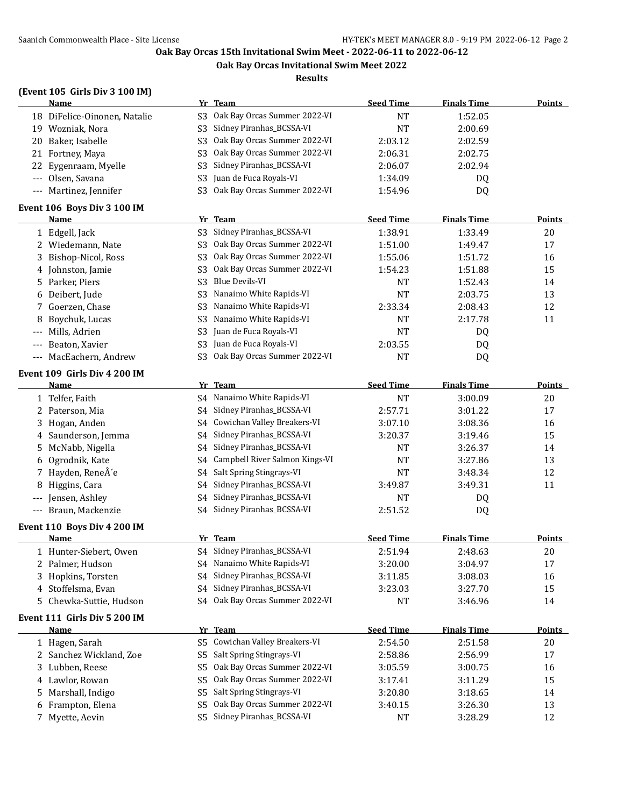**Oak Bay Orcas Invitational Swim Meet 2022**

**Results**

## **(Event 105 Girls Div 3 100 IM)**

|                                          | <b>Name</b>                          |                | Yr Team                         | <b>Seed Time</b> | <b>Finals Time</b> | Points        |
|------------------------------------------|--------------------------------------|----------------|---------------------------------|------------------|--------------------|---------------|
|                                          | 18 DiFelice-Oinonen, Natalie         | S <sub>3</sub> | Oak Bay Orcas Summer 2022-VI    | <b>NT</b>        | 1:52.05            |               |
|                                          | 19 Wozniak, Nora                     | S <sub>3</sub> | Sidney Piranhas_BCSSA-VI        | <b>NT</b>        | 2:00.69            |               |
|                                          | 20 Baker, Isabelle                   | S <sub>3</sub> | Oak Bay Orcas Summer 2022-VI    | 2:03.12          | 2:02.59            |               |
|                                          | 21 Fortney, Maya                     | S <sub>3</sub> | Oak Bay Orcas Summer 2022-VI    | 2:06.31          | 2:02.75            |               |
| 22                                       | Eygenraam, Myelle                    | S <sub>3</sub> | Sidney Piranhas_BCSSA-VI        | 2:06.07          | 2:02.94            |               |
|                                          | Olsen, Savana                        | S <sub>3</sub> | Juan de Fuca Royals-VI          | 1:34.09          | DQ                 |               |
| $---$                                    | Martinez, Jennifer                   | S3             | Oak Bay Orcas Summer 2022-VI    | 1:54.96          | DQ                 |               |
|                                          | Event 106 Boys Div 3 100 IM          |                |                                 |                  |                    |               |
|                                          | <b>Name</b>                          |                | Yr Team                         | <b>Seed Time</b> | <b>Finals Time</b> | <b>Points</b> |
|                                          | 1 Edgell, Jack                       | S <sub>3</sub> | Sidney Piranhas_BCSSA-VI        | 1:38.91          | 1:33.49            | 20            |
|                                          | 2 Wiedemann, Nate                    | S3             | Oak Bay Orcas Summer 2022-VI    | 1:51.00          | 1:49.47            | 17            |
|                                          | 3 Bishop-Nicol, Ross                 | S <sub>3</sub> | Oak Bay Orcas Summer 2022-VI    | 1:55.06          | 1:51.72            | 16            |
|                                          | 4 Johnston, Jamie                    | S <sub>3</sub> | Oak Bay Orcas Summer 2022-VI    | 1:54.23          | 1:51.88            | 15            |
|                                          | 5 Parker, Piers                      | S <sub>3</sub> | <b>Blue Devils-VI</b>           | <b>NT</b>        | 1:52.43            | 14            |
| 6                                        | Deibert, Jude                        | S <sub>3</sub> | Nanaimo White Rapids-VI         | <b>NT</b>        | 2:03.75            | 13            |
| 7                                        | Goerzen, Chase                       | S <sub>3</sub> | Nanaimo White Rapids-VI         | 2:33.34          | 2:08.43            | 12            |
| 8                                        | Boychuk, Lucas                       | S <sub>3</sub> | Nanaimo White Rapids-VI         | <b>NT</b>        | 2:17.78            | 11            |
| $---$                                    | Mills, Adrien                        | S <sub>3</sub> | Juan de Fuca Royals-VI          | <b>NT</b>        | DQ                 |               |
| $---$                                    | Beaton, Xavier                       | S <sub>3</sub> | Juan de Fuca Royals-VI          | 2:03.55          | DQ                 |               |
| $---$                                    | MacEachern, Andrew                   | S3             | Oak Bay Orcas Summer 2022-VI    | <b>NT</b>        | DQ                 |               |
|                                          |                                      |                |                                 |                  |                    |               |
|                                          | Event 109 Girls Div 4 200 IM<br>Name |                | Yr Team                         | <b>Seed Time</b> | <b>Finals Time</b> | <b>Points</b> |
|                                          | 1 Telfer, Faith                      |                | S4 Nanaimo White Rapids-VI      | <b>NT</b>        | 3:00.09            | $20\,$        |
|                                          | 2 Paterson, Mia                      | S4             | Sidney Piranhas_BCSSA-VI        | 2:57.71          | 3:01.22            | 17            |
| 3                                        | Hogan, Anden                         | S4             | Cowichan Valley Breakers-VI     | 3:07.10          | 3:08.36            | 16            |
|                                          | 4 Saunderson, Jemma                  | S4             | Sidney Piranhas_BCSSA-VI        | 3:20.37          | 3:19.46            | 15            |
|                                          | McNabb, Nigella                      | S4             | Sidney Piranhas_BCSSA-VI        |                  | 3:26.37            | 14            |
| 5.<br>6                                  | Ogrodnik, Kate                       | S4             | Campbell River Salmon Kings-VI  | NT<br><b>NT</b>  | 3:27.86            | 13            |
|                                          | Hayden, ReneÂ'e                      | S4             | Salt Spring Stingrays-VI        | <b>NT</b>        | 3:48.34            | 12            |
|                                          | Higgins, Cara                        | S4             | Sidney Piranhas_BCSSA-VI        | 3:49.87          | 3:49.31            | 11            |
| 8                                        | Jensen, Ashley                       | S4             | Sidney Piranhas_BCSSA-VI        | <b>NT</b>        |                    |               |
| $---$                                    | Braun, Mackenzie                     |                | S4 Sidney Piranhas_BCSSA-VI     |                  | DQ                 |               |
| $\hspace{0.05cm} \ldots \hspace{0.05cm}$ |                                      |                |                                 | 2:51.52          | DQ                 |               |
|                                          | Event 110 Boys Div 4 200 IM          |                |                                 |                  |                    |               |
|                                          | <b>Name</b>                          |                | Yr Team                         | <b>Seed Time</b> | <b>Finals Time</b> | <b>Points</b> |
|                                          | 1 Hunter-Siebert, Owen               |                | S4 Sidney Piranhas_BCSSA-VI     | 2:51.94          | 2:48.63            | 20            |
|                                          | 2 Palmer, Hudson                     |                | S4 Nanaimo White Rapids-VI      | 3:20.00          | 3:04.97            | 17            |
|                                          | 3 Hopkins, Torsten                   | S4             | Sidney Piranhas_BCSSA-VI        | 3:11.85          | 3:08.03            | 16            |
|                                          | 4 Stoffelsma, Evan                   | S4             | Sidney Piranhas_BCSSA-VI        | 3:23.03          | 3:27.70            | 15            |
|                                          | 5 Chewka-Suttie, Hudson              |                | S4 Oak Bay Orcas Summer 2022-VI | <b>NT</b>        | 3:46.96            | 14            |
|                                          | Event 111 Girls Div 5 200 IM         |                |                                 |                  |                    |               |
|                                          | <b>Name</b>                          |                | Yr Team                         | <b>Seed Time</b> | <b>Finals Time</b> | <b>Points</b> |
|                                          | 1 Hagen, Sarah                       | S <sub>5</sub> | Cowichan Valley Breakers-VI     | 2:54.50          | 2:51.58            | $20\,$        |
|                                          | 2 Sanchez Wickland, Zoe              | S5             | Salt Spring Stingrays-VI        | 2:58.86          | 2:56.99            | $17\,$        |
|                                          | 3 Lubben, Reese                      | S5             | Oak Bay Orcas Summer 2022-VI    | 3:05.59          | 3:00.75            | 16            |
|                                          | 4 Lawlor, Rowan                      | S5             | Oak Bay Orcas Summer 2022-VI    | 3:17.41          | 3:11.29            | 15            |
|                                          | 5 Marshall, Indigo                   | S <sub>5</sub> | Salt Spring Stingrays-VI        | 3:20.80          | 3:18.65            | 14            |
|                                          | 6 Frampton, Elena                    | S5             | Oak Bay Orcas Summer 2022-VI    | 3:40.15          | 3:26.30            | 13            |
|                                          | 7 Myette, Aevin                      |                | S5 Sidney Piranhas_BCSSA-VI     | <b>NT</b>        | 3:28.29            | 12            |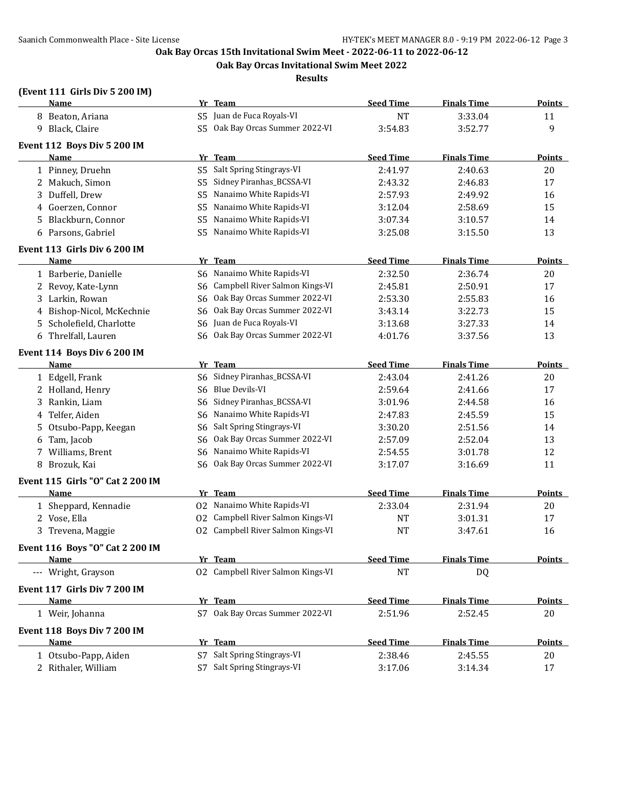**Oak Bay Orcas Invitational Swim Meet 2022**

**Results**

## **(Event 111 Girls Div 5 200 IM)**

|    | <b>Name</b>                          |     | Yr Team                           | <b>Seed Time</b> | <b>Finals Time</b> | <b>Points</b> |
|----|--------------------------------------|-----|-----------------------------------|------------------|--------------------|---------------|
|    | 8 Beaton, Ariana                     |     | S5 Juan de Fuca Royals-VI         | <b>NT</b>        | 3:33.04            | 11            |
|    | 9 Black, Claire                      |     | S5 Oak Bay Orcas Summer 2022-VI   | 3:54.83          | 3:52.77            | 9             |
|    | Event 112 Boys Div 5 200 IM          |     |                                   |                  |                    |               |
|    | Name                                 |     | Yr Team                           | <b>Seed Time</b> | <b>Finals Time</b> | <b>Points</b> |
|    | 1 Pinney, Druehn                     | S5  | Salt Spring Stingrays-VI          | 2:41.97          | 2:40.63            | 20            |
|    | 2 Makuch, Simon                      | S5  | Sidney Piranhas_BCSSA-VI          | 2:43.32          | 2:46.83            | 17            |
| 3  | Duffell, Drew                        | S5  | Nanaimo White Rapids-VI           | 2:57.93          | 2:49.92            | 16            |
| 4  | Goerzen, Connor                      | S5  | Nanaimo White Rapids-VI           | 3:12.04          | 2:58.69            | 15            |
| 5. | Blackburn, Connor                    | S5  | Nanaimo White Rapids-VI           | 3:07.34          | 3:10.57            | 14            |
|    | 6 Parsons, Gabriel                   | S5. | Nanaimo White Rapids-VI           | 3:25.08          | 3:15.50            | 13            |
|    | Event 113 Girls Div 6 200 IM         |     |                                   |                  |                    |               |
|    | Name                                 |     | Yr Team                           | <b>Seed Time</b> | <b>Finals Time</b> | <b>Points</b> |
|    | 1 Barberie, Danielle                 |     | S6 Nanaimo White Rapids-VI        | 2:32.50          | 2:36.74            | 20            |
|    | 2 Revoy, Kate-Lynn                   | S6  | Campbell River Salmon Kings-VI    | 2:45.81          | 2:50.91            | 17            |
| 3  | Larkin, Rowan                        | S6  | Oak Bay Orcas Summer 2022-VI      | 2:53.30          | 2:55.83            | 16            |
| 4  | Bishop-Nicol, McKechnie              | S6  | Oak Bay Orcas Summer 2022-VI      | 3:43.14          | 3:22.73            | 15            |
| 5. | Scholefield, Charlotte               | S6  | Juan de Fuca Royals-VI            | 3:13.68          | 3:27.33            | 14            |
|    | 6 Threlfall, Lauren                  | S6  | Oak Bay Orcas Summer 2022-VI      | 4:01.76          | 3:37.56            | 13            |
|    | Event 114 Boys Div 6 200 IM          |     |                                   |                  |                    |               |
|    | Name                                 |     | Yr Team                           | <b>Seed Time</b> | <b>Finals Time</b> | <b>Points</b> |
|    | 1 Edgell, Frank                      | S6  | Sidney Piranhas_BCSSA-VI          | 2:43.04          | 2:41.26            | 20            |
|    | 2 Holland, Henry                     | S6  | <b>Blue Devils-VI</b>             | 2:59.64          | 2:41.66            | 17            |
| 3  | Rankin, Liam                         | S6  | Sidney Piranhas_BCSSA-VI          | 3:01.96          | 2:44.58            | 16            |
| 4  | Telfer, Aiden                        | S6  | Nanaimo White Rapids-VI           | 2:47.83          | 2:45.59            | 15            |
| 5. | Otsubo-Papp, Keegan                  | S6  | Salt Spring Stingrays-VI          | 3:30.20          | 2:51.56            | 14            |
| 6  | Tam, Jacob                           | S6  | Oak Bay Orcas Summer 2022-VI      | 2:57.09          | 2:52.04            | 13            |
| 7  | Williams, Brent                      | S6  | Nanaimo White Rapids-VI           | 2:54.55          | 3:01.78            | 12            |
|    | 8 Brozuk, Kai                        | S6  | Oak Bay Orcas Summer 2022-VI      | 3:17.07          | 3:16.69            | 11            |
|    | Event 115 Girls "O" Cat 2 200 IM     |     |                                   |                  |                    |               |
|    | Name                                 |     | Yr Team                           | <b>Seed Time</b> | <b>Finals Time</b> | <b>Points</b> |
|    | 1 Sheppard, Kennadie                 |     | 02 Nanaimo White Rapids-VI        | 2:33.04          | 2:31.94            | 20            |
|    | 2 Vose, Ella                         |     | 02 Campbell River Salmon Kings-VI | NT               | 3:01.31            | 17            |
|    | 3 Trevena, Maggie                    |     | 02 Campbell River Salmon Kings-VI | <b>NT</b>        | 3:47.61            | 16            |
|    | Event 116 Boys "O" Cat 2 200 IM      |     |                                   |                  |                    |               |
|    | <u>Name</u>                          |     | <u>Yr Team </u>                   | <u>Seed Time</u> | <u>Finals Time</u> | <u>Points</u> |
|    | --- Wright, Grayson                  |     | 02 Campbell River Salmon Kings-VI | NT               | DQ                 |               |
|    |                                      |     |                                   |                  |                    |               |
|    | Event 117 Girls Div 7 200 IM<br>Name |     | Yr Team                           | <b>Seed Time</b> | <b>Finals Time</b> | <b>Points</b> |
|    | 1 Weir, Johanna                      |     | S7 Oak Bay Orcas Summer 2022-VI   | 2:51.96          | 2:52.45            | 20            |
|    |                                      |     |                                   |                  |                    |               |
|    | Event 118 Boys Div 7 200 IM          |     |                                   |                  |                    |               |
|    | Name                                 |     | Yr Team                           | <b>Seed Time</b> | <b>Finals Time</b> | <b>Points</b> |
|    | 1 Otsubo-Papp, Aiden                 |     | S7 Salt Spring Stingrays-VI       | 2:38.46          | 2:45.55            | 20            |
|    | 2 Rithaler, William                  |     | S7 Salt Spring Stingrays-VI       | 3:17.06          | 3:14.34            | 17            |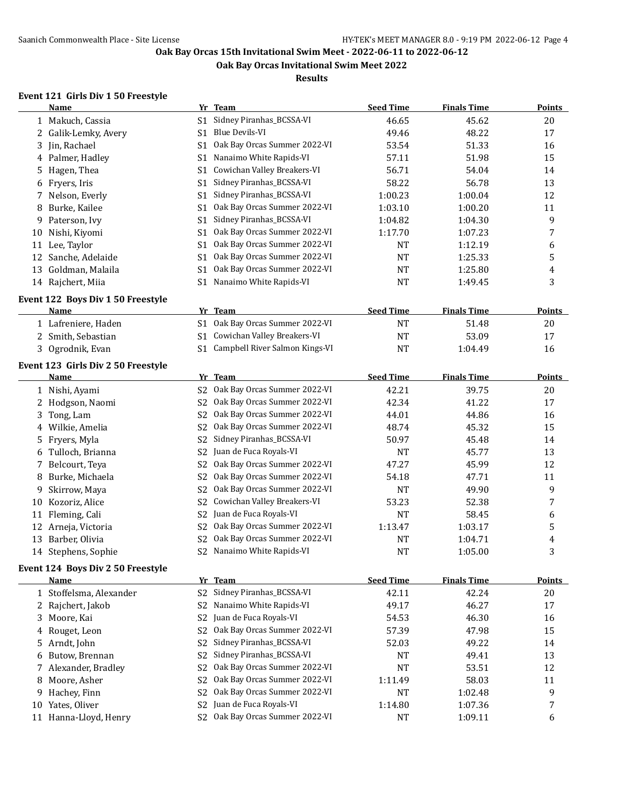**Oak Bay Orcas Invitational Swim Meet 2022**

**Results**

## **Event 121 Girls Div 1 50 Freestyle**

|    | Name                               |                | Yr Team                           | <b>Seed Time</b> | <b>Finals Time</b> | <b>Points</b> |
|----|------------------------------------|----------------|-----------------------------------|------------------|--------------------|---------------|
|    | 1 Makuch, Cassia                   | S <sub>1</sub> | Sidney Piranhas_BCSSA-VI          | 46.65            | 45.62              | 20            |
| 2  | Galik-Lemky, Avery                 | S1             | <b>Blue Devils-VI</b>             | 49.46            | 48.22              | 17            |
| 3  | Jin, Rachael                       | S1             | Oak Bay Orcas Summer 2022-VI      | 53.54            | 51.33              | 16            |
| 4  | Palmer, Hadley                     | S1             | Nanaimo White Rapids-VI           | 57.11            | 51.98              | 15            |
| 5. | Hagen, Thea                        | S1             | Cowichan Valley Breakers-VI       | 56.71            | 54.04              | 14            |
| 6  | Fryers, Iris                       | S <sub>1</sub> | Sidney Piranhas_BCSSA-VI          | 58.22            | 56.78              | 13            |
| 7  | Nelson, Everly                     | S <sub>1</sub> | Sidney Piranhas_BCSSA-VI          | 1:00.23          | 1:00.04            | 12            |
| 8  | Burke, Kailee                      | S <sub>1</sub> | Oak Bay Orcas Summer 2022-VI      | 1:03.10          | 1:00.20            | 11            |
| 9  | Paterson, Ivy                      | S <sub>1</sub> | Sidney Piranhas_BCSSA-VI          | 1:04.82          | 1:04.30            | 9             |
| 10 | Nishi, Kiyomi                      | S <sub>1</sub> | Oak Bay Orcas Summer 2022-VI      | 1:17.70          | 1:07.23            | 7             |
|    | 11 Lee, Taylor                     | S <sub>1</sub> | Oak Bay Orcas Summer 2022-VI      | <b>NT</b>        | 1:12.19            | 6             |
| 12 | Sanche, Adelaide                   | S <sub>1</sub> | Oak Bay Orcas Summer 2022-VI      | <b>NT</b>        | 1:25.33            | 5             |
| 13 | Goldman, Malaila                   | S <sub>1</sub> | Oak Bay Orcas Summer 2022-VI      | <b>NT</b>        | 1:25.80            | 4             |
|    | 14 Rajchert, Miia                  | S1             | Nanaimo White Rapids-VI           | <b>NT</b>        | 1:49.45            | 3             |
|    |                                    |                |                                   |                  |                    |               |
|    | Event 122 Boys Div 1 50 Freestyle  |                |                                   |                  |                    |               |
|    | <b>Name</b>                        |                | Yr Team                           | <b>Seed Time</b> | <b>Finals Time</b> | <b>Points</b> |
|    | 1 Lafreniere, Haden                |                | S1 Oak Bay Orcas Summer 2022-VI   | <b>NT</b>        | 51.48              | 20            |
|    | 2 Smith, Sebastian                 | S <sub>1</sub> | Cowichan Valley Breakers-VI       | <b>NT</b>        | 53.09              | 17            |
|    | 3 Ogrodnik, Evan                   |                | S1 Campbell River Salmon Kings-VI | <b>NT</b>        | 1:04.49            | 16            |
|    | Event 123 Girls Div 2 50 Freestyle |                |                                   |                  |                    |               |
|    | <b>Name</b>                        |                | Yr Team                           | <b>Seed Time</b> | <b>Finals Time</b> | <b>Points</b> |
|    | 1 Nishi, Ayami                     | S <sub>2</sub> | Oak Bay Orcas Summer 2022-VI      | 42.21            | 39.75              | 20            |
| 2  | Hodgson, Naomi                     | S <sub>2</sub> | Oak Bay Orcas Summer 2022-VI      | 42.34            | 41.22              | 17            |
| 3  | Tong, Lam                          | S <sub>2</sub> | Oak Bay Orcas Summer 2022-VI      | 44.01            | 44.86              | 16            |
| 4  | Wilkie, Amelia                     | S <sub>2</sub> | Oak Bay Orcas Summer 2022-VI      | 48.74            | 45.32              | 15            |
| 5  | Fryers, Myla                       | S <sub>2</sub> | Sidney Piranhas_BCSSA-VI          | 50.97            | 45.48              | 14            |
| 6  | Tulloch, Brianna                   | S <sub>2</sub> | Juan de Fuca Royals-VI            | <b>NT</b>        | 45.77              | 13            |
| 7  | Belcourt, Teya                     | S <sub>2</sub> | Oak Bay Orcas Summer 2022-VI      | 47.27            | 45.99              | 12            |
| 8  | Burke, Michaela                    | S <sub>2</sub> | Oak Bay Orcas Summer 2022-VI      | 54.18            | 47.71              | 11            |
| 9  | Skirrow, Maya                      | S <sub>2</sub> | Oak Bay Orcas Summer 2022-VI      | <b>NT</b>        | 49.90              | 9             |
| 10 | Kozoriz, Alice                     | S <sub>2</sub> | Cowichan Valley Breakers-VI       | 53.23            | 52.38              | 7             |
| 11 | Fleming, Cali                      | S <sub>2</sub> | Juan de Fuca Royals-VI            | <b>NT</b>        | 58.45              | 6             |
| 12 | Arneja, Victoria                   | S <sub>2</sub> | Oak Bay Orcas Summer 2022-VI      | 1:13.47          | 1:03.17            | 5             |
| 13 | Barber, Olivia                     | S <sub>2</sub> | Oak Bay Orcas Summer 2022-VI      | <b>NT</b>        | 1:04.71            | 4             |
|    | 14 Stephens, Sophie                | S <sub>2</sub> | Nanaimo White Rapids-VI           | <b>NT</b>        | 1:05.00            | 3             |
|    |                                    |                |                                   |                  |                    |               |
|    | Event 124 Boys Div 2 50 Freestyle  |                |                                   |                  |                    |               |
|    | <b>Name</b>                        |                | Yr Team                           | <b>Seed Time</b> | <b>Finals Time</b> | <b>Points</b> |
|    | 1 Stoffelsma, Alexander            | S <sub>2</sub> | Sidney Piranhas_BCSSA-VI          | 42.11            | 42.24              | 20            |
|    | 2 Rajchert, Jakob                  | S <sub>2</sub> | Nanaimo White Rapids-VI           | 49.17            | 46.27              | 17            |
| 3  | Moore, Kai                         | S <sub>2</sub> | Juan de Fuca Royals-VI            | 54.53            | 46.30              | 16            |
| 4  | Rouget, Leon                       | S <sub>2</sub> | Oak Bay Orcas Summer 2022-VI      | 57.39            | 47.98              | 15            |
| 5  | Arndt, John                        | S <sub>2</sub> | Sidney Piranhas_BCSSA-VI          | 52.03            | 49.22              | 14            |
| 6  | Butow, Brennan                     | S <sub>2</sub> | Sidney Piranhas_BCSSA-VI          | <b>NT</b>        | 49.41              | 13            |
| 7  | Alexander, Bradley                 | S <sub>2</sub> | Oak Bay Orcas Summer 2022-VI      | <b>NT</b>        | 53.51              | 12            |
| 8  | Moore, Asher                       | S <sub>2</sub> | Oak Bay Orcas Summer 2022-VI      | 1:11.49          | 58.03              | 11            |
| 9  | Hachey, Finn                       | S <sub>2</sub> | Oak Bay Orcas Summer 2022-VI      | <b>NT</b>        | 1:02.48            | 9             |
|    | 10 Yates, Oliver                   | S <sub>2</sub> | Juan de Fuca Royals-VI            | 1:14.80          | 1:07.36            | 7             |
|    | 11 Hanna-Lloyd, Henry              | S <sub>2</sub> | Oak Bay Orcas Summer 2022-VI      | <b>NT</b>        | 1:09.11            | 6             |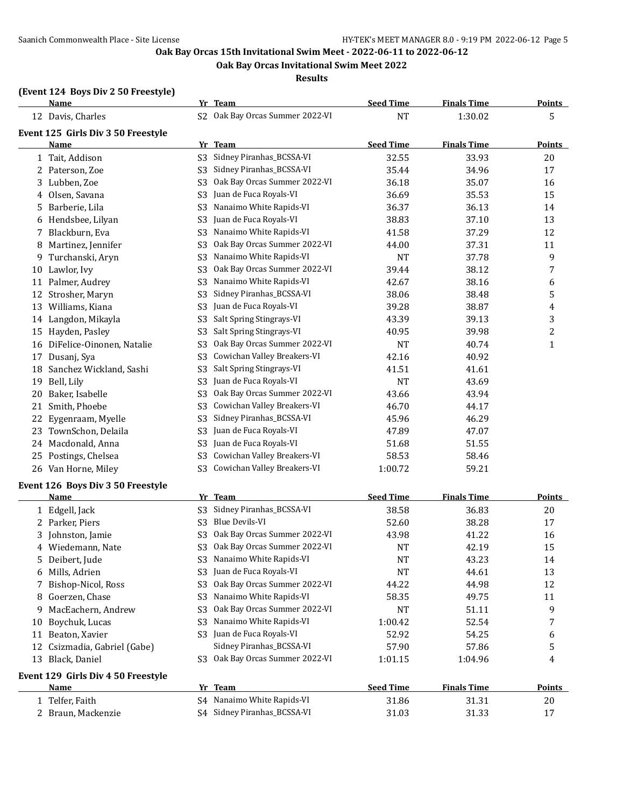**Oak Bay Orcas Invitational Swim Meet 2022**

**Results**

#### **(Event 124 Boys Div 2 50 Freestyle)**

|    | <b>Name</b>                        |                | Yr Team                         | <b>Seed Time</b> | <b>Finals Time</b> | <b>Points</b> |
|----|------------------------------------|----------------|---------------------------------|------------------|--------------------|---------------|
|    | 12 Davis, Charles                  |                | S2 Oak Bay Orcas Summer 2022-VI | <b>NT</b>        | 1:30.02            | 5             |
|    | Event 125 Girls Div 3 50 Freestyle |                |                                 |                  |                    |               |
|    | Name                               |                | Yr Team                         | <b>Seed Time</b> | <b>Finals Time</b> | <b>Points</b> |
|    | 1 Tait, Addison                    | S3             | Sidney Piranhas_BCSSA-VI        | 32.55            | 33.93              | 20            |
|    | 2 Paterson, Zoe                    | S3             | Sidney Piranhas_BCSSA-VI        | 35.44            | 34.96              | 17            |
| 3  | Lubben, Zoe                        | S3             | Oak Bay Orcas Summer 2022-VI    | 36.18            | 35.07              | 16            |
|    | 4 Olsen, Savana                    | S <sub>3</sub> | Juan de Fuca Royals-VI          | 36.69            | 35.53              | 15            |
| 5  | Barberie, Lila                     | S3             | Nanaimo White Rapids-VI         | 36.37            | 36.13              | 14            |
|    | 6 Hendsbee, Lilyan                 | S <sub>3</sub> | Juan de Fuca Royals-VI          | 38.83            | 37.10              | 13            |
| 7  | Blackburn, Eva                     | S3             | Nanaimo White Rapids-VI         | 41.58            | 37.29              | 12            |
| 8  | Martinez, Jennifer                 | S <sub>3</sub> | Oak Bay Orcas Summer 2022-VI    | 44.00            | 37.31              | 11            |
| 9  | Turchanski, Aryn                   | S <sub>3</sub> | Nanaimo White Rapids-VI         | <b>NT</b>        | 37.78              | 9             |
|    | 10 Lawlor, Ivy                     | S <sub>3</sub> | Oak Bay Orcas Summer 2022-VI    | 39.44            | 38.12              | 7             |
|    | 11 Palmer, Audrey                  | S <sub>3</sub> | Nanaimo White Rapids-VI         | 42.67            | 38.16              | 6             |
|    | 12 Strosher, Maryn                 | S3             | Sidney Piranhas_BCSSA-VI        | 38.06            | 38.48              | 5             |
|    | 13 Williams, Kiana                 | S <sub>3</sub> | Juan de Fuca Royals-VI          | 39.28            | 38.87              | 4             |
|    | 14 Langdon, Mikayla                | S <sub>3</sub> | Salt Spring Stingrays-VI        | 43.39            | 39.13              | 3             |
|    | 15 Hayden, Pasley                  | S <sub>3</sub> | Salt Spring Stingrays-VI        | 40.95            | 39.98              | 2             |
|    | 16 DiFelice-Oinonen, Natalie       | S <sub>3</sub> | Oak Bay Orcas Summer 2022-VI    | <b>NT</b>        | 40.74              | $\mathbf{1}$  |
|    | 17 Dusanj, Sya                     | S <sub>3</sub> | Cowichan Valley Breakers-VI     | 42.16            | 40.92              |               |
| 18 | Sanchez Wickland, Sashi            | S <sub>3</sub> | Salt Spring Stingrays-VI        | 41.51            | 41.61              |               |
|    | 19 Bell, Lily                      | S3             | Juan de Fuca Royals-VI          | <b>NT</b>        | 43.69              |               |
| 20 | Baker, Isabelle                    | S <sub>3</sub> | Oak Bay Orcas Summer 2022-VI    | 43.66            | 43.94              |               |
| 21 | Smith, Phoebe                      | S <sub>3</sub> | Cowichan Valley Breakers-VI     | 46.70            | 44.17              |               |
| 22 | Eygenraam, Myelle                  | S <sub>3</sub> | Sidney Piranhas_BCSSA-VI        | 45.96            | 46.29              |               |
| 23 | TownSchon, Delaila                 | S <sub>3</sub> | Juan de Fuca Royals-VI          | 47.89            | 47.07              |               |
|    | 24 Macdonald, Anna                 | S <sub>3</sub> | Juan de Fuca Royals-VI          | 51.68            | 51.55              |               |
| 25 | Postings, Chelsea                  | S <sub>3</sub> | Cowichan Valley Breakers-VI     | 58.53            | 58.46              |               |
|    | 26 Van Horne, Miley                | S3             | Cowichan Valley Breakers-VI     | 1:00.72          | 59.21              |               |
|    | Event 126 Boys Div 3 50 Freestyle  |                |                                 |                  |                    |               |
|    | <b>Name</b>                        |                | Yr Team                         | <b>Seed Time</b> | <b>Finals Time</b> | <b>Points</b> |
|    | 1 Edgell, Jack                     | S3             | Sidney Piranhas_BCSSA-VI        | 38.58            | 36.83              | 20            |
|    | 2 Parker, Piers                    | S <sub>3</sub> | Blue Devils-VI                  | 52.60            | 38.28              | 17            |
| 3  | Johnston, Jamie                    | S <sub>3</sub> | Oak Bay Orcas Summer 2022-VI    | 43.98            | 41.22              | 16            |
|    | 4 Wiedemann, Nate                  |                | S3 Oak Bay Orcas Summer 2022-VI | <b>NT</b>        | 42.19              | 15            |
| 5  | Deibert, Jude                      |                | S3 Nanaimo White Rapids-VI      | <sub>NT</sub>    | 43.23              | 14            |
|    | 6 Mills, Adrien                    | S3             | Juan de Fuca Royals-VI          | <b>NT</b>        | 44.61              | 13            |
| 7  | Bishop-Nicol, Ross                 | S <sub>3</sub> | Oak Bay Orcas Summer 2022-VI    | 44.22            | 44.98              | 12            |
| 8  | Goerzen, Chase                     | S <sub>3</sub> | Nanaimo White Rapids-VI         | 58.35            | 49.75              | 11            |
| 9  | MacEachern, Andrew                 | S <sub>3</sub> | Oak Bay Orcas Summer 2022-VI    | NT               | 51.11              | 9             |
| 10 | Boychuk, Lucas                     | S <sub>3</sub> | Nanaimo White Rapids-VI         | 1:00.42          | 52.54              | 7             |
|    | 11 Beaton, Xavier                  | S3             | Juan de Fuca Royals-VI          | 52.92            | 54.25              | 6             |
|    | 12 Csizmadia, Gabriel (Gabe)       |                | Sidney Piranhas_BCSSA-VI        | 57.90            | 57.86              | 5             |
|    | 13 Black, Daniel                   | S3.            | Oak Bay Orcas Summer 2022-VI    | 1:01.15          | 1:04.96            | 4             |
|    | Event 129 Girls Div 4 50 Freestyle |                |                                 |                  |                    |               |
|    | <b>Name</b>                        |                | Yr Team                         | <b>Seed Time</b> | <b>Finals Time</b> | <b>Points</b> |
|    | 1 Telfer, Faith                    |                | S4 Nanaimo White Rapids-VI      | 31.86            | 31.31              | 20            |
|    | 2 Braun, Mackenzie                 |                | S4 Sidney Piranhas_BCSSA-VI     | 31.03            | 31.33              | 17            |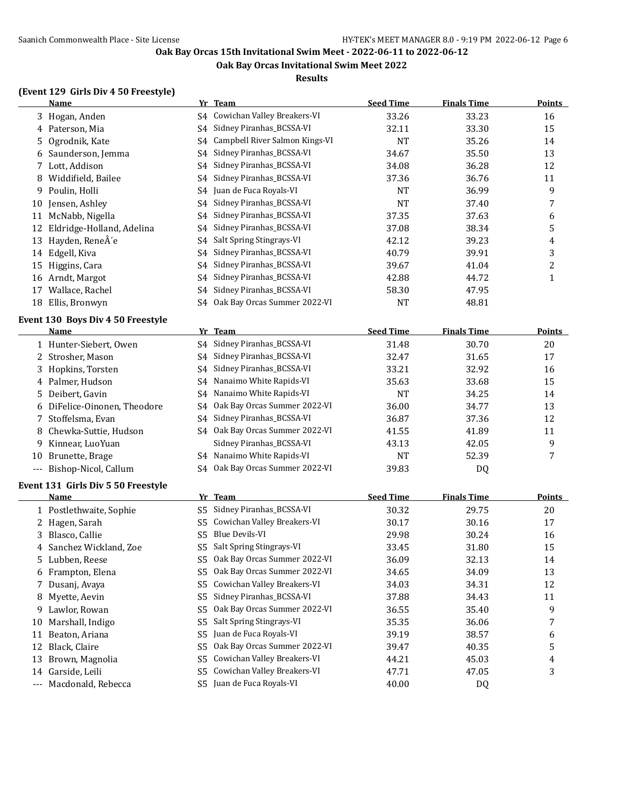**Oak Bay Orcas Invitational Swim Meet 2022**

**Results**

## **(Event 129 Girls Div 4 50 Freestyle)**

|    | <b>Name</b>                        |                | Yr Team                         | <b>Seed Time</b> | <b>Finals Time</b> | <b>Points</b>  |
|----|------------------------------------|----------------|---------------------------------|------------------|--------------------|----------------|
|    | 3 Hogan, Anden                     |                | S4 Cowichan Valley Breakers-VI  | 33.26            | 33.23              | 16             |
|    | 4 Paterson, Mia                    | S4             | Sidney Piranhas_BCSSA-VI        | 32.11            | 33.30              | 15             |
| 5  | Ogrodnik, Kate                     | S4             | Campbell River Salmon Kings-VI  | <b>NT</b>        | 35.26              | 14             |
| 6  | Saunderson, Jemma                  | S4             | Sidney Piranhas_BCSSA-VI        | 34.67            | 35.50              | 13             |
| 7  | Lott, Addison                      | S4             | Sidney Piranhas_BCSSA-VI        | 34.08            | 36.28              | 12             |
| 8  | Widdifield, Bailee                 | S4             | Sidney Piranhas_BCSSA-VI        | 37.36            | 36.76              | 11             |
| 9  | Poulin, Holli                      | S4             | Juan de Fuca Royals-VI          | <b>NT</b>        | 36.99              | 9              |
| 10 | Jensen, Ashley                     | S4             | Sidney Piranhas_BCSSA-VI        | <b>NT</b>        | 37.40              | 7              |
|    | 11 McNabb, Nigella                 | S4             | Sidney Piranhas_BCSSA-VI        | 37.35            | 37.63              | 6              |
|    | 12 Eldridge-Holland, Adelina       | S4             | Sidney Piranhas_BCSSA-VI        | 37.08            | 38.34              | 5              |
| 13 | Hayden, ReneÂ'e                    | S4             | Salt Spring Stingrays-VI        | 42.12            | 39.23              | $\overline{4}$ |
| 14 | Edgell, Kiva                       | S4             | Sidney Piranhas_BCSSA-VI        | 40.79            | 39.91              | 3              |
| 15 | Higgins, Cara                      | S4             | Sidney Piranhas_BCSSA-VI        | 39.67            | 41.04              | $\overline{2}$ |
|    | 16 Arndt, Margot                   | S4             | Sidney Piranhas_BCSSA-VI        | 42.88            | 44.72              | $\mathbf{1}$   |
|    | 17 Wallace, Rachel                 | S4             | Sidney Piranhas_BCSSA-VI        | 58.30            | 47.95              |                |
|    | 18 Ellis, Bronwyn                  | S4             | Oak Bay Orcas Summer 2022-VI    | <b>NT</b>        | 48.81              |                |
|    | Event 130 Boys Div 4 50 Freestyle  |                |                                 |                  |                    |                |
|    | Name                               |                | Yr Team                         | <b>Seed Time</b> | <b>Finals Time</b> | <b>Points</b>  |
|    | 1 Hunter-Siebert, Owen             |                | S4 Sidney Piranhas_BCSSA-VI     | 31.48            | 30.70              | 20             |
|    | 2 Strosher, Mason                  |                | S4 Sidney Piranhas_BCSSA-VI     | 32.47            | 31.65              | 17             |
|    | 3 Hopkins, Torsten                 | S4             | Sidney Piranhas_BCSSA-VI        | 33.21            | 32.92              | 16             |
| 4  | Palmer, Hudson                     | S4             | Nanaimo White Rapids-VI         | 35.63            | 33.68              | 15             |
| 5  | Deibert, Gavin                     | S4             | Nanaimo White Rapids-VI         | <b>NT</b>        | 34.25              | 14             |
|    | 6 DiFelice-Oinonen, Theodore       | S4             | Oak Bay Orcas Summer 2022-VI    | 36.00            | 34.77              | 13             |
| 7  | Stoffelsma, Evan                   | S4             | Sidney Piranhas_BCSSA-VI        | 36.87            | 37.36              | 12             |
| 8  | Chewka-Suttie, Hudson              |                | S4 Oak Bay Orcas Summer 2022-VI | 41.55            | 41.89              | 11             |
| 9  | Kinnear, LuoYuan                   |                | Sidney Piranhas_BCSSA-VI        | 43.13            | 42.05              | 9              |
| 10 | Brunette, Brage                    |                | S4 Nanaimo White Rapids-VI      | <b>NT</b>        | 52.39              | 7              |
|    | --- Bishop-Nicol, Callum           |                | S4 Oak Bay Orcas Summer 2022-VI | 39.83            | DQ                 |                |
|    |                                    |                |                                 |                  |                    |                |
|    | Event 131 Girls Div 5 50 Freestyle |                |                                 |                  |                    |                |
|    | Name                               |                | Yr Team                         | <b>Seed Time</b> | <b>Finals Time</b> | <b>Points</b>  |
|    | 1 Postlethwaite, Sophie            | S5             | Sidney Piranhas_BCSSA-VI        | 30.32            | 29.75              | 20             |
|    | 2 Hagen, Sarah                     | S5             | Cowichan Valley Breakers-VI     | 30.17            | 30.16              | 17             |
| 3  | Blasco, Callie                     | S <sub>5</sub> | <b>Blue Devils-VI</b>           | 29.98            | 30.24              | 16             |
|    | 4 Sanchez Wickland, Zoe            |                | S5 Salt Spring Stingrays-VI     | 33.45            | 31.80              | 15             |
| 5  | Lubben, Reese                      | S5             | Oak Bay Orcas Summer 2022-VI    | 36.09            | 32.13              | 14             |
|    | 6 Frampton, Elena                  | S5             | Oak Bay Orcas Summer 2022-VI    | 34.65            | 34.09              | 13             |
| 7  | Dusanj, Avaya                      | S5             | Cowichan Valley Breakers-VI     | 34.03            | 34.31              | 12             |
| 8  | Myette, Aevin                      | S5             | Sidney Piranhas_BCSSA-VI        | 37.88            | 34.43              | 11             |
| 9  | Lawlor, Rowan                      | S <sub>5</sub> | Oak Bay Orcas Summer 2022-VI    | 36.55            | 35.40              | 9              |
| 10 | Marshall, Indigo                   | S5             | Salt Spring Stingrays-VI        | 35.35            | 36.06              | 7              |
| 11 | Beaton, Ariana                     | S5             | Juan de Fuca Royals-VI          | 39.19            | 38.57              | 6              |
|    | 12 Black, Claire                   | S5             | Oak Bay Orcas Summer 2022-VI    | 39.47            | 40.35              | 5              |
| 13 | Brown, Magnolia                    | S5             | Cowichan Valley Breakers-VI     | 44.21            | 45.03              | 4              |
|    | 14 Garside, Leili                  | S5             | Cowichan Valley Breakers-VI     | 47.71            | 47.05              | 3              |
|    | --- Macdonald, Rebecca             | S <sub>5</sub> | Juan de Fuca Royals-VI          | 40.00            | DQ                 |                |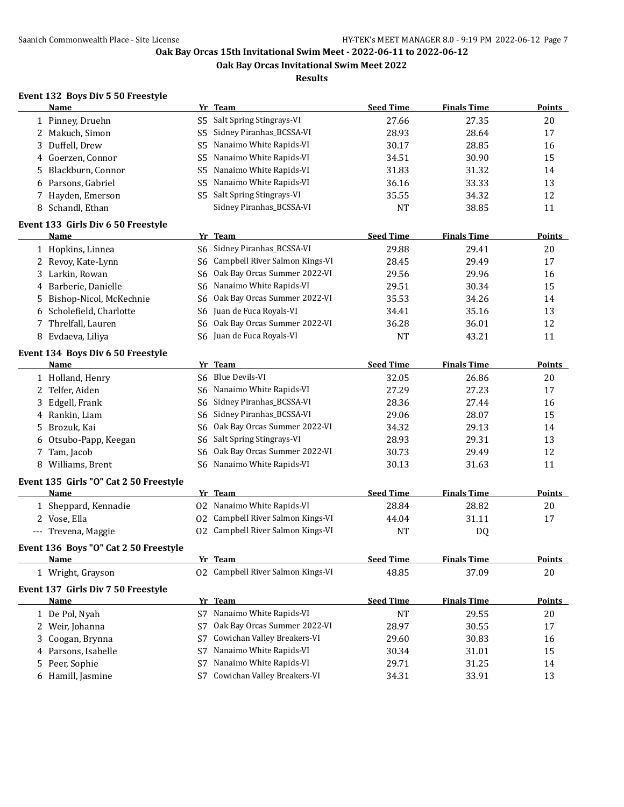**Oak Bay Orcas Invitational Swim Meet 2022**

#### **Results**

# **Event 132 Boys Div 5 50 Freestyle**

| Name                                   |                | Yr Team                            | <b>Seed Time</b> | <b>Finals Time</b> | <b>Points</b> |
|----------------------------------------|----------------|------------------------------------|------------------|--------------------|---------------|
| 1 Pinney, Druehn                       | S <sub>5</sub> | Salt Spring Stingrays-VI           | 27.66            | 27.35              | 20            |
| 2 Makuch, Simon                        | S5             | Sidney Piranhas_BCSSA-VI           | 28.93            | 28.64              | 17            |
| Duffell, Drew<br>3                     | S5             | Nanaimo White Rapids-VI            | 30.17            | 28.85              | 16            |
| 4 Goerzen, Connor                      | S5             | Nanaimo White Rapids-VI            | 34.51            | 30.90              | 15            |
| Blackburn, Connor<br>5                 | S5             | Nanaimo White Rapids-VI            | 31.83            | 31.32              | 14            |
| 6 Parsons, Gabriel                     | S5             | Nanaimo White Rapids-VI            | 36.16            | 33.33              | 13            |
| 7 Hayden, Emerson                      | S <sub>5</sub> | Salt Spring Stingrays-VI           | 35.55            | 34.32              | 12            |
| 8 Schandl, Ethan                       |                | Sidney Piranhas_BCSSA-VI           | <b>NT</b>        | 38.85              | 11            |
| Event 133 Girls Div 6 50 Freestyle     |                |                                    |                  |                    |               |
| Name                                   |                | Yr Team                            | <b>Seed Time</b> | <b>Finals Time</b> | <b>Points</b> |
| 1 Hopkins, Linnea                      | S6             | Sidney Piranhas_BCSSA-VI           | 29.88            | 29.41              | 20            |
| 2 Revoy, Kate-Lynn                     | S6             | Campbell River Salmon Kings-VI     | 28.45            | 29.49              | 17            |
| 3 Larkin, Rowan                        | S6             | Oak Bay Orcas Summer 2022-VI       | 29.56            | 29.96              | 16            |
| 4 Barberie, Danielle                   | S6             | Nanaimo White Rapids-VI            | 29.51            | 30.34              | 15            |
| Bishop-Nicol, McKechnie<br>5.          | S6             | Oak Bay Orcas Summer 2022-VI       | 35.53            | 34.26              | 14            |
| 6 Scholefield, Charlotte               |                | S6 Juan de Fuca Royals-VI          | 34.41            | 35.16              | 13            |
| Threlfall, Lauren<br>7                 | S6             | Oak Bay Orcas Summer 2022-VI       | 36.28            | 36.01              | 12            |
| 8 Evdaeva, Liliya                      |                | S6 Juan de Fuca Royals-VI          | <b>NT</b>        | 43.21              | 11            |
|                                        |                |                                    |                  |                    |               |
| Event 134 Boys Div 6 50 Freestyle      |                |                                    |                  |                    |               |
| <b>Name</b>                            |                | Yr Team                            | <b>Seed Time</b> | <b>Finals Time</b> | <b>Points</b> |
| 1 Holland, Henry                       |                | S6 Blue Devils-VI                  | 32.05            | 26.86              | 20            |
| Telfer, Aiden<br>2                     | S6             | Nanaimo White Rapids-VI            | 27.29            | 27.23              | 17            |
| Edgell, Frank<br>3                     | S6             | Sidney Piranhas_BCSSA-VI           | 28.36            | 27.44              | 16            |
| 4 Rankin, Liam                         | S6             | Sidney Piranhas_BCSSA-VI           | 29.06            | 28.07              | 15            |
| Brozuk, Kai<br>5.                      | S6             | Oak Bay Orcas Summer 2022-VI       | 34.32            | 29.13              | 14            |
| 6 Otsubo-Papp, Keegan                  | S6             | Salt Spring Stingrays-VI           | 28.93            | 29.31              | 13            |
| Tam, Jacob<br>7                        | S6             | Oak Bay Orcas Summer 2022-VI       | 30.73            | 29.49              | 12            |
| 8 Williams, Brent                      |                | S6 Nanaimo White Rapids-VI         | 30.13            | 31.63              | 11            |
| Event 135 Girls "O" Cat 2 50 Freestyle |                |                                    |                  |                    |               |
| Name                                   |                | Yr Team                            | <b>Seed Time</b> | <b>Finals Time</b> | <b>Points</b> |
| 1 Sheppard, Kennadie                   |                | 02 Nanaimo White Rapids-VI         | 28.84            | 28.82              | 20            |
| 2 Vose, Ella                           |                | 02 Campbell River Salmon Kings-VI  | 44.04            | 31.11              | 17            |
| --- Trevena, Maggie                    |                | 02 Campbell River Salmon Kings-VI  | NT               | DQ                 |               |
| Event 136 Boys "O" Cat 2 50 Freestyle  |                |                                    |                  |                    |               |
| Name                                   |                | Yr Team                            | <b>Seed Time</b> | <b>Finals Time</b> | Points        |
| 1 Wright, Grayson                      |                | 02 Campbell River Salmon Kings-VI  | 48.85            | 37.09              | 20            |
|                                        |                |                                    |                  |                    |               |
| Event 137 Girls Div 7 50 Freestyle     |                |                                    | <b>Seed Time</b> |                    |               |
| Name                                   |                | Yr Team<br>Nanaimo White Rapids-VI |                  | <b>Finals Time</b> | <b>Points</b> |
| 1 De Pol, Nyah                         | S7             | Oak Bay Orcas Summer 2022-VI       | <b>NT</b>        | 29.55              | 20            |
| 2 Weir, Johanna                        | S7             | Cowichan Valley Breakers-VI        | 28.97            | 30.55              | 17            |
| Coogan, Brynna<br>3                    | S7             |                                    | 29.60            | 30.83              | 16            |
| Parsons, Isabelle<br>4                 | S7             | Nanaimo White Rapids-VI            | 30.34            | 31.01              | 15            |
| Peer, Sophie<br>5                      | S7             | Nanaimo White Rapids-VI            | 29.71            | 31.25              | 14            |
| Hamill, Jasmine<br>6                   | S7             | Cowichan Valley Breakers-VI        | 34.31            | 33.91              | 13            |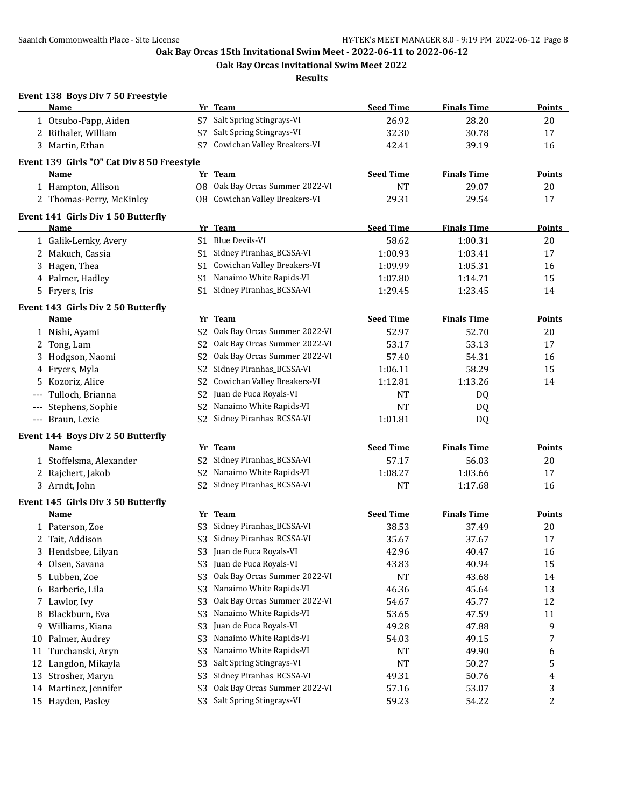**Oak Bay Orcas Invitational Swim Meet 2022**

**Results**

|                      | Event 138 Boys Div 7 50 Freestyle          |                |                                       |                  |                    |                |
|----------------------|--------------------------------------------|----------------|---------------------------------------|------------------|--------------------|----------------|
|                      | Name                                       |                | Yr Team                               | <b>Seed Time</b> | <b>Finals Time</b> | Points         |
|                      | 1 Otsubo-Papp, Aiden                       |                | S7 Salt Spring Stingrays-VI           | 26.92            | 28.20              | 20             |
|                      | 2 Rithaler, William                        | S7             | Salt Spring Stingrays-VI              | 32.30            | 30.78              | 17             |
|                      | 3 Martin, Ethan                            | S7             | Cowichan Valley Breakers-VI           | 42.41            | 39.19              | 16             |
|                      | Event 139 Girls "O" Cat Div 8 50 Freestyle |                |                                       |                  |                    |                |
|                      | Name                                       |                | Yr Team                               | <b>Seed Time</b> | <b>Finals Time</b> | <b>Points</b>  |
|                      | 1 Hampton, Allison                         |                | 08 Oak Bay Orcas Summer 2022-VI       | <b>NT</b>        | 29.07              | 20             |
|                      | 2 Thomas-Perry, McKinley                   |                | <b>08</b> Cowichan Valley Breakers-VI | 29.31            | 29.54              | 17             |
|                      | Event 141 Girls Div 1 50 Butterfly         |                |                                       |                  |                    |                |
|                      | Name                                       |                | Yr Team                               | <b>Seed Time</b> | <b>Finals Time</b> | <b>Points</b>  |
|                      | 1 Galik-Lemky, Avery                       |                | S1 Blue Devils-VI                     | 58.62            | 1:00.31            | 20             |
|                      | 2 Makuch, Cassia                           |                | S1 Sidney Piranhas_BCSSA-VI           | 1:00.93          | 1:03.41            | 17             |
|                      | 3 Hagen, Thea                              |                | S1 Cowichan Valley Breakers-VI        | 1:09.99          | 1:05.31            | 16             |
|                      | 4 Palmer, Hadley                           | S1             | Nanaimo White Rapids-VI               | 1:07.80          | 1:14.71            | 15             |
|                      | 5 Fryers, Iris                             |                | S1 Sidney Piranhas_BCSSA-VI           | 1:29.45          | 1:23.45            | 14             |
|                      | Event 143 Girls Div 2 50 Butterfly         |                |                                       |                  |                    |                |
|                      | <b>Name</b>                                |                | Yr Team                               | <b>Seed Time</b> | <b>Finals Time</b> | <b>Points</b>  |
|                      | 1 Nishi, Ayami                             | S2             | Oak Bay Orcas Summer 2022-VI          | 52.97            | 52.70              | 20             |
| 2                    | Tong, Lam                                  | S2             | Oak Bay Orcas Summer 2022-VI          | 53.17            | 53.13              | 17             |
|                      | 3 Hodgson, Naomi                           | S <sub>2</sub> | Oak Bay Orcas Summer 2022-VI          | 57.40            | 54.31              | 16             |
| 4                    | Fryers, Myla                               | S2             | Sidney Piranhas_BCSSA-VI              | 1:06.11          | 58.29              | 15             |
| 5.                   | Kozoriz, Alice                             | S2             | Cowichan Valley Breakers-VI           | 1:12.81          | 1:13.26            | 14             |
| $\qquad \qquad - -$  | Tulloch, Brianna                           | S <sub>2</sub> | Juan de Fuca Royals-VI                | <b>NT</b>        | DQ                 |                |
| $\scriptstyle\cdots$ | Stephens, Sophie                           | S2             | Nanaimo White Rapids-VI               | <b>NT</b>        | DQ                 |                |
|                      | --- Braun, Lexie                           | S2             | Sidney Piranhas_BCSSA-VI              | 1:01.81          | DQ                 |                |
|                      | Event 144 Boys Div 2 50 Butterfly          |                |                                       |                  |                    |                |
|                      | Name                                       |                | Yr Team                               | <b>Seed Time</b> | <b>Finals Time</b> | <b>Points</b>  |
|                      | 1 Stoffelsma, Alexander                    | S2             | Sidney Piranhas_BCSSA-VI              | 57.17            | 56.03              | 20             |
|                      | 2 Rajchert, Jakob                          | S <sub>2</sub> | Nanaimo White Rapids-VI               | 1:08.27          | 1:03.66            | 17             |
|                      | 3 Arndt, John                              |                | S2 Sidney Piranhas_BCSSA-VI           | <b>NT</b>        | 1:17.68            | 16             |
|                      | Event 145 Girls Div 3 50 Butterfly         |                |                                       |                  |                    |                |
|                      | Name                                       |                | Yr Team                               | <b>Seed Time</b> | <b>Finals Time</b> | <b>Points</b>  |
|                      | 1 Paterson, Zoe                            | S3             | Sidney Piranhas_BCSSA-VI              | 38.53            | 37.49              | 20             |
|                      | 2 Tait, Addison                            |                | S3 Sidney Piranhas_BCSSA-VI           | 35.67            | 37.67              | 17             |
| 3.                   | Hendsbee, Lilyan                           | S3             | Juan de Fuca Royals-VI                | 42.96            | 40.47              | 16             |
| 4                    | Olsen, Savana                              | S <sub>3</sub> | Juan de Fuca Royals-VI                | 43.83            | 40.94              | 15             |
| 5                    | Lubben, Zoe                                | S <sub>3</sub> | Oak Bay Orcas Summer 2022-VI          | NT               | 43.68              | 14             |
| 6                    | Barberie, Lila                             | S <sub>3</sub> | Nanaimo White Rapids-VI               | 46.36            | 45.64              | 13             |
| 7                    | Lawlor, Ivy                                | S <sub>3</sub> | Oak Bay Orcas Summer 2022-VI          | 54.67            | 45.77              | 12             |
| 8                    | Blackburn, Eva                             | S <sub>3</sub> | Nanaimo White Rapids-VI               | 53.65            | 47.59              | 11             |
| 9                    | Williams, Kiana                            | S <sub>3</sub> | Juan de Fuca Royals-VI                | 49.28            | 47.88              | 9              |
| 10                   | Palmer, Audrey                             | S <sub>3</sub> | Nanaimo White Rapids-VI               | 54.03            | 49.15              | 7              |
| 11                   | Turchanski, Aryn                           | S <sub>3</sub> | Nanaimo White Rapids-VI               | NT               | 49.90              | 6              |
| 12                   | Langdon, Mikayla                           | S <sub>3</sub> | Salt Spring Stingrays-VI              | <b>NT</b>        | 50.27              | 5              |
| 13                   | Strosher, Maryn                            | S <sub>3</sub> | Sidney Piranhas_BCSSA-VI              | 49.31            | 50.76              | 4              |
| 14                   | Martinez, Jennifer                         | S <sub>3</sub> | Oak Bay Orcas Summer 2022-VI          | 57.16            | 53.07              | 3              |
|                      | 15 Hayden, Pasley                          | S <sub>3</sub> | Salt Spring Stingrays-VI              | 59.23            | 54.22              | $\overline{c}$ |
|                      |                                            |                |                                       |                  |                    |                |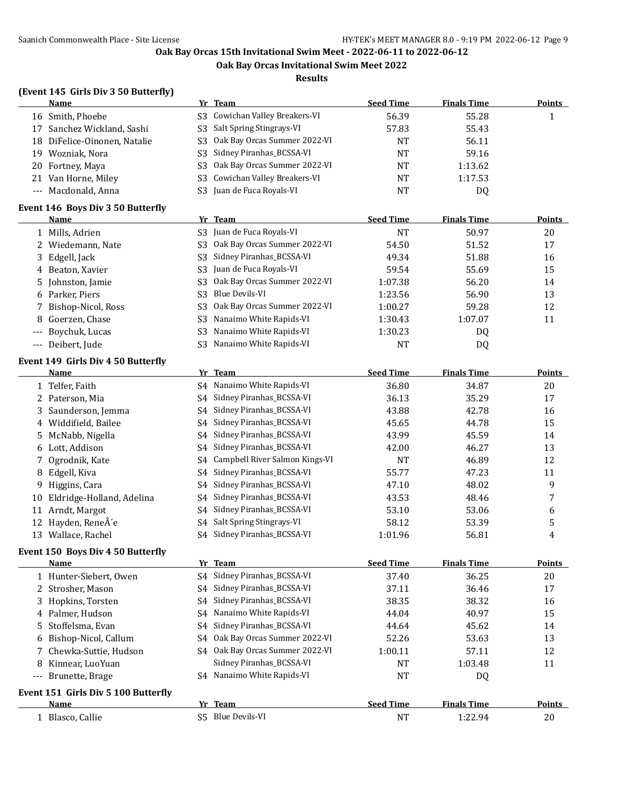**Oak Bay Orcas Invitational Swim Meet 2022**

**Results**

## **(Event 145 Girls Div 3 50 Butterfly)**

|       | <b>Name</b>                               |                | Yr Team                                | <b>Seed Time</b>          | <b>Finals Time</b>          | <b>Points</b>       |
|-------|-------------------------------------------|----------------|----------------------------------------|---------------------------|-----------------------------|---------------------|
|       | 16 Smith, Phoebe                          | S <sub>3</sub> | Cowichan Valley Breakers-VI            | 56.39                     | 55.28                       | $\mathbf{1}$        |
| 17    | Sanchez Wickland, Sashi                   | S <sub>3</sub> | Salt Spring Stingrays-VI               | 57.83                     | 55.43                       |                     |
| 18    | DiFelice-Oinonen, Natalie                 | S <sub>3</sub> | Oak Bay Orcas Summer 2022-VI           | <b>NT</b>                 | 56.11                       |                     |
| 19    | Wozniak, Nora                             | S <sub>3</sub> | Sidney Piranhas_BCSSA-VI               | <b>NT</b>                 | 59.16                       |                     |
| 20    | Fortney, Maya                             | S <sub>3</sub> | Oak Bay Orcas Summer 2022-VI           | NT                        | 1:13.62                     |                     |
|       | 21 Van Horne, Miley                       | S <sub>3</sub> | Cowichan Valley Breakers-VI            | <b>NT</b>                 | 1:17.53                     |                     |
|       | --- Macdonald, Anna                       | S <sub>3</sub> | Juan de Fuca Royals-VI                 | NT                        | <b>DQ</b>                   |                     |
|       | Event 146 Boys Div 3 50 Butterfly         |                |                                        |                           |                             |                     |
|       | Name                                      |                | Yr Team                                | <b>Seed Time</b>          | <b>Finals Time</b>          | <b>Points</b>       |
|       | 1 Mills, Adrien                           | S <sub>3</sub> | Juan de Fuca Royals-VI                 | <b>NT</b>                 | 50.97                       | 20                  |
| 2     | Wiedemann, Nate                           | S <sub>3</sub> | Oak Bay Orcas Summer 2022-VI           | 54.50                     | 51.52                       | 17                  |
| 3     | Edgell, Jack                              | S <sub>3</sub> | Sidney Piranhas_BCSSA-VI               | 49.34                     | 51.88                       | 16                  |
| 4     | Beaton, Xavier                            | S <sub>3</sub> | Juan de Fuca Royals-VI                 | 59.54                     | 55.69                       | 15                  |
| 5     | Johnston, Jamie                           | S <sub>3</sub> | Oak Bay Orcas Summer 2022-VI           | 1:07.38                   | 56.20                       | 14                  |
| 6     | Parker, Piers                             | S <sub>3</sub> | <b>Blue Devils-VI</b>                  | 1:23.56                   | 56.90                       | 13                  |
|       | Bishop-Nicol, Ross                        | S <sub>3</sub> | Oak Bay Orcas Summer 2022-VI           | 1:00.27                   | 59.28                       | 12                  |
| 8     | Goerzen, Chase                            | S <sub>3</sub> | Nanaimo White Rapids-VI                | 1:30.43                   | 1:07.07                     | 11                  |
| ---   | Boychuk, Lucas                            | S <sub>3</sub> | Nanaimo White Rapids-VI                | 1:30.23                   | DQ                          |                     |
| $---$ | Deibert, Jude                             | S <sub>3</sub> | Nanaimo White Rapids-VI                | <b>NT</b>                 | <b>DQ</b>                   |                     |
|       | Event 149 Girls Div 4 50 Butterfly        |                |                                        |                           |                             |                     |
|       | <b>Name</b>                               |                | Yr Team                                | <b>Seed Time</b>          | <b>Finals Time</b>          | <b>Points</b>       |
|       | 1 Telfer, Faith                           |                | S4 Nanaimo White Rapids-VI             | 36.80                     | 34.87                       | 20                  |
|       | 2 Paterson, Mia                           | S4             | Sidney Piranhas_BCSSA-VI               | 36.13                     | 35.29                       | 17                  |
| 3     | Saunderson, Jemma                         | S4             | Sidney Piranhas_BCSSA-VI               | 43.88                     | 42.78                       | 16                  |
| 4     | Widdifield, Bailee                        | S4             | Sidney Piranhas_BCSSA-VI               | 45.65                     | 44.78                       | 15                  |
| 5     | McNabb, Nigella                           | S4             | Sidney Piranhas_BCSSA-VI               | 43.99                     | 45.59                       | 14                  |
| 6     | Lott, Addison                             | S4             | Sidney Piranhas_BCSSA-VI               | 42.00                     | 46.27                       | 13                  |
| 7     | Ogrodnik, Kate                            | S4             | Campbell River Salmon Kings-VI         | <b>NT</b>                 | 46.89                       | 12                  |
| 8     | Edgell, Kiva                              | S4             | Sidney Piranhas_BCSSA-VI               | 55.77                     | 47.23                       | 11                  |
| 9     | Higgins, Cara                             | S4             | Sidney Piranhas_BCSSA-VI               | 47.10                     | 48.02                       | 9                   |
| 10    | Eldridge-Holland, Adelina                 | S4             | Sidney Piranhas_BCSSA-VI               | 43.53                     | 48.46                       | 7                   |
| 11    | Arndt, Margot                             | S4             | Sidney Piranhas_BCSSA-VI               | 53.10                     | 53.06                       | 6                   |
| 12    | Hayden, ReneÂ'e                           | S4             | Salt Spring Stingrays-VI               | 58.12                     | 53.39                       | 5                   |
|       | 13 Wallace, Rachel                        | S4             | Sidney Piranhas_BCSSA-VI               | 1:01.96                   | 56.81                       | 4                   |
|       |                                           |                |                                        |                           |                             |                     |
|       | <b>Event 150 Boys Div 4 50 Butterfly</b>  |                |                                        |                           |                             |                     |
|       | <u>Name</u><br>1 Hunter-Siebert, Owen     |                | Yr Team<br>S4 Sidney Piranhas_BCSSA-VI | <b>Seed Time</b><br>37.40 | <b>Finals Time</b><br>36.25 | <b>Points</b><br>20 |
|       | 2 Strosher, Mason                         | S4             | Sidney Piranhas_BCSSA-VI               | 37.11                     | 36.46                       | 17                  |
|       | Hopkins, Torsten                          | S4             | Sidney Piranhas_BCSSA-VI               | 38.35                     | 38.32                       |                     |
| 3     | Palmer, Hudson                            | S4             | Nanaimo White Rapids-VI                | 44.04                     | 40.97                       | 16                  |
| 4     | Stoffelsma, Evan                          |                | Sidney Piranhas_BCSSA-VI               | 44.64                     |                             | 15                  |
| 5     |                                           | S4             | Oak Bay Orcas Summer 2022-VI           |                           | 45.62                       | 14                  |
| 6     | Bishop-Nicol, Callum                      | S4             | Oak Bay Orcas Summer 2022-VI           | 52.26                     | 53.63                       | 13                  |
| 7     | Chewka-Suttie, Hudson<br>Kinnear, LuoYuan | S4             | Sidney Piranhas_BCSSA-VI               | 1:00.11                   | 57.11                       | 12                  |
| 8     |                                           |                | S4 Nanaimo White Rapids-VI             | NT                        | 1:03.48                     | 11                  |
| $---$ | Brunette, Brage                           |                |                                        | <b>NT</b>                 | DQ                          |                     |
|       | Event 151 Girls Div 5 100 Butterfly       |                |                                        |                           |                             |                     |
|       | <u>Name</u>                               |                | Yr Team                                | <b>Seed Time</b>          | <b>Finals Time</b>          | <b>Points</b>       |
|       | 1 Blasco, Callie                          |                | S5 Blue Devils-VI                      | NT                        | 1:22.94                     | 20                  |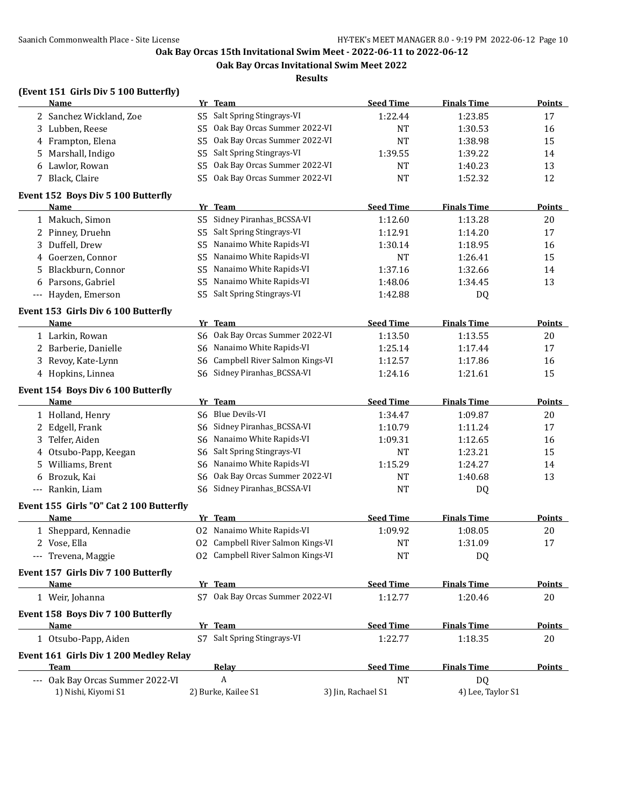**Oak Bay Orcas Invitational Swim Meet 2022**

**Results**

#### **(Event 151 Girls Div 5 100 Butterfly)**

|                     | <b>Name</b>                                       |                | Yr Team                           | <b>Seed Time</b>   | <b>Finals Time</b> | <b>Points</b> |
|---------------------|---------------------------------------------------|----------------|-----------------------------------|--------------------|--------------------|---------------|
|                     | 2 Sanchez Wickland, Zoe                           | S5             | Salt Spring Stingrays-VI          | 1:22.44            | 1:23.85            | 17            |
|                     | 3 Lubben, Reese                                   | S <sub>5</sub> | Oak Bay Orcas Summer 2022-VI      | <b>NT</b>          | 1:30.53            | 16            |
|                     | 4 Frampton, Elena                                 | S5             | Oak Bay Orcas Summer 2022-VI      | <b>NT</b>          | 1:38.98            | 15            |
|                     | 5 Marshall, Indigo                                | S5             | Salt Spring Stingrays-VI          | 1:39.55            | 1:39.22            | 14            |
|                     | 6 Lawlor, Rowan                                   | S5             | Oak Bay Orcas Summer 2022-VI      | NT                 | 1:40.23            | 13            |
|                     | 7 Black, Claire                                   | S5             | Oak Bay Orcas Summer 2022-VI      | <b>NT</b>          | 1:52.32            | 12            |
|                     | Event 152 Boys Div 5 100 Butterfly                |                |                                   |                    |                    |               |
|                     | Name                                              |                | Yr Team                           | <b>Seed Time</b>   | <b>Finals Time</b> | <b>Points</b> |
|                     | 1 Makuch, Simon                                   |                | S5 Sidney Piranhas_BCSSA-VI       | 1:12.60            | 1:13.28            | 20            |
|                     | 2 Pinney, Druehn                                  | S5             | Salt Spring Stingrays-VI          | 1:12.91            | 1:14.20            | 17            |
|                     | 3 Duffell, Drew                                   | S5             | Nanaimo White Rapids-VI           | 1:30.14            | 1:18.95            | 16            |
|                     | 4 Goerzen, Connor                                 | S5             | Nanaimo White Rapids-VI           | NT                 | 1:26.41            | 15            |
| 5.                  | Blackburn, Connor                                 | S5             | Nanaimo White Rapids-VI           | 1:37.16            | 1:32.66            | 14            |
|                     | 6 Parsons, Gabriel                                | S5             | Nanaimo White Rapids-VI           | 1:48.06            | 1:34.45            | 13            |
| $---$               | Hayden, Emerson                                   | S5.            | Salt Spring Stingrays-VI          | 1:42.88            | DQ                 |               |
|                     | Event 153 Girls Div 6 100 Butterfly               |                |                                   |                    |                    |               |
|                     | Name                                              |                | Yr Team                           | <b>Seed Time</b>   | <b>Finals Time</b> | <b>Points</b> |
|                     | 1 Larkin, Rowan                                   | S6             | Oak Bay Orcas Summer 2022-VI      | 1:13.50            | 1:13.55            | 20            |
|                     | 2 Barberie, Danielle                              | S6             | Nanaimo White Rapids-VI           | 1:25.14            | 1:17.44            | 17            |
|                     | 3 Revoy, Kate-Lynn                                | S6             | Campbell River Salmon Kings-VI    | 1:12.57            | 1:17.86            | 16            |
|                     | 4 Hopkins, Linnea                                 | S6             | Sidney Piranhas_BCSSA-VI          | 1:24.16            | 1:21.61            | 15            |
|                     | Event 154 Boys Div 6 100 Butterfly                |                |                                   |                    |                    |               |
|                     | Name                                              |                | Yr Team                           | <b>Seed Time</b>   | <b>Finals Time</b> | <b>Points</b> |
|                     | 1 Holland, Henry                                  |                | S6 Blue Devils-VI                 | 1:34.47            | 1:09.87            | 20            |
|                     | 2 Edgell, Frank                                   |                | S6 Sidney Piranhas_BCSSA-VI       | 1:10.79            | 1:11.24            | 17            |
|                     | 3 Telfer, Aiden                                   |                | S6 Nanaimo White Rapids-VI        | 1:09.31            | 1:12.65            | 16            |
|                     | 4 Otsubo-Papp, Keegan                             | S6             | Salt Spring Stingrays-VI          | <b>NT</b>          | 1:23.21            | 15            |
|                     | 5 Williams, Brent                                 | S6             | Nanaimo White Rapids-VI           | 1:15.29            | 1:24.27            | 14            |
| 6                   | Brozuk, Kai                                       | S6             | Oak Bay Orcas Summer 2022-VI      | <b>NT</b>          | 1:40.68            | 13            |
| $\qquad \qquad - -$ | Rankin, Liam                                      | S6.            | Sidney Piranhas_BCSSA-VI          | <b>NT</b>          | DQ                 |               |
|                     | Event 155 Girls "O" Cat 2 100 Butterfly           |                |                                   |                    |                    |               |
|                     | Name                                              |                | Yr Team                           | <b>Seed Time</b>   | <b>Finals Time</b> | <b>Points</b> |
|                     | 1 Sheppard, Kennadie                              |                | 02 Nanaimo White Rapids-VI        | 1:09.92            | 1:08.05            | 20            |
|                     | 2 Vose, Ella                                      |                | 02 Campbell River Salmon Kings-VI | <b>NT</b>          | 1:31.09            | 17            |
|                     | --- Trevena, Maggie                               |                | 02 Campbell River Salmon Kings-VI | <b>NT</b>          | <b>DQ</b>          |               |
|                     |                                                   |                |                                   |                    |                    |               |
|                     | Event 157 Girls Div 7 100 Butterfly<br>Name       |                | Yr Team                           | <b>Seed Time</b>   | <b>Finals Time</b> | <b>Points</b> |
|                     | 1 Weir, Johanna                                   |                | S7 Oak Bay Orcas Summer 2022-VI   | 1:12.77            | 1:20.46            | 20            |
|                     |                                                   |                |                                   |                    |                    |               |
|                     | Event 158 Boys Div 7 100 Butterfly<br><b>Name</b> |                | Yr Team                           | <b>Seed Time</b>   | <b>Finals Time</b> | Points        |
|                     | 1 Otsubo-Papp, Aiden                              |                | S7 Salt Spring Stingrays-VI       | 1:22.77            | 1:18.35            | 20            |
|                     |                                                   |                |                                   |                    |                    |               |
|                     | Event 161 Girls Div 1 200 Medley Relay            |                |                                   |                    |                    |               |
|                     | Team                                              |                | <b>Relay</b>                      | <b>Seed Time</b>   | <b>Finals Time</b> | <b>Points</b> |
|                     | --- Oak Bay Orcas Summer 2022-VI                  |                | A                                 | <b>NT</b>          | DQ                 |               |
|                     | 1) Nishi, Kiyomi S1                               |                | 2) Burke, Kailee S1               | 3) Jin, Rachael S1 | 4) Lee, Taylor S1  |               |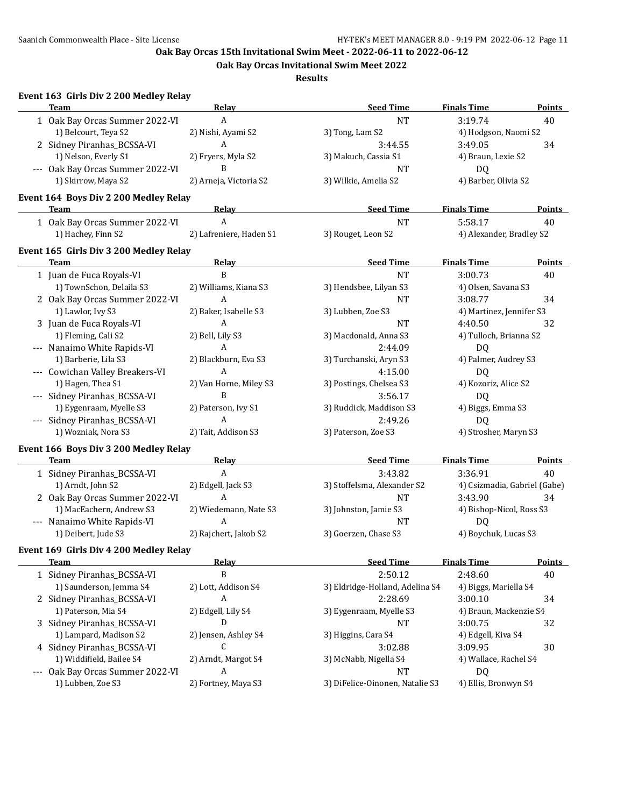**Oak Bay Orcas Invitational Swim Meet 2022**

**Results**

# **Event 163 Girls Div 2 200 Medley Relay**

| <b>Team</b>                            | Relay                   | <b>Seed Time</b>                | <b>Finals Time</b>           | <b>Points</b> |
|----------------------------------------|-------------------------|---------------------------------|------------------------------|---------------|
| 1 Oak Bay Orcas Summer 2022-VI         | A                       | <b>NT</b>                       | 3:19.74                      | 40            |
| 1) Belcourt, Teya S2                   | 2) Nishi, Ayami S2      | 3) Tong, Lam S2                 | 4) Hodgson, Naomi S2         |               |
| 2 Sidney Piranhas_BCSSA-VI             | A                       | 3:44.55                         | 3:49.05                      | 34            |
| 1) Nelson, Everly S1                   | 2) Fryers, Myla S2      | 3) Makuch, Cassia S1            | 4) Braun, Lexie S2           |               |
| --- Oak Bay Orcas Summer 2022-VI       | B                       | <b>NT</b>                       | DQ                           |               |
| 1) Skirrow, Maya S2                    | 2) Arneja, Victoria S2  | 3) Wilkie, Amelia S2            | 4) Barber, Olivia S2         |               |
|                                        |                         |                                 |                              |               |
| Event 164 Boys Div 2 200 Medley Relay  |                         |                                 |                              |               |
| Team                                   | Relay                   | <b>Seed Time</b>                | <b>Finals Time</b>           | <b>Points</b> |
| 1 Oak Bay Orcas Summer 2022-VI         | A                       | <b>NT</b>                       | 5:58.17                      | 40            |
| 1) Hachey, Finn S2                     | 2) Lafreniere, Haden S1 | 3) Rouget, Leon S2              | 4) Alexander, Bradley S2     |               |
| Event 165 Girls Div 3 200 Medley Relay |                         |                                 |                              |               |
| <b>Team</b>                            | Relay                   | <b>Seed Time</b>                | <b>Finals Time</b>           | Points        |
| 1 Juan de Fuca Royals-VI               | B                       | <b>NT</b>                       | 3:00.73                      | 40            |
| 1) TownSchon, Delaila S3               | 2) Williams, Kiana S3   | 3) Hendsbee, Lilyan S3          | 4) Olsen, Savana S3          |               |
| 2 Oak Bay Orcas Summer 2022-VI         | A                       | <b>NT</b>                       | 3:08.77                      | 34            |
| 1) Lawlor, Ivy S3                      | 2) Baker, Isabelle S3   | 3) Lubben, Zoe S3               | 4) Martinez, Jennifer S3     |               |
| 3 Juan de Fuca Royals-VI               | A                       | <b>NT</b>                       | 4:40.50                      | 32            |
| 1) Fleming, Cali S2                    | 2) Bell, Lily S3        | 3) Macdonald, Anna S3           | 4) Tulloch, Brianna S2       |               |
| --- Nanaimo White Rapids-VI            | $\boldsymbol{A}$        | 2:44.09                         | DQ                           |               |
| 1) Barberie, Lila S3                   | 2) Blackburn, Eva S3    | 3) Turchanski, Aryn S3          | 4) Palmer, Audrey S3         |               |
| --- Cowichan Valley Breakers-VI        | A                       | 4:15.00                         | DQ                           |               |
| 1) Hagen, Thea S1                      | 2) Van Horne, Miley S3  | 3) Postings, Chelsea S3         | 4) Kozoriz, Alice S2         |               |
| --- Sidney Piranhas_BCSSA-VI           | B                       | 3:56.17                         | DQ                           |               |
| 1) Eygenraam, Myelle S3                | 2) Paterson, Ivy S1     | 3) Ruddick, Maddison S3         | 4) Biggs, Emma S3            |               |
| --- Sidney Piranhas_BCSSA-VI           | A                       | 2:49.26                         | DQ                           |               |
| 1) Wozniak, Nora S3                    | 2) Tait, Addison S3     | 3) Paterson, Zoe S3             | 4) Strosher, Maryn S3        |               |
|                                        |                         |                                 |                              |               |
| Event 166 Boys Div 3 200 Medley Relay  |                         |                                 |                              |               |
| <b>Team</b>                            | Relay                   | <b>Seed Time</b>                | <b>Finals Time</b>           | Points        |
| 1 Sidney Piranhas_BCSSA-VI             | $\boldsymbol{A}$        | 3:43.82                         | 3:36.91                      | 40            |
| 1) Arndt, John S2                      | 2) Edgell, Jack S3      | 3) Stoffelsma, Alexander S2     | 4) Csizmadia, Gabriel (Gabe) |               |
| 2 Oak Bay Orcas Summer 2022-VI         | A                       | <b>NT</b>                       | 3:43.90                      | 34            |
| 1) MacEachern, Andrew S3               | 2) Wiedemann, Nate S3   | 3) Johnston, Jamie S3           | 4) Bishop-Nicol, Ross S3     |               |
| --- Nanaimo White Rapids-VI            | A                       | <b>NT</b>                       | D <sub>Q</sub>               |               |
| 1) Deibert, Jude S3                    | 2) Rajchert, Jakob S2   | 3) Goerzen, Chase S3            | 4) Boychuk, Lucas S3         |               |
| Event 169 Girls Div 4 200 Medley Relay |                         |                                 |                              |               |
| <u>Team</u>                            | Relay                   | <b>Seed Time</b>                | <u>Finals Time</u>           | <b>Points</b> |
| 1 Sidney Piranhas_BCSSA-VI             | B                       | 2:50.12                         | 2:48.60                      | 40            |
| 1) Saunderson, Jemma S4                | 2) Lott, Addison S4     | 3) Eldridge-Holland, Adelina S4 | 4) Biggs, Mariella S4        |               |
| 2 Sidney Piranhas_BCSSA-VI             | A                       | 2:28.69                         | 3:00.10                      | 34            |
| 1) Paterson, Mia S4                    | 2) Edgell, Lily S4      | 3) Eygenraam, Myelle S3         | 4) Braun, Mackenzie S4       |               |
| 3 Sidney Piranhas_BCSSA-VI             | D                       | <b>NT</b>                       | 3:00.75                      | 32            |
| 1) Lampard, Madison S2                 | 2) Jensen, Ashley S4    | 3) Higgins, Cara S4             | 4) Edgell, Kiva S4           |               |
| 4 Sidney Piranhas_BCSSA-VI             | C                       | 3:02.88                         | 3:09.95                      | 30            |
| 1) Widdifield, Bailee S4               | 2) Arndt, Margot S4     | 3) McNabb, Nigella S4           | 4) Wallace, Rachel S4        |               |
| --- Oak Bay Orcas Summer 2022-VI       | A                       | <b>NT</b>                       | DQ                           |               |
| 1) Lubben, Zoe S3                      | 2) Fortney, Maya S3     | 3) DiFelice-Oinonen, Natalie S3 | 4) Ellis, Bronwyn S4         |               |
|                                        |                         |                                 |                              |               |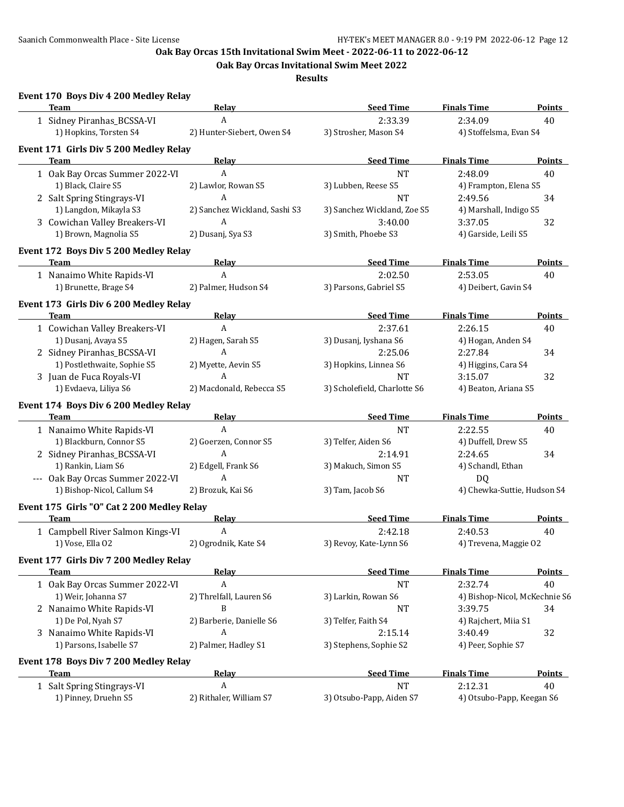**Oak Bay Orcas Invitational Swim Meet 2022**

**Results**

| Event 170 Boys Div 4 200 Medley Relay<br>Team        | Relay                         | <b>Seed Time</b>             | <b>Finals Time</b>            | Points        |
|------------------------------------------------------|-------------------------------|------------------------------|-------------------------------|---------------|
| 1 Sidney Piranhas_BCSSA-VI                           | A                             | 2:33.39                      | 2:34.09                       | 40            |
| 1) Hopkins, Torsten S4                               | 2) Hunter-Siebert, Owen S4    | 3) Strosher, Mason S4        | 4) Stoffelsma, Evan S4        |               |
| Event 171 Girls Div 5 200 Medley Relay               |                               |                              |                               |               |
| <b>Team</b>                                          | Relay                         | <b>Seed Time</b>             | <b>Finals Time</b>            | Points        |
| 1 Oak Bay Orcas Summer 2022-VI                       | A                             | <b>NT</b>                    | 2:48.09                       | 40            |
| 1) Black, Claire S5                                  | 2) Lawlor, Rowan S5           | 3) Lubben, Reese S5          | 4) Frampton, Elena S5         |               |
| 2 Salt Spring Stingrays-VI                           | А                             | <b>NT</b>                    | 2:49.56                       | 34            |
| 1) Langdon, Mikayla S3                               | 2) Sanchez Wickland, Sashi S3 | 3) Sanchez Wickland, Zoe S5  | 4) Marshall, Indigo S5        |               |
|                                                      | $\boldsymbol{A}$              |                              |                               |               |
| 3 Cowichan Valley Breakers-VI                        |                               | 3:40.00                      | 3:37.05                       | 32            |
| 1) Brown, Magnolia S5                                | 2) Dusanj, Sya S3             | 3) Smith, Phoebe S3          | 4) Garside, Leili S5          |               |
| Event 172 Boys Div 5 200 Medley Relay                |                               |                              |                               |               |
| Team<br>the control of the control of the control of | <b>Relay</b>                  | <b>Seed Time</b>             | <b>Finals Time</b>            | <b>Points</b> |
| 1 Nanaimo White Rapids-VI                            | A                             | 2:02.50                      | 2:53.05                       | 40            |
| 1) Brunette, Brage S4                                | 2) Palmer, Hudson S4          | 3) Parsons, Gabriel S5       | 4) Deibert, Gavin S4          |               |
| Event 173 Girls Div 6 200 Medley Relay               |                               |                              |                               |               |
| <b>Team</b>                                          | <b>Relay</b>                  | <b>Seed Time</b>             | <b>Finals Time</b>            | <b>Points</b> |
| 1 Cowichan Valley Breakers-VI                        | $\mathbf{A}$                  | 2:37.61                      | 2:26.15                       | 40            |
| 1) Dusanj, Avaya S5                                  | 2) Hagen, Sarah S5            | 3) Dusanj, Iyshana S6        | 4) Hogan, Anden S4            |               |
| 2 Sidney Piranhas_BCSSA-VI                           | A                             | 2:25.06                      | 2:27.84                       | 34            |
| 1) Postlethwaite, Sophie S5                          | 2) Myette, Aevin S5           | 3) Hopkins, Linnea S6        |                               |               |
|                                                      | A                             |                              | 4) Higgins, Cara S4           |               |
| 3 Juan de Fuca Royals-VI                             |                               | <b>NT</b>                    | 3:15.07                       | 32            |
| 1) Evdaeva, Liliya S6                                | 2) Macdonald, Rebecca S5      | 3) Scholefield, Charlotte S6 | 4) Beaton, Ariana S5          |               |
| Event 174 Boys Div 6 200 Medley Relay                |                               |                              |                               |               |
| <b>Team</b>                                          | <b>Relay</b>                  | <b>Seed Time</b>             | <b>Finals Time</b>            | <b>Points</b> |
| 1 Nanaimo White Rapids-VI                            | A                             | <b>NT</b>                    | 2:22.55                       | 40            |
| 1) Blackburn, Connor S5                              | 2) Goerzen, Connor S5         | 3) Telfer, Aiden S6          | 4) Duffell, Drew S5           |               |
| 2 Sidney Piranhas_BCSSA-VI                           | A                             | 2:14.91                      | 2:24.65                       | 34            |
| 1) Rankin, Liam S6                                   | 2) Edgell, Frank S6           | 3) Makuch, Simon S5          | 4) Schandl, Ethan             |               |
| --- Oak Bay Orcas Summer 2022-VI                     | A                             | <b>NT</b>                    | DQ                            |               |
| 1) Bishop-Nicol, Callum S4                           | 2) Brozuk, Kai S6             | 3) Tam, Jacob S6             | 4) Chewka-Suttie, Hudson S4   |               |
| Event 175 Girls "O" Cat 2 200 Medley Relay           |                               |                              |                               |               |
| <b>Team</b>                                          | <b>Relay</b>                  | <b>Seed Time</b>             | <b>Finals Time</b>            | Points        |
| 1 Campbell River Salmon Kings-VI                     | A                             | 2:42.18                      | 2:40.53                       | 40            |
| 1) Vose, Ella 02                                     | 2) Ogrodnik, Kate S4          | 3) Revoy, Kate-Lynn S6       | 4) Trevena, Maggie O2         |               |
|                                                      |                               |                              |                               |               |
| Event 177 Girls Div 7 200 Medley Relay               |                               |                              |                               |               |
| <b>Team</b>                                          | Relay                         | <b>Seed Time</b>             | <b>Finals Time</b>            | <b>Points</b> |
| 1 Oak Bay Orcas Summer 2022-VI                       | A                             | <b>NT</b>                    | 2:32.74                       | 40            |
| 1) Weir, Johanna S7                                  | 2) Threlfall, Lauren S6       | 3) Larkin, Rowan S6          | 4) Bishop-Nicol, McKechnie S6 |               |
| 2 Nanaimo White Rapids-VI                            | B                             | <b>NT</b>                    | 3:39.75                       | 34            |
| 1) De Pol, Nyah S7                                   | 2) Barberie, Danielle S6      | 3) Telfer, Faith S4          | 4) Rajchert, Miia S1          |               |
| 3 Nanaimo White Rapids-VI                            | A                             | 2:15.14                      | 3:40.49                       | 32            |
| 1) Parsons, Isabelle S7                              | 2) Palmer, Hadley S1          | 3) Stephens, Sophie S2       | 4) Peer, Sophie S7            |               |
| Event 178 Boys Div 7 200 Medley Relay                |                               |                              |                               |               |
| <b>Team</b>                                          | <b>Relay</b>                  | <b>Seed Time</b>             | <b>Finals Time</b>            | <b>Points</b> |
| 1 Salt Spring Stingrays-VI                           | A                             | <b>NT</b>                    | 2:12.31                       | 40            |
| 1) Pinney, Druehn S5                                 | 2) Rithaler, William S7       | 3) Otsubo-Papp, Aiden S7     | 4) Otsubo-Papp, Keegan S6     |               |
|                                                      |                               |                              |                               |               |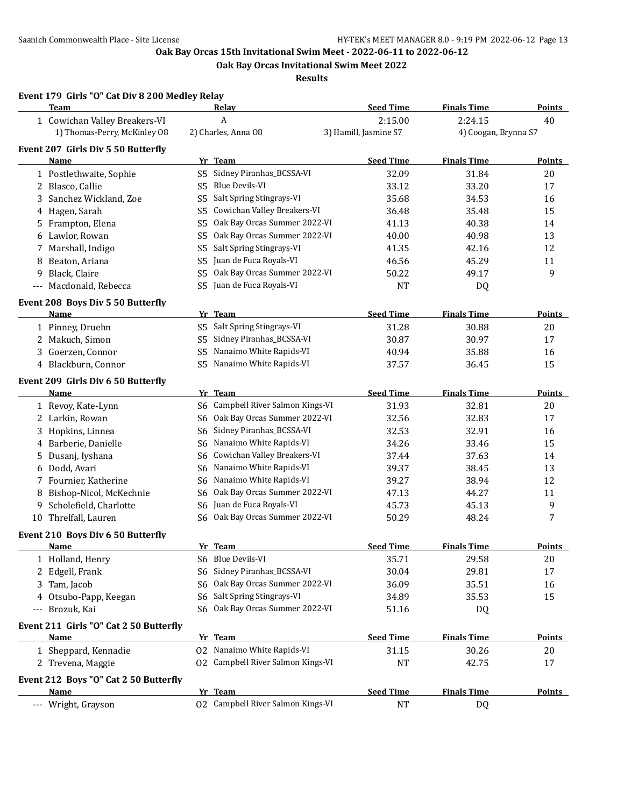**Oak Bay Orcas Invitational Swim Meet 2022**

**Results**

|       | <b>Team</b>                            | Relay                                      | <b>Seed Time</b>      | <b>Finals Time</b>   | <b>Points</b> |
|-------|----------------------------------------|--------------------------------------------|-----------------------|----------------------|---------------|
|       | 1 Cowichan Valley Breakers-VI          | A                                          | 2:15.00               | 2:24.15              | 40            |
|       | 1) Thomas-Perry, McKinley 08           | 2) Charles, Anna 08                        | 3) Hamill, Jasmine S7 | 4) Coogan, Brynna S7 |               |
|       | Event 207 Girls Div 5 50 Butterfly     |                                            |                       |                      |               |
|       | Name                                   | Yr Team                                    | <b>Seed Time</b>      | <b>Finals Time</b>   | <b>Points</b> |
|       | 1 Postlethwaite, Sophie                | Sidney Piranhas_BCSSA-VI<br>S5             | 32.09                 | 31.84                | 20            |
|       | 2 Blasco, Callie                       | <b>Blue Devils-VI</b><br>S <sub>5</sub>    | 33.12                 | 33.20                | 17            |
| 3     | Sanchez Wickland, Zoe                  | Salt Spring Stingrays-VI<br>S <sub>5</sub> | 35.68                 | 34.53                | 16            |
| 4     | Hagen, Sarah                           | Cowichan Valley Breakers-VI<br>S5          | 36.48                 | 35.48                | 15            |
|       | 5 Frampton, Elena                      | Oak Bay Orcas Summer 2022-VI<br>S5         | 41.13                 | 40.38                | 14            |
|       | 6 Lawlor, Rowan                        | Oak Bay Orcas Summer 2022-VI<br>S5         | 40.00                 | 40.98                | 13            |
|       | 7 Marshall, Indigo                     | Salt Spring Stingrays-VI<br>S5             | 41.35                 | 42.16                | 12            |
| 8     | Beaton, Ariana                         | Juan de Fuca Royals-VI<br>S5               | 46.56                 | 45.29                | 11            |
| 9     | Black, Claire                          | Oak Bay Orcas Summer 2022-VI<br>S5         | 50.22                 | 49.17                | 9             |
| $---$ | Macdonald, Rebecca                     | Juan de Fuca Royals-VI<br>S5               | <b>NT</b>             | DQ                   |               |
|       |                                        |                                            |                       |                      |               |
|       | Event 208 Boys Div 5 50 Butterfly      |                                            | <b>Seed Time</b>      | <b>Finals Time</b>   |               |
|       | <u>Name</u>                            | Yr Team<br>Salt Spring Stingrays-VI        |                       |                      | <b>Points</b> |
|       | 1 Pinney, Druehn                       | S5                                         | 31.28                 | 30.88                | 20            |
|       | 2 Makuch, Simon                        | Sidney Piranhas_BCSSA-VI<br>S5             | 30.87                 | 30.97                | 17            |
|       | 3 Goerzen, Connor                      | Nanaimo White Rapids-VI<br>S5              | 40.94                 | 35.88                | 16            |
|       | 4 Blackburn, Connor                    | Nanaimo White Rapids-VI<br>S5              | 37.57                 | 36.45                | 15            |
|       | Event 209 Girls Div 6 50 Butterfly     |                                            |                       |                      |               |
|       | Name                                   | Yr Team                                    | <b>Seed Time</b>      | <b>Finals Time</b>   | <b>Points</b> |
|       | 1 Revoy, Kate-Lynn                     | Campbell River Salmon Kings-VI<br>S6       | 31.93                 | 32.81                | 20            |
|       | 2 Larkin, Rowan                        | Oak Bay Orcas Summer 2022-VI<br>S6         | 32.56                 | 32.83                | 17            |
|       | 3 Hopkins, Linnea                      | Sidney Piranhas_BCSSA-VI<br>S6             | 32.53                 | 32.91                | 16            |
| 4     | Barberie, Danielle                     | Nanaimo White Rapids-VI<br>S6              | 34.26                 | 33.46                | 15            |
| 5     | Dusanj, Iyshana                        | Cowichan Valley Breakers-VI<br>S6          | 37.44                 | 37.63                | 14            |
| 6     | Dodd, Avari                            | Nanaimo White Rapids-VI<br>S6              | 39.37                 | 38.45                | 13            |
|       | 7 Fournier, Katherine                  | Nanaimo White Rapids-VI<br>S6              | 39.27                 | 38.94                | 12            |
| 8     | Bishop-Nicol, McKechnie                | Oak Bay Orcas Summer 2022-VI<br>S6         | 47.13                 | 44.27                | 11            |
| 9     | Scholefield, Charlotte                 | Juan de Fuca Royals-VI<br>S6               | 45.73                 | 45.13                | 9             |
|       | 10 Threlfall, Lauren                   | Oak Bay Orcas Summer 2022-VI<br>S6         | 50.29                 | 48.24                | 7             |
|       | Event 210 Boys Div 6 50 Butterfly      |                                            |                       |                      |               |
|       | <u>Name</u>                            | Yr Team                                    | <b>Seed Time</b>      | <b>Finals Time</b>   | Points        |
|       | 1 Holland, Henry                       | S6 Blue Devils-VI                          | 35.71                 | 29.58                | 20            |
|       | 2 Edgell, Frank                        | S6 Sidney Piranhas_BCSSA-VI                | 30.04                 | 29.81                | 17            |
| 3     | Tam, Jacob                             | Oak Bay Orcas Summer 2022-VI<br>S6         | 36.09                 | 35.51                | 16            |
| 4     | Otsubo-Papp, Keegan                    | Salt Spring Stingrays-VI<br>S6             | 34.89                 | 35.53                | 15            |
|       | --- Brozuk, Kai                        | S6 Oak Bay Orcas Summer 2022-VI            | 51.16                 | DQ                   |               |
|       |                                        |                                            |                       |                      |               |
|       | Event 211 Girls "O" Cat 2 50 Butterfly |                                            |                       |                      |               |
|       | Name                                   | Yr Team                                    | <b>Seed Time</b>      | <b>Finals Time</b>   | <b>Points</b> |
|       | 1 Sheppard, Kennadie                   | 02 Nanaimo White Rapids-VI                 | 31.15                 | 30.26                | 20            |
|       | 2 Trevena, Maggie                      | 02 Campbell River Salmon Kings-VI          | <b>NT</b>             | 42.75                | 17            |
|       | Event 212 Boys "O" Cat 2 50 Butterfly  |                                            |                       |                      |               |
|       | <b>Name</b>                            | Yr Team                                    | <b>Seed Time</b>      | <b>Finals Time</b>   | <b>Points</b> |
|       | --- Wright, Grayson                    | 02 Campbell River Salmon Kings-VI          | $\rm{NT}$             | DQ                   |               |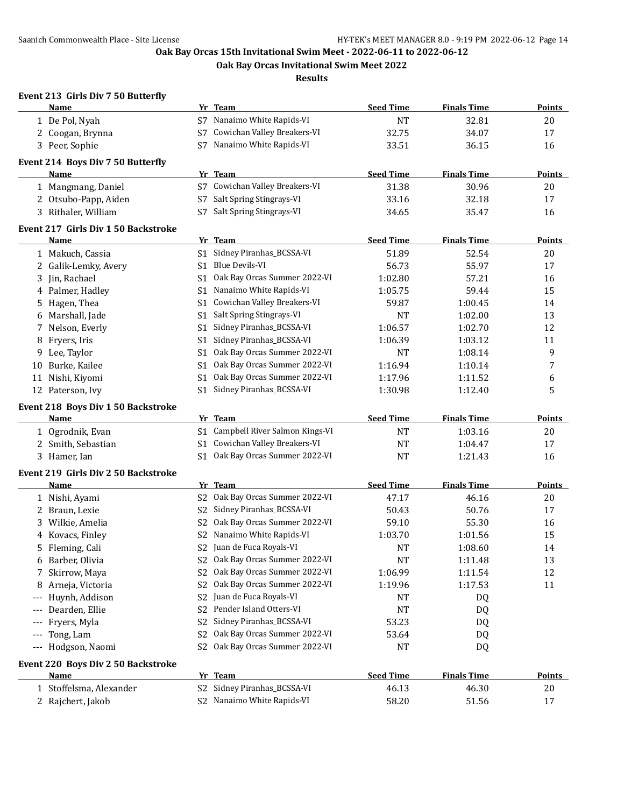**Oak Bay Orcas Invitational Swim Meet 2022**

**Results**

#### **Event 213 Girls Div 7 50 Butterfly**

|    | Name                                       |      | Yr Team                           | <b>Seed Time</b> | <b>Finals Time</b> | <b>Points</b> |
|----|--------------------------------------------|------|-----------------------------------|------------------|--------------------|---------------|
|    | 1 De Pol, Nyah                             |      | S7 Nanaimo White Rapids-VI        | <b>NT</b>        | 32.81              | 20            |
|    | 2 Coogan, Brynna                           | S7   | Cowichan Valley Breakers-VI       | 32.75            | 34.07              | 17            |
|    | 3 Peer, Sophie                             | S7   | Nanaimo White Rapids-VI           | 33.51            | 36.15              | 16            |
|    | Event 214 Boys Div 7 50 Butterfly          |      |                                   |                  |                    |               |
|    | <b>Name</b>                                |      | Yr Team                           | <b>Seed Time</b> | <b>Finals Time</b> | <b>Points</b> |
|    | 1 Mangmang, Daniel                         |      | S7 Cowichan Valley Breakers-VI    | 31.38            | 30.96              | 20            |
|    | 2 Otsubo-Papp, Aiden                       | S7   | Salt Spring Stingrays-VI          | 33.16            | 32.18              | 17            |
|    | 3 Rithaler, William                        | S7   | Salt Spring Stingrays-VI          | 34.65            | 35.47              | 16            |
|    |                                            |      |                                   |                  |                    |               |
|    | <b>Event 217 Girls Div 1 50 Backstroke</b> |      |                                   |                  |                    |               |
|    | Name                                       |      | Yr Team                           | <b>Seed Time</b> | <b>Finals Time</b> | <b>Points</b> |
|    | 1 Makuch, Cassia                           |      | S1 Sidney Piranhas_BCSSA-VI       | 51.89            | 52.54              | 20            |
|    | 2 Galik-Lemky, Avery                       |      | S1 Blue Devils-VI                 | 56.73            | 55.97              | 17            |
| 3  | Jin, Rachael                               | S1 - | Oak Bay Orcas Summer 2022-VI      | 1:02.80          | 57.21              | 16            |
|    | 4 Palmer, Hadley                           |      | S1 Nanaimo White Rapids-VI        | 1:05.75          | 59.44              | 15            |
| 5  | Hagen, Thea                                |      | S1 Cowichan Valley Breakers-VI    | 59.87            | 1:00.45            | 14            |
|    | 6 Marshall, Jade                           |      | S1 Salt Spring Stingrays-VI       | <b>NT</b>        | 1:02.00            | 13            |
| 7  | Nelson, Everly                             | S1   | Sidney Piranhas_BCSSA-VI          | 1:06.57          | 1:02.70            | 12            |
| 8  | Fryers, Iris                               | S1   | Sidney Piranhas_BCSSA-VI          | 1:06.39          | 1:03.12            | 11            |
| 9  | Lee, Taylor                                | S1   | Oak Bay Orcas Summer 2022-VI      | <b>NT</b>        | 1:08.14            | 9             |
| 10 | Burke, Kailee                              | S1   | Oak Bay Orcas Summer 2022-VI      | 1:16.94          | 1:10.14            | 7             |
|    | 11 Nishi, Kiyomi                           | S1   | Oak Bay Orcas Summer 2022-VI      | 1:17.96          | 1:11.52            | 6             |
|    | 12 Paterson, Ivy                           | S1.  | Sidney Piranhas_BCSSA-VI          | 1:30.98          | 1:12.40            | 5             |
|    | Event 218 Boys Div 1 50 Backstroke         |      |                                   |                  |                    |               |
|    | Name                                       |      | Yr Team                           | <b>Seed Time</b> | <b>Finals Time</b> | <b>Points</b> |
|    | 1 Ogrodnik, Evan                           |      | S1 Campbell River Salmon Kings-VI | <b>NT</b>        | 1:03.16            | 20            |
|    | 2 Smith, Sebastian                         |      | S1 Cowichan Valley Breakers-VI    | <b>NT</b>        | 1:04.47            | 17            |
|    | 3 Hamer, Ian                               |      | S1 Oak Bay Orcas Summer 2022-VI   | NT               | 1:21.43            | 16            |
|    | Event 219 Girls Div 2 50 Backstroke        |      |                                   |                  |                    |               |
|    | Name                                       |      | Yr Team                           | <b>Seed Time</b> | <b>Finals Time</b> | <b>Points</b> |
|    | 1 Nishi, Ayami                             | S2   | Oak Bay Orcas Summer 2022-VI      | 47.17            | 46.16              | 20            |
|    | 2 Braun, Lexie                             | S2   | Sidney Piranhas_BCSSA-VI          | 50.43            | 50.76              | 17            |
| 3. | Wilkie, Amelia                             | S2   | Oak Bay Orcas Summer 2022-VI      | 59.10            | 55.30              | 16            |
|    | 4 Kovacs, Finley                           |      | S2 Nanaimo White Rapids-VI        | 1:03.70          | 1:01.56            | 15            |
|    | 5 Fleming, Cali                            |      | S2 Juan de Fuca Royals-VI         | <b>NT</b>        | 1:08.60            | 14            |
|    | 6 Barber, Olivia                           |      | S2 Oak Bay Orcas Summer 2022-VI   | <b>NT</b>        | 1:11.48            | 13            |
|    | 7 Skirrow, Maya                            |      | S2 Oak Bay Orcas Summer 2022-VI   | 1:06.99          | 1:11.54            | 12            |
| 8  | Arneja, Victoria                           | S2   | Oak Bay Orcas Summer 2022-VI      | 1:19.96          | 1:17.53            | 11            |
|    | --- Huynh, Addison                         | S2   | Juan de Fuca Royals-VI            | NT               | DQ                 |               |
|    | Dearden, Ellie                             | S2   | Pender Island Otters-VI           | NT               | DQ                 |               |
|    | Fryers, Myla                               | S2   | Sidney Piranhas_BCSSA-VI          | 53.23            | DQ                 |               |
|    | Tong, Lam                                  | S2   | Oak Bay Orcas Summer 2022-VI      | 53.64            | DQ                 |               |
|    | --- Hodgson, Naomi                         | S2   | Oak Bay Orcas Summer 2022-VI      | <b>NT</b>        | DQ                 |               |
|    |                                            |      |                                   |                  |                    |               |
|    | Event 220 Boys Div 2 50 Backstroke         |      |                                   |                  |                    |               |
|    | <b>Name</b>                                |      | Yr Team                           | <b>Seed Time</b> | <b>Finals Time</b> | <b>Points</b> |
|    | 1 Stoffelsma, Alexander                    |      | S2 Sidney Piranhas_BCSSA-VI       | 46.13            | 46.30              | 20            |
|    | 2 Rajchert, Jakob                          |      | S2 Nanaimo White Rapids-VI        | 58.20            | 51.56              | $17\,$        |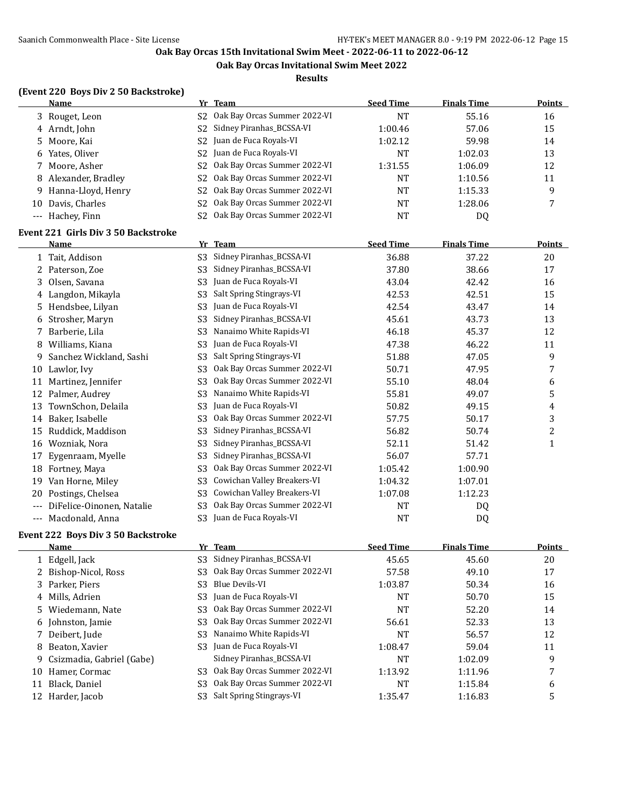**Oak Bay Orcas Invitational Swim Meet 2022**

#### **Results**

## **(Event 220 Boys Div 2 50 Backstroke)**

| <b>Name</b>          |                | Yr Team                                     | <b>Seed Time</b> | <b>Finals Time</b> | <b>Points</b> |
|----------------------|----------------|---------------------------------------------|------------------|--------------------|---------------|
| 3 Rouget, Leon       |                | S <sub>2</sub> Oak Bay Orcas Summer 2022-VI | NΤ               | 55.16              | 16            |
| 4 Arndt, John        |                | S2 Sidney Piranhas_BCSSA-VI                 | 1:00.46          | 57.06              | 15            |
| 5 Moore, Kai         |                | S <sub>2</sub> Juan de Fuca Royals-VI       | 1:02.12          | 59.98              | 14            |
| 6 Yates, Oliver      |                | S <sub>2</sub> Juan de Fuca Royals-VI       | <b>NT</b>        | 1:02.03            | 13            |
| 7 Moore, Asher       | S2             | Oak Bay Orcas Summer 2022-VI                | 1:31.55          | 1:06.09            | 12            |
| 8 Alexander, Bradley |                | S <sub>2</sub> Oak Bay Orcas Summer 2022-VI | <b>NT</b>        | 1:10.56            | 11            |
| 9 Hanna-Lloyd, Henry |                | S <sub>2</sub> Oak Bay Orcas Summer 2022-VI | <b>NT</b>        | 1:15.33            | 9             |
| 10 Davis, Charles    | S <sub>2</sub> | Oak Bay Orcas Summer 2022-VI                | NT               | 1:28.06            |               |
| --- Hachey, Finn     |                | Oak Bay Orcas Summer 2022-VI                | NT               | DQ                 |               |

#### **Event 221 Girls Div 3 50 Backstroke**

|       | <b>Name</b>               | Yr             | <b>Team</b>                  | <b>Seed Time</b> | <b>Finals Time</b> | Points |
|-------|---------------------------|----------------|------------------------------|------------------|--------------------|--------|
|       | 1 Tait, Addison           | S <sub>3</sub> | Sidney Piranhas_BCSSA-VI     | 36.88            | 37.22              | 20     |
|       | 2 Paterson, Zoe           | S <sub>3</sub> | Sidney Piranhas_BCSSA-VI     | 37.80            | 38.66              | 17     |
| 3     | Olsen, Savana             | S <sub>3</sub> | Juan de Fuca Royals-VI       | 43.04            | 42.42              | 16     |
| 4     | Langdon, Mikayla          | S <sub>3</sub> | Salt Spring Stingrays-VI     | 42.53            | 42.51              | 15     |
| 5.    | Hendsbee, Lilyan          | S <sub>3</sub> | Juan de Fuca Royals-VI       | 42.54            | 43.47              | 14     |
| 6     | Strosher, Maryn           | S <sub>3</sub> | Sidney Piranhas_BCSSA-VI     | 45.61            | 43.73              | 13     |
|       | Barberie, Lila            | S <sub>3</sub> | Nanaimo White Rapids-VI      | 46.18            | 45.37              | 12     |
| 8     | Williams, Kiana           | S <sub>3</sub> | Juan de Fuca Royals-VI       | 47.38            | 46.22              | 11     |
| 9     | Sanchez Wickland, Sashi   | S <sub>3</sub> | Salt Spring Stingrays-VI     | 51.88            | 47.05              | 9      |
| 10    | Lawlor, Ivy               | S <sub>3</sub> | Oak Bay Orcas Summer 2022-VI | 50.71            | 47.95              | 7      |
| 11    | Martinez, Jennifer        | S <sub>3</sub> | Oak Bay Orcas Summer 2022-VI | 55.10            | 48.04              | 6      |
| 12    | Palmer, Audrey            | S <sub>3</sub> | Nanaimo White Rapids-VI      | 55.81            | 49.07              | 5      |
| 13    | TownSchon, Delaila        | S3             | Juan de Fuca Royals-VI       | 50.82            | 49.15              | 4      |
| 14    | Baker, Isabelle           | S <sub>3</sub> | Oak Bay Orcas Summer 2022-VI | 57.75            | 50.17              | 3      |
| 15    | Ruddick, Maddison         | S <sub>3</sub> | Sidney Piranhas_BCSSA-VI     | 56.82            | 50.74              | 2      |
| 16    | Wozniak, Nora             | S <sub>3</sub> | Sidney Piranhas_BCSSA-VI     | 52.11            | 51.42              | 1      |
| 17    | Eygenraam, Myelle         | S3             | Sidney Piranhas_BCSSA-VI     | 56.07            | 57.71              |        |
| 18    | Fortney, Maya             | S <sub>3</sub> | Oak Bay Orcas Summer 2022-VI | 1:05.42          | 1:00.90            |        |
| 19    | Van Horne, Miley          | S3             | Cowichan Valley Breakers-VI  | 1:04.32          | 1:07.01            |        |
| 20    | Postings, Chelsea         | S <sub>3</sub> | Cowichan Valley Breakers-VI  | 1:07.08          | 1:12.23            |        |
| $---$ | DiFelice-Oinonen, Natalie | S <sub>3</sub> | Oak Bay Orcas Summer 2022-VI | NT               | DQ                 |        |
| ---   | Macdonald, Anna           | S <sub>3</sub> | Juan de Fuca Royals-VI       | <b>NT</b>        | DQ                 |        |

#### **Event 222 Boys Div 3 50 Backstroke**

|    | Name                        |     | Yr Team                               | <b>Seed Time</b> | <b>Finals Time</b> | <b>Points</b> |
|----|-----------------------------|-----|---------------------------------------|------------------|--------------------|---------------|
|    | 1 Edgell, Jack              | S3  | Sidney Piranhas_BCSSA-VI              | 45.65            | 45.60              | 20            |
|    | 2 Bishop-Nicol, Ross        | S3  | Oak Bay Orcas Summer 2022-VI          | 57.58            | 49.10              | 17            |
|    | 3 Parker, Piers             | S3  | Blue Devils-VI                        | 1:03.87          | 50.34              | 16            |
|    | 4 Mills, Adrien             |     | S3 Juan de Fuca Royals-VI             | <b>NT</b>        | 50.70              | 15            |
|    | 5 Wiedemann, Nate           | S3- | Oak Bay Orcas Summer 2022-VI          | NT               | 52.20              | 14            |
|    | 6 Johnston, Jamie           | S3  | Oak Bay Orcas Summer 2022-VI          | 56.61            | 52.33              | 13            |
|    | 7 Deibert, Jude             | S3  | Nanaimo White Rapids-VI               | NT               | 56.57              | 12            |
|    | 8 Beaton, Xavier            |     | S <sub>3</sub> Juan de Fuca Royals-VI | 1:08.47          | 59.04              | 11            |
|    | 9 Csizmadia, Gabriel (Gabe) |     | Sidney Piranhas_BCSSA-VI              | NT               | 1:02.09            | 9             |
| 10 | Hamer, Cormac               | S3  | Oak Bay Orcas Summer 2022-VI          | 1:13.92          | 1:11.96            | 7             |
| 11 | Black, Daniel               | S3  | Oak Bay Orcas Summer 2022-VI          | NT               | 1:15.84            | 6             |
|    | 12 Harder, Jacob            | S3  | Salt Spring Stingrays-VI              | 1:35.47          | 1:16.83            | 5             |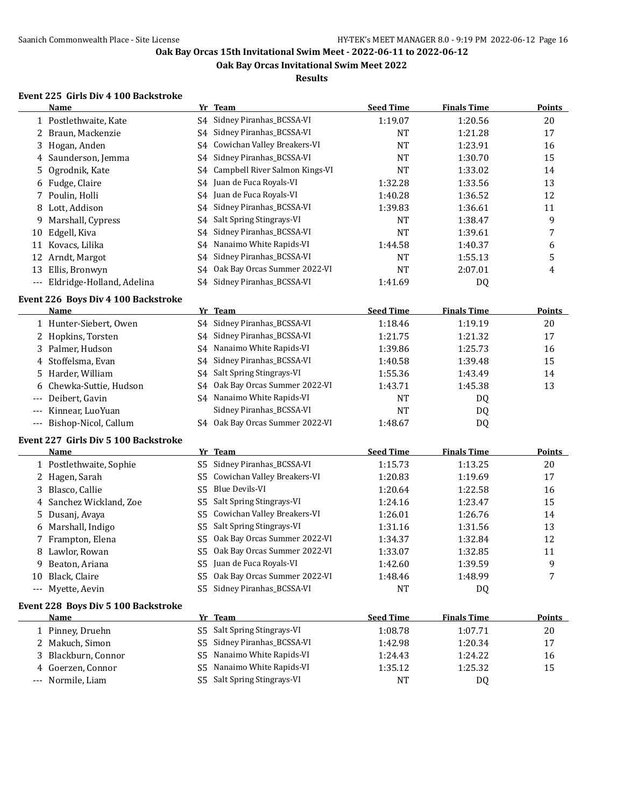**Oak Bay Orcas Invitational Swim Meet 2022**

**Results**

## **Event 225 Girls Div 4 100 Backstroke**

|       | Name                                         |          | Yr Team                         | <b>Seed Time</b>   | <b>Finals Time</b> | <b>Points</b> |
|-------|----------------------------------------------|----------|---------------------------------|--------------------|--------------------|---------------|
|       | 1 Postlethwaite, Kate                        |          | S4 Sidney Piranhas_BCSSA-VI     | 1:19.07            | 1:20.56            | $20\,$        |
|       | 2 Braun, Mackenzie                           | S4       | Sidney Piranhas_BCSSA-VI        | <b>NT</b>          | 1:21.28            | 17            |
|       | 3 Hogan, Anden                               | S4       | Cowichan Valley Breakers-VI     | <b>NT</b>          | 1:23.91            | 16            |
|       | 4 Saunderson, Jemma                          | S4       | Sidney Piranhas_BCSSA-VI        | NT                 | 1:30.70            | 15            |
| 5.    | Ogrodnik, Kate                               | S4       | Campbell River Salmon Kings-VI  | <b>NT</b>          | 1:33.02            | 14            |
| 6     | Fudge, Claire                                | S4       | Juan de Fuca Royals-VI          | 1:32.28            | 1:33.56            | 13            |
|       | 7 Poulin, Holli                              | S4       | Juan de Fuca Royals-VI          | 1:40.28            | 1:36.52            | 12            |
| 8     | Lott, Addison                                | S4       | Sidney Piranhas_BCSSA-VI        | 1:39.83            | 1:36.61            | 11            |
| 9     | Marshall, Cypress                            | S4       | Salt Spring Stingrays-VI        | <b>NT</b>          | 1:38.47            | 9             |
| 10    | Edgell, Kiva                                 | S4       | Sidney Piranhas_BCSSA-VI        | <b>NT</b>          | 1:39.61            | 7             |
|       | 11 Kovacs, Lilika                            | S4       | Nanaimo White Rapids-VI         | 1:44.58            | 1:40.37            | 6             |
| 12    | Arndt, Margot                                | S4       | Sidney Piranhas_BCSSA-VI        | NT                 | 1:55.13            | 5             |
| 13    | Ellis, Bronwyn                               | S4       | Oak Bay Orcas Summer 2022-VI    | NT                 | 2:07.01            | 4             |
| $---$ | Eldridge-Holland, Adelina                    | S4       | Sidney Piranhas_BCSSA-VI        | 1:41.69            | DQ                 |               |
|       | Event 226 Boys Div 4 100 Backstroke          |          |                                 |                    |                    |               |
|       | Name                                         |          | Yr Team                         | <b>Seed Time</b>   | <b>Finals Time</b> | <b>Points</b> |
|       | 1 Hunter-Siebert, Owen                       | S4       | Sidney Piranhas_BCSSA-VI        | 1:18.46            | 1:19.19            | 20            |
|       | 2 Hopkins, Torsten                           |          | S4 Sidney Piranhas_BCSSA-VI     | 1:21.75            | 1:21.32            | 17            |
|       | 3 Palmer, Hudson                             | S4       | Nanaimo White Rapids-VI         | 1:39.86            | 1:25.73            | 16            |
| 4     | Stoffelsma, Evan                             | S4       | Sidney Piranhas_BCSSA-VI        | 1:40.58            | 1:39.48            | 15            |
| 5.    | Harder, William                              | S4       | Salt Spring Stingrays-VI        | 1:55.36            | 1:43.49            | 14            |
| 6     | Chewka-Suttie, Hudson                        | S4       | Oak Bay Orcas Summer 2022-VI    | 1:43.71            | 1:45.38            | 13            |
| $---$ | Deibert, Gavin                               |          | S4 Nanaimo White Rapids-VI      | NT                 | DQ                 |               |
| $---$ | Kinnear, LuoYuan                             |          | Sidney Piranhas_BCSSA-VI        | <b>NT</b>          | <b>DQ</b>          |               |
| $---$ | Bishop-Nicol, Callum                         |          | S4 Oak Bay Orcas Summer 2022-VI | 1:48.67            | DQ                 |               |
|       |                                              |          |                                 |                    |                    |               |
|       | Event 227 Girls Div 5 100 Backstroke<br>Name |          | Yr Team                         | <b>Seed Time</b>   | <b>Finals Time</b> | <b>Points</b> |
|       |                                              |          | Sidney Piranhas_BCSSA-VI        |                    |                    |               |
|       | 1 Postlethwaite, Sophie                      | S5       | Cowichan Valley Breakers-VI     | 1:15.73            | 1:13.25            | 20            |
|       | 2 Hagen, Sarah                               | S5       | Blue Devils-VI                  | 1:20.83            | 1:19.69            | 17            |
| 3     | Blasco, Callie<br>Sanchez Wickland, Zoe      | S5<br>S5 | Salt Spring Stingrays-VI        | 1:20.64            | 1:22.58            | 16<br>15      |
| 4     |                                              | S5       | Cowichan Valley Breakers-VI     | 1:24.16            | 1:23.47<br>1:26.76 | 14            |
| 5.    | Dusanj, Avaya<br>6 Marshall, Indigo          | S5       | Salt Spring Stingrays-VI        | 1:26.01<br>1:31.16 | 1:31.56            | 13            |
|       | 7 Frampton, Elena                            | S5       | Oak Bay Orcas Summer 2022-VI    |                    |                    | 12            |
|       | 8 Lawlor, Rowan                              | S5       | Oak Bay Orcas Summer 2022-VI    | 1:34.37            | 1:32.84            | 11            |
|       | Beaton, Ariana                               |          | S5 Juan de Fuca Royals-VI       | 1:33.07<br>1:42.60 | 1:32.85<br>1:39.59 | 9             |
| 9     | Black, Claire                                |          | S5 Oak Bay Orcas Summer 2022-VI |                    | 1:48.99            | 7             |
| 10    | Myette, Aevin                                |          | S5 Sidney Piranhas_BCSSA-VI     | 1:48.46<br>NT      | DQ                 |               |
| $---$ |                                              |          |                                 |                    |                    |               |
|       | Event 228 Boys Div 5 100 Backstroke          |          |                                 |                    |                    |               |
|       | <b>Name</b>                                  |          | Yr Team                         | <b>Seed Time</b>   | <b>Finals Time</b> | <b>Points</b> |
|       | 1 Pinney, Druehn                             | S5       | Salt Spring Stingrays-VI        | 1:08.78            | 1:07.71            | 20            |
|       | 2 Makuch, Simon                              | S5       | Sidney Piranhas_BCSSA-VI        | 1:42.98            | 1:20.34            | 17            |
|       | 3 Blackburn, Connor                          | S5       | Nanaimo White Rapids-VI         | 1:24.43            | 1:24.22            | 16            |
|       | 4 Goerzen, Connor                            |          | S5 Nanaimo White Rapids-VI      | 1:35.12            | 1:25.32            | 15            |

--- Normile, Liam S5 Salt Spring Stingrays-VI NT NT DQ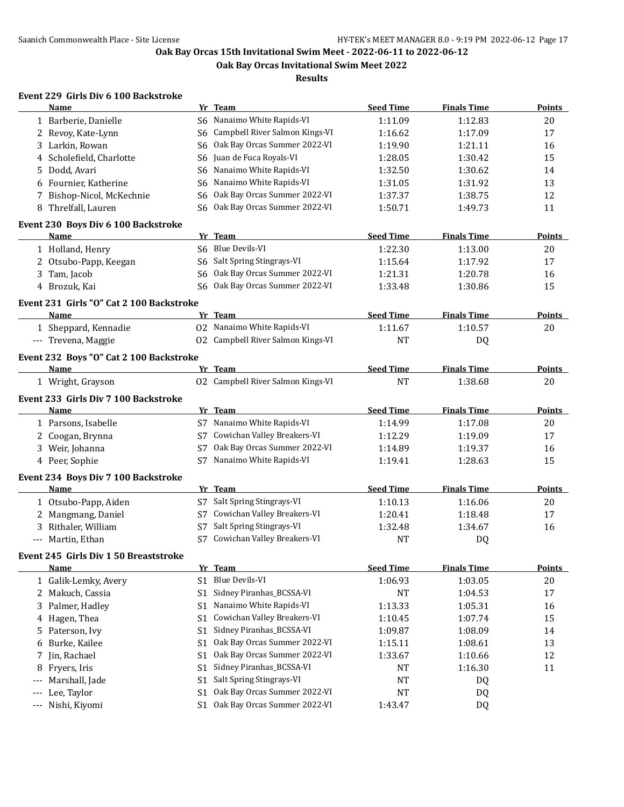**Oak Bay Orcas Invitational Swim Meet 2022**

**Results**

## **Event 229 Girls Div 6 100 Backstroke**

| Name                                            |                | Yr Team                           | <b>Seed Time</b> | <b>Finals Time</b> | <b>Points</b> |
|-------------------------------------------------|----------------|-----------------------------------|------------------|--------------------|---------------|
| 1 Barberie, Danielle                            | S6             | Nanaimo White Rapids-VI           | 1:11.09          | 1:12.83            | 20            |
| 2 Revoy, Kate-Lynn                              | S6             | Campbell River Salmon Kings-VI    | 1:16.62          | 1:17.09            | 17            |
| 3 Larkin, Rowan                                 | S6             | Oak Bay Orcas Summer 2022-VI      | 1:19.90          | 1:21.11            | 16            |
| Scholefield, Charlotte<br>4                     | S6             | Juan de Fuca Royals-VI            | 1:28.05          | 1:30.42            | 15            |
| Dodd, Avari<br>5.                               | S6             | Nanaimo White Rapids-VI           | 1:32.50          | 1:30.62            | 14            |
| Fournier, Katherine<br>6                        | S6             | Nanaimo White Rapids-VI           | 1:31.05          | 1:31.92            | 13            |
| 7 Bishop-Nicol, McKechnie                       | S6             | Oak Bay Orcas Summer 2022-VI      | 1:37.37          | 1:38.75            | 12            |
| 8 Threlfall, Lauren                             |                | S6 Oak Bay Orcas Summer 2022-VI   | 1:50.71          | 1:49.73            | 11            |
| Event 230 Boys Div 6 100 Backstroke             |                |                                   |                  |                    |               |
| Name                                            |                | Yr Team                           | <b>Seed Time</b> | <b>Finals Time</b> | Points        |
| 1 Holland, Henry                                |                | S6 Blue Devils-VI                 | 1:22.30          | 1:13.00            | 20            |
| 2 Otsubo-Papp, Keegan                           |                | S6 Salt Spring Stingrays-VI       | 1:15.64          | 1:17.92            | 17            |
| 3 Tam, Jacob                                    | S6             | Oak Bay Orcas Summer 2022-VI      | 1:21.31          | 1:20.78            | 16            |
| 4 Brozuk, Kai                                   |                | S6 Oak Bay Orcas Summer 2022-VI   | 1:33.48          | 1:30.86            | 15            |
| Event 231 Girls "O" Cat 2 100 Backstroke        |                |                                   |                  |                    |               |
| Name                                            |                | Yr Team                           | <b>Seed Time</b> | <b>Finals Time</b> | <b>Points</b> |
| 1 Sheppard, Kennadie                            |                | 02 Nanaimo White Rapids-VI        | 1:11.67          | 1:10.57            | 20            |
| --- Trevena, Maggie                             |                | 02 Campbell River Salmon Kings-VI | <b>NT</b>        | DQ                 |               |
|                                                 |                |                                   |                  |                    |               |
| Event 232 Boys "O" Cat 2 100 Backstroke<br>Name |                | Yr Team                           | <b>Seed Time</b> | <b>Finals Time</b> | Points        |
| 1 Wright, Grayson                               |                | 02 Campbell River Salmon Kings-VI | <b>NT</b>        | 1:38.68            | 20            |
|                                                 |                |                                   |                  |                    |               |
| Event 233 Girls Div 7 100 Backstroke            |                |                                   |                  |                    |               |
| Name                                            |                | Yr Team                           | <b>Seed Time</b> | <b>Finals Time</b> | <b>Points</b> |
| 1 Parsons, Isabelle                             |                | S7 Nanaimo White Rapids-VI        | 1:14.99          | 1:17.08            | 20            |
| Coogan, Brynna<br>2                             | S7             | Cowichan Valley Breakers-VI       | 1:12.29          | 1:19.09            | 17            |
| 3 Weir, Johanna                                 | S7             | Oak Bay Orcas Summer 2022-VI      | 1:14.89          | 1:19.37            | 16            |
| 4 Peer, Sophie                                  | S7             | Nanaimo White Rapids-VI           | 1:19.41          | 1:28.63            | 15            |
| Event 234 Boys Div 7 100 Backstroke             |                |                                   |                  |                    |               |
| Name                                            |                | Yr Team                           | <b>Seed Time</b> | <b>Finals Time</b> | <b>Points</b> |
| 1 Otsubo-Papp, Aiden                            | S7             | Salt Spring Stingrays-VI          | 1:10.13          | 1:16.06            | 20            |
| 2 Mangmang, Daniel                              | S7             | Cowichan Valley Breakers-VI       | 1:20.41          | 1:18.48            | 17            |
| Rithaler, William<br>3                          | S7             | Salt Spring Stingrays-VI          | 1:32.48          | 1:34.67            | 16            |
| Martin, Ethan<br>$---$                          | S7             | Cowichan Valley Breakers-VI       | <b>NT</b>        | DQ                 |               |
| Event 245 Girls Div 1 50 Breaststroke           |                |                                   |                  |                    |               |
| <b>Name</b>                                     |                | Yr Team                           | <b>Seed Time</b> | <b>Finals Time</b> | <b>Points</b> |
| 1 Galik-Lemky, Avery                            | S1             | <b>Blue Devils-VI</b>             | 1:06.93          | 1:03.05            | $20\,$        |
| 2 Makuch, Cassia                                | S <sub>1</sub> | Sidney Piranhas_BCSSA-VI          | <b>NT</b>        | 1:04.53            | $17\,$        |
| 3 Palmer, Hadley                                | S <sub>1</sub> | Nanaimo White Rapids-VI           | 1:13.33          | 1:05.31            | 16            |
| 4 Hagen, Thea                                   | S1             | Cowichan Valley Breakers-VI       | 1:10.45          | 1:07.74            | 15            |
| 5 Paterson, Ivy                                 | S <sub>1</sub> | Sidney Piranhas_BCSSA-VI          | 1:09.87          | 1:08.09            | 14            |
| Burke, Kailee<br>6                              | S1             | Oak Bay Orcas Summer 2022-VI      | 1:15.11          | 1:08.61            | 13            |
| Jin, Rachael<br>7.                              | S <sub>1</sub> | Oak Bay Orcas Summer 2022-VI      | 1:33.67          | 1:10.66            | 12            |
| Fryers, Iris<br>8                               | S <sub>1</sub> | Sidney Piranhas_BCSSA-VI          | NT               | 1:16.30            | 11            |
| Marshall, Jade                                  | S1             | Salt Spring Stingrays-VI          | <b>NT</b>        | DQ                 |               |
| Lee, Taylor                                     | S1             | Oak Bay Orcas Summer 2022-VI      | NT               | DQ                 |               |
| Nishi, Kiyomi<br>$---$                          |                | S1 Oak Bay Orcas Summer 2022-VI   | 1:43.47          | DQ                 |               |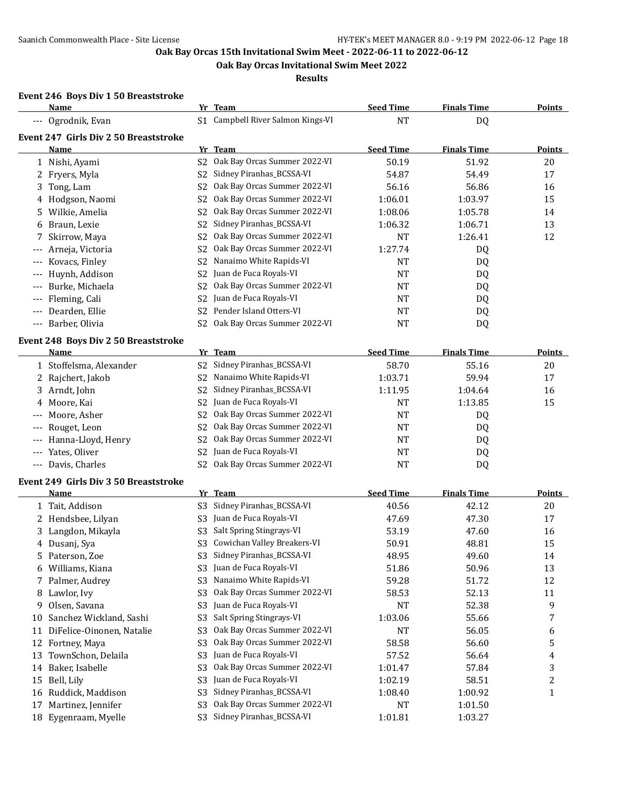**Oak Bay Orcas Invitational Swim Meet 2022**

**Results**

#### **Event 246 Boys Div 1 50 Breaststroke**

|       | Name                                         |                | Yr Team                           | <b>Seed Time</b> | <b>Finals Time</b> | <b>Points</b>           |
|-------|----------------------------------------------|----------------|-----------------------------------|------------------|--------------------|-------------------------|
|       | --- Ogrodnik, Evan                           |                | S1 Campbell River Salmon Kings-VI | <b>NT</b>        | DQ                 |                         |
|       | Event 247 Girls Div 2 50 Breaststroke        |                |                                   |                  |                    |                         |
|       | Name                                         |                | Yr Team                           | <b>Seed Time</b> | <b>Finals Time</b> | <b>Points</b>           |
|       | 1 Nishi, Ayami                               | S <sub>2</sub> | Oak Bay Orcas Summer 2022-VI      | 50.19            | 51.92              | 20                      |
|       | 2 Fryers, Myla                               | S2             | Sidney Piranhas_BCSSA-VI          | 54.87            | 54.49              | 17                      |
| 3     | Tong, Lam                                    | S2             | Oak Bay Orcas Summer 2022-VI      | 56.16            | 56.86              | 16                      |
| 4     | Hodgson, Naomi                               | S2             | Oak Bay Orcas Summer 2022-VI      | 1:06.01          | 1:03.97            | 15                      |
| 5.    | Wilkie, Amelia                               | S2             | Oak Bay Orcas Summer 2022-VI      | 1:08.06          | 1:05.78            | 14                      |
| 6     | Braun, Lexie                                 | S2             | Sidney Piranhas_BCSSA-VI          | 1:06.32          | 1:06.71            | 13                      |
| 7     | Skirrow, Maya                                | S2             | Oak Bay Orcas Summer 2022-VI      | <b>NT</b>        | 1:26.41            | 12                      |
|       | Arneja, Victoria                             | S2             | Oak Bay Orcas Summer 2022-VI      | 1:27.74          | DQ                 |                         |
|       | Kovacs, Finley                               | S2             | Nanaimo White Rapids-VI           | <b>NT</b>        | DQ                 |                         |
|       | Huynh, Addison                               | S2             | Juan de Fuca Royals-VI            | NT               | DQ                 |                         |
|       | Burke, Michaela                              | S2             | Oak Bay Orcas Summer 2022-VI      | NT               | DQ                 |                         |
|       | Fleming, Cali                                | S2             | Juan de Fuca Royals-VI            | NT               | DQ                 |                         |
|       | Dearden, Ellie                               | S2             | Pender Island Otters-VI           | NT               | DQ                 |                         |
| $---$ | Barber, Olivia                               | S2             | Oak Bay Orcas Summer 2022-VI      | <b>NT</b>        | DQ                 |                         |
|       |                                              |                |                                   |                  |                    |                         |
|       | Event 248 Boys Div 2 50 Breaststroke<br>Name |                | Yr Team                           | <b>Seed Time</b> | <b>Finals Time</b> | <b>Points</b>           |
|       | 1 Stoffelsma, Alexander                      | S2             | Sidney Piranhas_BCSSA-VI          | 58.70            | 55.16              | 20                      |
| 2     | Rajchert, Jakob                              | S2             | Nanaimo White Rapids-VI           | 1:03.71          | 59.94              | 17                      |
| 3.    | Arndt, John                                  | S2             | Sidney Piranhas_BCSSA-VI          | 1:11.95          | 1:04.64            | 16                      |
| 4     | Moore, Kai                                   | S <sub>2</sub> | Juan de Fuca Royals-VI            | <b>NT</b>        | 1:13.85            | 15                      |
|       | Moore, Asher                                 | S2             | Oak Bay Orcas Summer 2022-VI      | NT               | DQ                 |                         |
|       | Rouget, Leon                                 | S <sub>2</sub> | Oak Bay Orcas Summer 2022-VI      | NT               |                    |                         |
|       | Hanna-Lloyd, Henry                           | S2             | Oak Bay Orcas Summer 2022-VI      | NT               | DQ<br>DQ           |                         |
|       | Yates, Oliver                                | S2             | Juan de Fuca Royals-VI            | NT               | DQ                 |                         |
| $---$ | Davis, Charles                               | S2             | Oak Bay Orcas Summer 2022-VI      | <b>NT</b>        | DQ                 |                         |
|       |                                              |                |                                   |                  |                    |                         |
|       | Event 249 Girls Div 3 50 Breaststroke        |                |                                   |                  |                    |                         |
|       | Name                                         |                | Yr Team                           | <b>Seed Time</b> | <b>Finals Time</b> | <b>Points</b>           |
|       | 1 Tait, Addison                              | S3             | Sidney Piranhas_BCSSA-VI          | 40.56            | 42.12              | 20                      |
|       | 2 Hendsbee, Lilyan                           | S3             | Juan de Fuca Royals-VI            | 47.69            | 47.30              | 17                      |
|       | 3 Langdon, Mikayla                           | S3             | Salt Spring Stingrays-VI          | 53.19            | 47.60              | 16                      |
|       | 4 Dusanj, Sya                                | S3             | Cowichan Valley Breakers-VI       | 50.91            | 48.81              | 15                      |
| 5     | Paterson, Zoe                                |                | S3 Sidney Piranhas_BCSSA-VI       | 48.95            | 49.60              | 14                      |
|       | 6 Williams, Kiana                            | S3             | Juan de Fuca Royals-VI            | 51.86            | 50.96              | 13                      |
|       | 7 Palmer, Audrey                             | S3             | Nanaimo White Rapids-VI           | 59.28            | 51.72              | 12                      |
|       | 8 Lawlor, Ivy                                | S <sub>3</sub> | Oak Bay Orcas Summer 2022-VI      | 58.53            | 52.13              | 11                      |
| 9     | Olsen, Savana                                | S <sub>3</sub> | Juan de Fuca Royals-VI            | <b>NT</b>        | 52.38              | 9                       |
| 10    | Sanchez Wickland, Sashi                      | S <sub>3</sub> | Salt Spring Stingrays-VI          | 1:03.06          | 55.66              | 7                       |
| 11    | DiFelice-Oinonen, Natalie                    | S <sub>3</sub> | Oak Bay Orcas Summer 2022-VI      | <b>NT</b>        | 56.05              | 6                       |
|       | 12 Fortney, Maya                             | S <sub>3</sub> | Oak Bay Orcas Summer 2022-VI      | 58.58            | 56.60              | 5                       |
| 13    | TownSchon, Delaila                           | S <sub>3</sub> | Juan de Fuca Royals-VI            | 57.52            | 56.64              | 4                       |
|       | 14 Baker, Isabelle                           | S <sub>3</sub> | Oak Bay Orcas Summer 2022-VI      | 1:01.47          | 57.84              | 3                       |
| 15    | Bell, Lily                                   | S <sub>3</sub> | Juan de Fuca Royals-VI            | 1:02.19          | 58.51              | $\overline{\mathbf{c}}$ |
|       | 16 Ruddick, Maddison                         | S <sub>3</sub> | Sidney Piranhas_BCSSA-VI          | 1:08.40          | 1:00.92            | $\mathbf{1}$            |
| 17    | Martinez, Jennifer                           | S <sub>3</sub> | Oak Bay Orcas Summer 2022-VI      | <b>NT</b>        | 1:01.50            |                         |
|       | 18 Eygenraam, Myelle                         | S <sub>3</sub> | Sidney Piranhas_BCSSA-VI          | 1:01.81          | 1:03.27            |                         |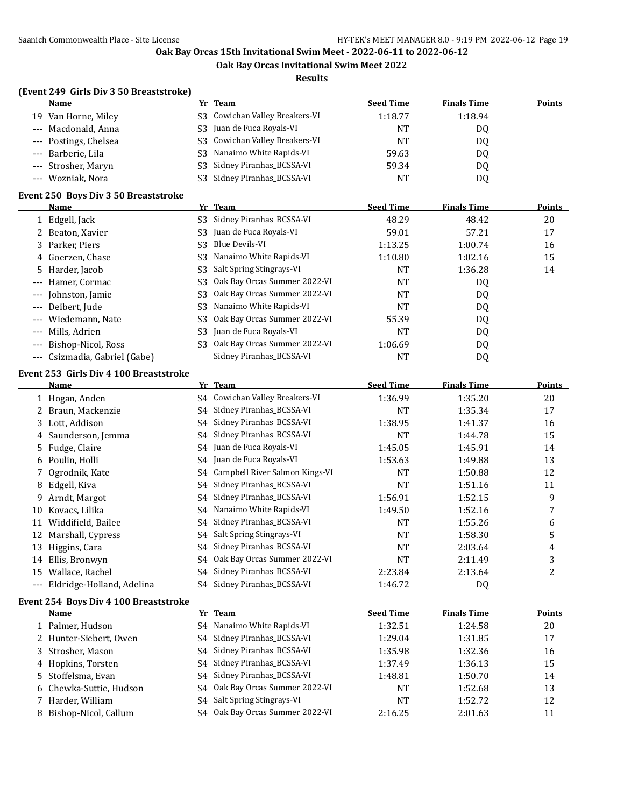**Oak Bay Orcas Invitational Swim Meet 2022**

**Results**

## **(Event 249 Girls Div 3 50 Breaststroke)**

| <b>Name</b>                                 | <b>Yr</b> | <b>Team</b>                  | <b>Seed Time</b> | <b>Finals Time</b> | <b>Points</b> |
|---------------------------------------------|-----------|------------------------------|------------------|--------------------|---------------|
| 19 Van Horne, Miley                         | S3        | Cowichan Valley Breakers-VI  | 1:18.77          | 1:18.94            |               |
| Macdonald, Anna                             | S3        | Juan de Fuca Royals-VI       | <b>NT</b>        | DQ                 |               |
| Postings, Chelsea                           | S3        | Cowichan Valley Breakers-VI  | <b>NT</b>        | DQ                 |               |
| Barberie, Lila                              | S3        | Nanaimo White Rapids-VI      | 59.63            | DQ                 |               |
| Strosher, Maryn                             | S3        | Sidney Piranhas_BCSSA-VI     | 59.34            | DQ                 |               |
| Wozniak, Nora                               | S3        | Sidney Piranhas_BCSSA-VI     | NT               | DQ                 |               |
| <b>Event 250 Boys Div 3 50 Breaststroke</b> |           |                              |                  |                    |               |
| <u>Name</u>                                 |           |                              | <b>Seed Time</b> | <b>Finals Time</b> | <b>Points</b> |
| 1 Edgell, Jack                              | S3        | Sidney Piranhas_BCSSA-VI     | 48.29            | 48.42              | 20            |
| Beaton, Xavier                              | S3        | Juan de Fuca Royals-VI       | 59.01            | 57.21              | 17            |
| Parker, Piers<br>3                          | S3        | <b>Blue Devils-VI</b>        | 1:13.25          | 1:00.74            | 16            |
| Goerzen, Chase<br>4                         | S3        | Nanaimo White Rapids-VI      | 1:10.80          | 1:02.16            | 15            |
| Harder, Jacob<br>5                          | S3        | Salt Spring Stingrays-VI     | <b>NT</b>        | 1:36.28            | 14            |
| Hamer, Cormac                               | S3        | Oak Bay Orcas Summer 2022-VI | <b>NT</b>        | DQ                 |               |
| Johnston, Jamie                             | S3        | Oak Bay Orcas Summer 2022-VI | <b>NT</b>        | DQ                 |               |
| Deibert, Jude                               | S3        | Nanaimo White Rapids-VI      | <b>NT</b>        | DQ                 |               |
| Wiedemann, Nate                             | S3        | Oak Bay Orcas Summer 2022-VI | 55.39            | DQ                 |               |
| Mills, Adrien                               | S3        | Juan de Fuca Royals-VI       | <b>NT</b>        | DQ                 |               |
| Bishop-Nicol, Ross                          | S3        | Oak Bay Orcas Summer 2022-VI | 1:06.69          | DQ                 |               |
| Csizmadia, Gabriel (Gabe)                   |           | Sidney Piranhas_BCSSA-VI     | <b>NT</b>        | DQ                 |               |
|                                             |           |                              | Yr Team          |                    |               |

#### **Event 253 Girls Div 4 100 Breaststroke**

|          | <b>Name</b>                           | Yr | <b>Team</b>                    | <b>Seed Time</b> | <b>Finals Time</b> | <b>Points</b> |
|----------|---------------------------------------|----|--------------------------------|------------------|--------------------|---------------|
|          | 1 Hogan, Anden                        | S4 | Cowichan Valley Breakers-VI    | 1:36.99          | 1:35.20            | 20            |
|          | Braun, Mackenzie                      | S4 | Sidney Piranhas_BCSSA-VI       | <b>NT</b>        | 1:35.34            | 17            |
| 3        | Lott, Addison                         | S4 | Sidney Piranhas_BCSSA-VI       | 1:38.95          | 1:41.37            | 16            |
| 4        | Saunderson, Jemma                     | S4 | Sidney Piranhas_BCSSA-VI       | <b>NT</b>        | 1:44.78            | 15            |
| 5.       | Fudge, Claire                         | S4 | Juan de Fuca Royals-VI         | 1:45.05          | 1:45.91            | 14            |
| 6        | Poulin, Holli                         | S4 | Juan de Fuca Royals-VI         | 1:53.63          | 1:49.88            | 13            |
|          | Ogrodnik, Kate                        | S4 | Campbell River Salmon Kings-VI | <b>NT</b>        | 1:50.88            | 12            |
| 8        | Edgell, Kiva                          | S4 | Sidney Piranhas_BCSSA-VI       | <b>NT</b>        | 1:51.16            | 11            |
| 9        | Arndt, Margot                         | S4 | Sidney Piranhas_BCSSA-VI       | 1:56.91          | 1:52.15            | 9             |
| 10       | Kovacs, Lilika                        | S4 | Nanaimo White Rapids-VI        | 1:49.50          | 1:52.16            | 7             |
| 11       | Widdifield, Bailee                    | S4 | Sidney Piranhas_BCSSA-VI       | <b>NT</b>        | 1:55.26            | 6             |
| 12       | Marshall, Cypress                     | S4 | Salt Spring Stingrays-VI       | <b>NT</b>        | 1:58.30            | 5             |
| 13       | Higgins, Cara                         | S4 | Sidney Piranhas_BCSSA-VI       | <b>NT</b>        | 2:03.64            | 4             |
| 14       | Ellis, Bronwyn                        | S4 | Oak Bay Orcas Summer 2022-VI   | <b>NT</b>        | 2:11.49            | 3             |
| 15       | Wallace, Rachel                       | S4 | Sidney Piranhas_BCSSA-VI       | 2:23.84          | 2:13.64            | 2             |
| $\cdots$ | Eldridge-Holland, Adelina             | S4 | Sidney Piranhas_BCSSA-VI       | 1:46.72          | DQ                 |               |
|          | Event 254 Boys Div 4 100 Breaststroke |    |                                |                  |                    |               |
|          | Name                                  |    | Yr Team                        | <b>Seed Time</b> | <b>Finals Time</b> | <b>Points</b> |
|          | 1 Palmer, Hudson                      | S4 | Nanaimo White Rapids-VI        | 1:32.51          | 1:24.58            | 20            |
|          | 2 Hunter-Siebert, Owen                | S4 | Sidney Piranhas_BCSSA-VI       | 1:29.04          | 1:31.85            | 17            |
| 3.       | Strosher, Mason                       | S4 | Sidney Piranhas_BCSSA-VI       | 1:35.98          | 1:32.36            | 16            |
| 4        | Hopkins, Torsten                      | S4 | Sidney Piranhas_BCSSA-VI       | 1:37.49          | 1:36.13            | 15            |
| 5.       | Stoffelsma, Evan                      | S4 | Sidney Piranhas_BCSSA-VI       | 1:48.81          | 1:50.70            | 14            |
| 6        | Chewka-Suttie, Hudson                 | S4 | Oak Bay Orcas Summer 2022-VI   | <b>NT</b>        | 1:52.68            | 13            |
|          | Harder, William                       | S4 | Salt Spring Stingrays-VI       | <b>NT</b>        | 1:52.72            | 12            |
| 8        | Bishop-Nicol, Callum                  | S4 | Oak Bay Orcas Summer 2022-VI   | 2:16.25          | 2:01.63            | 11            |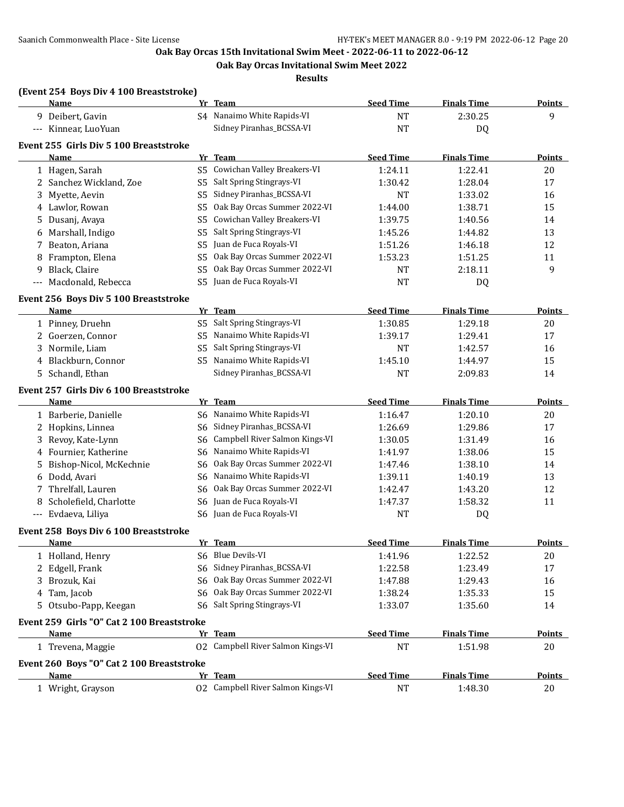**Oak Bay Orcas Invitational Swim Meet 2022**

**Results**

#### **(Event 254 Boys Div 4 100 Breaststroke)**

|                      | Name                                           |     | Yr Team                                                 | <b>Seed Time</b> | <b>Finals Time</b> | <b>Points</b> |
|----------------------|------------------------------------------------|-----|---------------------------------------------------------|------------------|--------------------|---------------|
|                      | 9 Deibert, Gavin                               |     | S4 Nanaimo White Rapids-VI                              | <b>NT</b>        | 2:30.25            | 9             |
|                      | --- Kinnear, LuoYuan                           |     | Sidney Piranhas_BCSSA-VI                                | <b>NT</b>        | DQ                 |               |
|                      |                                                |     |                                                         |                  |                    |               |
|                      | Event 255 Girls Div 5 100 Breaststroke<br>Name |     | Yr Team                                                 | <b>Seed Time</b> | <b>Finals Time</b> | <b>Points</b> |
|                      | 1 Hagen, Sarah                                 |     | S5 Cowichan Valley Breakers-VI                          | 1:24.11          | 1:22.41            | 20            |
|                      |                                                |     | Salt Spring Stingrays-VI                                |                  | 1:28.04            |               |
|                      | 2 Sanchez Wickland, Zoe                        | S5. | S5 Sidney Piranhas_BCSSA-VI                             | 1:30.42          |                    | 17            |
| 3                    | Myette, Aevin                                  |     | Oak Bay Orcas Summer 2022-VI                            | <b>NT</b>        | 1:33.02            | 16            |
|                      | 4 Lawlor, Rowan                                | S5. |                                                         | 1:44.00          | 1:38.71            | 15            |
|                      | 5 Dusanj, Avaya                                | S5  | Cowichan Valley Breakers-VI<br>Salt Spring Stingrays-VI | 1:39.75          | 1:40.56            | 14            |
| 6                    | Marshall, Indigo                               | S5  |                                                         | 1:45.26          | 1:44.82            | 13            |
|                      | 7 Beaton, Ariana                               | S5  | Juan de Fuca Royals-VI                                  | 1:51.26          | 1:46.18            | 12            |
| 8                    | Frampton, Elena                                |     | S5 Oak Bay Orcas Summer 2022-VI                         | 1:53.23          | 1:51.25            | 11            |
| 9                    | Black, Claire                                  | S5  | Oak Bay Orcas Summer 2022-VI                            | <b>NT</b>        | 2:18.11            | 9             |
| $\scriptstyle\cdots$ | Macdonald, Rebecca                             | S5. | Juan de Fuca Royals-VI                                  | <b>NT</b>        | DQ                 |               |
|                      | Event 256 Boys Div 5 100 Breaststroke          |     |                                                         |                  |                    |               |
|                      | Name                                           |     | Yr Team                                                 | <b>Seed Time</b> | <b>Finals Time</b> | Points        |
|                      | 1 Pinney, Druehn                               |     | S5 Salt Spring Stingrays-VI                             | 1:30.85          | 1:29.18            | 20            |
|                      | 2 Goerzen, Connor                              | S5  | Nanaimo White Rapids-VI                                 | 1:39.17          | 1:29.41            | 17            |
|                      | 3 Normile, Liam                                | S5  | Salt Spring Stingrays-VI                                | <b>NT</b>        | 1:42.57            | 16            |
|                      | 4 Blackburn, Connor                            |     | S5 Nanaimo White Rapids-VI                              | 1:45.10          | 1:44.97            | 15            |
|                      | 5 Schandl, Ethan                               |     | Sidney Piranhas_BCSSA-VI                                | <b>NT</b>        | 2:09.83            | 14            |
|                      | Event 257 Girls Div 6 100 Breaststroke         |     |                                                         |                  |                    |               |
|                      | Name                                           |     | Yr Team                                                 | <b>Seed Time</b> | <b>Finals Time</b> | <b>Points</b> |
|                      | 1 Barberie, Danielle                           |     | S6 Nanaimo White Rapids-VI                              | 1:16.47          | 1:20.10            | 20            |
|                      | 2 Hopkins, Linnea                              |     | S6 Sidney Piranhas_BCSSA-VI                             | 1:26.69          | 1:29.86            | 17            |
|                      | 3 Revoy, Kate-Lynn                             | S6  | Campbell River Salmon Kings-VI                          | 1:30.05          | 1:31.49            | 16            |
|                      | 4 Fournier, Katherine                          |     | Nanaimo White Rapids-VI                                 | 1:41.97          | 1:38.06            | 15            |
|                      |                                                | S6. | Oak Bay Orcas Summer 2022-VI                            |                  |                    |               |
|                      | 5 Bishop-Nicol, McKechnie                      | S6  |                                                         | 1:47.46          | 1:38.10            | 14            |
|                      | 6 Dodd, Avari                                  |     | S6 Nanaimo White Rapids-VI                              | 1:39.11          | 1:40.19            | 13            |
|                      | 7 Threlfall, Lauren                            | S6  | Oak Bay Orcas Summer 2022-VI                            | 1:42.47          | 1:43.20            | 12            |
| 8                    | Scholefield, Charlotte                         | S6  | Juan de Fuca Royals-VI                                  | 1:47.37          | 1:58.32            | 11            |
|                      | --- Evdaeva, Liliya                            |     | S6 Juan de Fuca Royals-VI                               | <b>NT</b>        | DQ                 |               |
|                      | Event 258 Boys Div 6 100 Breaststroke          |     |                                                         |                  |                    |               |
|                      | Name                                           |     | Yr Team                                                 | <b>Seed Time</b> | <b>Finals Time</b> | <b>Points</b> |
|                      | 1 Holland, Henry                               |     | S6 Blue Devils-VI                                       | 1:41.96          | 1:22.52            | 20            |
|                      | 2 Edgell, Frank                                |     | S6 Sidney Piranhas_BCSSA-VI                             | 1:22.58          | 1:23.49            | 17            |
|                      | 3 Brozuk, Kai                                  |     | S6 Oak Bay Orcas Summer 2022-VI                         | 1:47.88          | 1:29.43            | 16            |
|                      | 4 Tam, Jacob                                   |     | S6 Oak Bay Orcas Summer 2022-VI                         | 1:38.24          | 1:35.33            | 15            |
|                      | 5 Otsubo-Papp, Keegan                          |     | S6 Salt Spring Stingrays-VI                             | 1:33.07          | 1:35.60            | 14            |
|                      | Event 259 Girls "O" Cat 2 100 Breaststroke     |     |                                                         |                  |                    |               |
|                      | Name                                           |     | Yr Team                                                 | <b>Seed Time</b> | <b>Finals Time</b> | <b>Points</b> |
|                      | 1 Trevena, Maggie                              |     | 02 Campbell River Salmon Kings-VI                       | <b>NT</b>        | 1:51.98            | 20            |
|                      |                                                |     |                                                         |                  |                    |               |
|                      | Event 260 Boys "O" Cat 2 100 Breaststroke      |     |                                                         |                  |                    |               |
|                      | <b>Name</b>                                    |     | Yr Team                                                 | <b>Seed Time</b> | <b>Finals Time</b> | <b>Points</b> |
|                      | 1 Wright, Grayson                              |     | 02 Campbell River Salmon Kings-VI                       | <b>NT</b>        | 1:48.30            | 20            |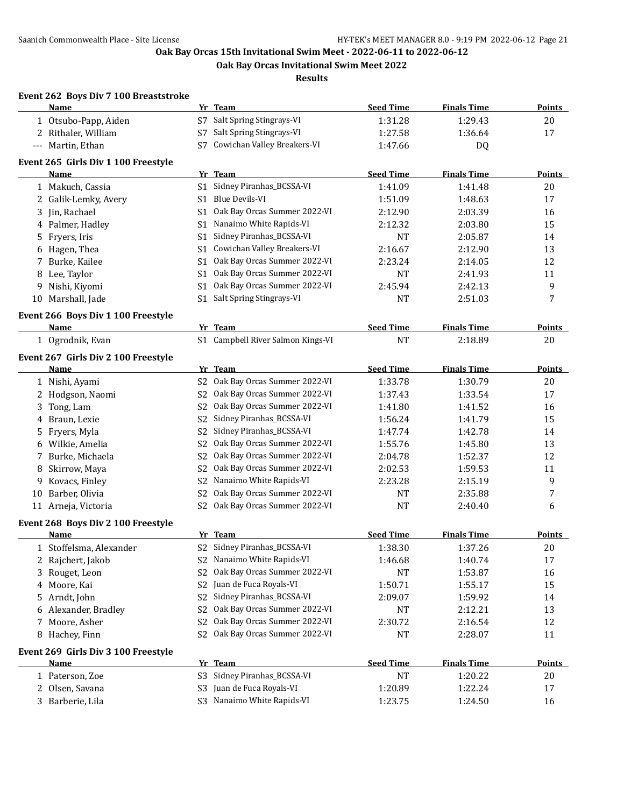**Oak Bay Orcas Invitational Swim Meet 2022**

**Results**

## **Event 262 Boys Div 7 100 Breaststroke**

|    | <b>Name</b>                         |                | Yr Team                             | <b>Seed Time</b> | <b>Finals Time</b> | <b>Points</b> |
|----|-------------------------------------|----------------|-------------------------------------|------------------|--------------------|---------------|
|    | 1 Otsubo-Papp, Aiden                | S7             | Salt Spring Stingrays-VI            | 1:31.28          | 1:29.43            | 20            |
|    | 2 Rithaler, William                 | S7             | Salt Spring Stingrays-VI            | 1:27.58          | 1:36.64            | 17            |
|    | --- Martin, Ethan                   | S7             | Cowichan Valley Breakers-VI         | 1:47.66          | DQ                 |               |
|    | Event 265 Girls Div 1 100 Freestyle |                |                                     |                  |                    |               |
|    | Name                                |                | Yr Team                             | <b>Seed Time</b> | <b>Finals Time</b> | <b>Points</b> |
|    | 1 Makuch, Cassia                    | S1             | Sidney Piranhas_BCSSA-VI            | 1:41.09          | 1:41.48            | 20            |
|    | 2 Galik-Lemky, Avery                | S1             | Blue Devils-VI                      | 1:51.09          | 1:48.63            | 17            |
|    | 3 Jin, Rachael                      | S1             | Oak Bay Orcas Summer 2022-VI        | 2:12.90          | 2:03.39            | 16            |
|    | 4 Palmer, Hadley                    | S1             | Nanaimo White Rapids-VI             | 2:12.32          | 2:03.80            | 15            |
|    | 5 Fryers, Iris                      | S1             | Sidney Piranhas_BCSSA-VI            | <b>NT</b>        | 2:05.87            | 14            |
| 6  | Hagen, Thea                         | S1             | Cowichan Valley Breakers-VI         | 2:16.67          | 2:12.90            | 13            |
|    | 7 Burke, Kailee                     | S1             | Oak Bay Orcas Summer 2022-VI        | 2:23.24          | 2:14.05            | 12            |
|    | 8 Lee, Taylor                       | S1             | Oak Bay Orcas Summer 2022-VI        | <b>NT</b>        | 2:41.93            | 11            |
| 9  | Nishi, Kiyomi                       | S1             | Oak Bay Orcas Summer 2022-VI        | 2:45.94          | 2:42.13            | 9             |
|    | 10 Marshall, Jade                   | S1             | Salt Spring Stingrays-VI            | <b>NT</b>        | 2:51.03            | 7             |
|    |                                     |                |                                     |                  |                    |               |
|    | Event 266 Boys Div 1 100 Freestyle  |                |                                     |                  |                    |               |
|    | Name                                |                | Yr Team                             | <b>Seed Time</b> | <b>Finals Time</b> | <b>Points</b> |
|    | 1 Ogrodnik, Evan                    |                | S1 Campbell River Salmon Kings-VI   | <b>NT</b>        | 2:18.89            | 20            |
|    | Event 267 Girls Div 2 100 Freestyle |                |                                     |                  |                    |               |
|    | Name                                |                | Yr Team                             | <b>Seed Time</b> | <b>Finals Time</b> | Points        |
|    | 1 Nishi, Ayami                      | S <sub>2</sub> | Oak Bay Orcas Summer 2022-VI        | 1:33.78          | 1:30.79            | 20            |
|    | 2 Hodgson, Naomi                    | S <sub>2</sub> | Oak Bay Orcas Summer 2022-VI        | 1:37.43          | 1:33.54            | 17            |
|    | 3 Tong, Lam                         | S <sub>2</sub> | Oak Bay Orcas Summer 2022-VI        | 1:41.80          | 1:41.52            | 16            |
|    | 4 Braun, Lexie                      | S2             | Sidney Piranhas_BCSSA-VI            | 1:56.24          | 1:41.79            | 15            |
|    | 5 Fryers, Myla                      | S2             | Sidney Piranhas_BCSSA-VI            | 1:47.74          | 1:42.78            | 14            |
|    | 6 Wilkie, Amelia                    | S2             | Oak Bay Orcas Summer 2022-VI        | 1:55.76          | 1:45.80            | 13            |
|    | 7 Burke, Michaela                   | S <sub>2</sub> | Oak Bay Orcas Summer 2022-VI        | 2:04.78          | 1:52.37            | 12            |
| 8  | Skirrow, Maya                       | S <sub>2</sub> | Oak Bay Orcas Summer 2022-VI        | 2:02.53          | 1:59.53            | 11            |
| 9  | Kovacs, Finley                      | S <sub>2</sub> | Nanaimo White Rapids-VI             | 2:23.28          | 2:15.19            | 9             |
| 10 | Barber, Olivia                      | S <sub>2</sub> | Oak Bay Orcas Summer 2022-VI        | <b>NT</b>        | 2:35.88            | 7             |
|    | 11 Arneja, Victoria                 | S2             | Oak Bay Orcas Summer 2022-VI        | <b>NT</b>        | 2:40.40            | 6             |
|    | Event 268 Boys Div 2 100 Freestyle  |                |                                     |                  |                    |               |
|    | <b>Name</b>                         |                | Yr Team                             | <b>Seed Time</b> | <b>Finals Time</b> | <b>Points</b> |
|    | 1 Stoffelsma, Alexander             |                | S2 Sidney Piranhas_BCSSA-VI         | 1:38.30          | 1:37.26            | 20            |
|    | 2 Rajchert, Jakob                   |                | S2 Nanaimo White Rapids-VI          | 1:46.68          | 1:40.74            | $17\,$        |
|    | 3 Rouget, Leon                      |                | S2 Oak Bay Orcas Summer 2022-VI     | NT               | 1:53.87            | 16            |
|    | 4 Moore, Kai                        | S <sub>2</sub> | Juan de Fuca Royals-VI              | 1:50.71          | 1:55.17            | 15            |
|    | 5 Arndt, John                       | S <sub>2</sub> | Sidney Piranhas_BCSSA-VI            | 2:09.07          | 1:59.92            | 14            |
|    | 6 Alexander, Bradley                | S <sub>2</sub> | Oak Bay Orcas Summer 2022-VI        | NT               | 2:12.21            | 13            |
|    | 7 Moore, Asher                      | S2             | Oak Bay Orcas Summer 2022-VI        | 2:30.72          | 2:16.54            | 12            |
|    | 8 Hachey, Finn                      | S2             | Oak Bay Orcas Summer 2022-VI        | <b>NT</b>        | 2:28.07            | 11            |
|    |                                     |                |                                     |                  |                    |               |
|    | Event 269 Girls Div 3 100 Freestyle |                |                                     |                  |                    |               |
|    | <b>Name</b>                         |                | Yr Team<br>Sidney Piranhas_BCSSA-VI | <b>Seed Time</b> | <b>Finals Time</b> | Points        |
|    | 1 Paterson, Zoe                     | S3             |                                     | <b>NT</b>        | 1:20.22            | 20            |
|    | 2 Olsen, Savana                     |                | S3 Juan de Fuca Royals-VI           | 1:20.89          | 1:22.24            | 17            |
|    | 3 Barberie, Lila                    |                | S3 Nanaimo White Rapids-VI          | 1:23.75          | 1:24.50            | 16            |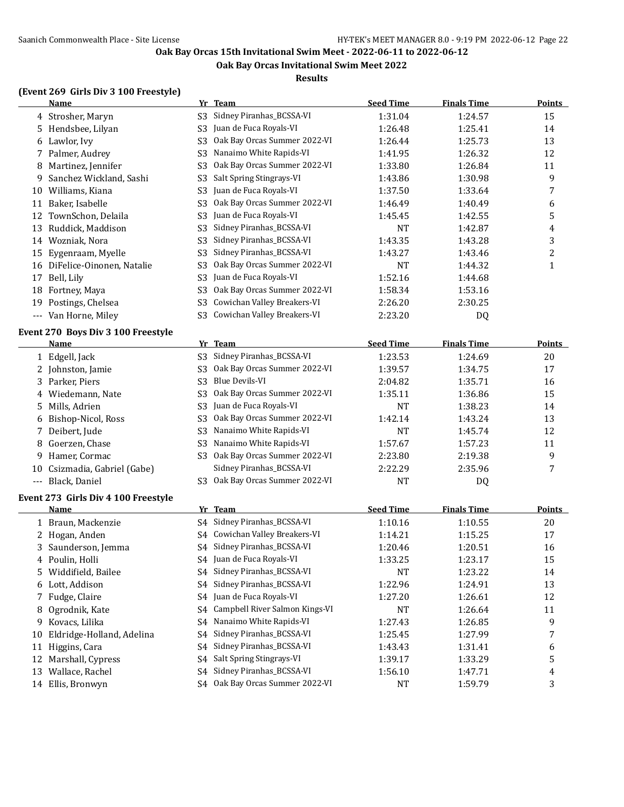**Oak Bay Orcas Invitational Swim Meet 2022**

#### **Results**

#### **(Event 269 Girls Div 3 100 Freestyle)**

|       | <b>Name</b>                         |                | Yr Team                                                       | <b>Seed Time</b> | <b>Finals Time</b> | <b>Points</b>  |
|-------|-------------------------------------|----------------|---------------------------------------------------------------|------------------|--------------------|----------------|
|       | 4 Strosher, Maryn                   | S <sub>3</sub> | Sidney Piranhas_BCSSA-VI                                      | 1:31.04          | 1:24.57            | 15             |
| 5.    | Hendsbee, Lilyan                    | S <sub>3</sub> | Juan de Fuca Royals-VI                                        | 1:26.48          | 1:25.41            | 14             |
|       | 6 Lawlor, Ivy                       | S <sub>3</sub> | Oak Bay Orcas Summer 2022-VI                                  | 1:26.44          | 1:25.73            | 13             |
| 7     | Palmer, Audrey                      | S <sub>3</sub> | Nanaimo White Rapids-VI                                       | 1:41.95          | 1:26.32            | 12             |
| 8     | Martinez, Jennifer                  | S <sub>3</sub> | Oak Bay Orcas Summer 2022-VI                                  | 1:33.80          | 1:26.84            | 11             |
| 9     | Sanchez Wickland, Sashi             | S <sub>3</sub> | Salt Spring Stingrays-VI                                      | 1:43.86          | 1:30.98            | 9              |
| 10    | Williams, Kiana                     | S <sub>3</sub> | Juan de Fuca Royals-VI                                        | 1:37.50          | 1:33.64            | 7              |
|       | 11 Baker, Isabelle                  | S <sub>3</sub> | Oak Bay Orcas Summer 2022-VI                                  | 1:46.49          | 1:40.49            | 6              |
| 12    | TownSchon, Delaila                  | S <sub>3</sub> | Juan de Fuca Royals-VI                                        | 1:45.45          | 1:42.55            | 5              |
| 13    | Ruddick, Maddison                   | S <sub>3</sub> | Sidney Piranhas_BCSSA-VI                                      | <b>NT</b>        | 1:42.87            | 4              |
|       | 14 Wozniak, Nora                    | S <sub>3</sub> | Sidney Piranhas_BCSSA-VI                                      | 1:43.35          | 1:43.28            | 3              |
| 15    | Eygenraam, Myelle                   | S <sub>3</sub> | Sidney Piranhas_BCSSA-VI                                      | 1:43.27          | 1:43.46            | $\overline{c}$ |
| 16    | DiFelice-Oinonen, Natalie           | S <sub>3</sub> | Oak Bay Orcas Summer 2022-VI                                  | <b>NT</b>        | 1:44.32            | $\mathbf{1}$   |
| 17    | Bell, Lily                          | S <sub>3</sub> | Juan de Fuca Royals-VI                                        | 1:52.16          | 1:44.68            |                |
| 18    | Fortney, Maya                       | S <sub>3</sub> | Oak Bay Orcas Summer 2022-VI                                  | 1:58.34          | 1:53.16            |                |
| 19    | Postings, Chelsea                   | S <sub>3</sub> | Cowichan Valley Breakers-VI                                   | 2:26.20          | 2:30.25            |                |
|       | --- Van Horne, Miley                | S <sub>3</sub> | Cowichan Valley Breakers-VI                                   | 2:23.20          | DQ                 |                |
|       | Event 270 Boys Div 3 100 Freestyle  |                |                                                               |                  |                    |                |
|       | Name                                |                | Yr Team                                                       | <b>Seed Time</b> | <b>Finals Time</b> | <b>Points</b>  |
|       | 1 Edgell, Jack                      | S <sub>3</sub> | Sidney Piranhas_BCSSA-VI                                      | 1:23.53          | 1:24.69            | 20             |
| 2     | Johnston, Jamie                     | S <sub>3</sub> | Oak Bay Orcas Summer 2022-VI                                  | 1:39.57          | 1:34.75            | 17             |
| 3     | Parker, Piers                       | S <sub>3</sub> | <b>Blue Devils-VI</b>                                         | 2:04.82          | 1:35.71            | 16             |
| 4     | Wiedemann, Nate                     | S <sub>3</sub> | Oak Bay Orcas Summer 2022-VI                                  | 1:35.11          | 1:36.86            | 15             |
| 5     | Mills, Adrien                       | S <sub>3</sub> | Juan de Fuca Royals-VI                                        | <b>NT</b>        | 1:38.23            | 14             |
| 6     | Bishop-Nicol, Ross                  | S <sub>3</sub> | Oak Bay Orcas Summer 2022-VI                                  | 1:42.14          | 1:43.24            | 13             |
| 7     | Deibert, Jude                       | S <sub>3</sub> | Nanaimo White Rapids-VI                                       | <b>NT</b>        | 1:45.74            | 12             |
| 8     | Goerzen, Chase                      | S <sub>3</sub> | Nanaimo White Rapids-VI                                       | 1:57.67          | 1:57.23            | 11             |
| 9     | Hamer, Cormac                       | S <sub>3</sub> | Oak Bay Orcas Summer 2022-VI                                  | 2:23.80          | 2:19.38            | 9              |
| 10    | Csizmadia, Gabriel (Gabe)           |                | Sidney Piranhas_BCSSA-VI                                      | 2:22.29          | 2:35.96            | 7              |
| $---$ | Black, Daniel                       | S3             | Oak Bay Orcas Summer 2022-VI                                  | <b>NT</b>        | DQ                 |                |
|       |                                     |                |                                                               |                  |                    |                |
|       | Event 273 Girls Div 4 100 Freestyle |                |                                                               |                  |                    |                |
|       | Name                                |                | Yr Team                                                       | <b>Seed Time</b> | <b>Finals Time</b> | <b>Points</b>  |
|       | 1 Braun, Mackenzie                  | S4             | Sidney Piranhas_BCSSA-VI                                      | 1:10.16          | 1:10.55            | 20             |
| 2     | Hogan, Anden                        |                | S4 Cowichan Valley Breakers-VI<br>S4 Sidney Piranhas_BCSSA-VI | 1:14.21          | 1:15.25            | 17             |
|       | 3 Saunderson, Jemma                 |                | S4 Juan de Fuca Royals-VI                                     | 1:20.46          | 1:20.51            | 16             |
| 4     | Poulin, Holli                       |                |                                                               | 1:33.25          | 1:23.17            | 15             |
| 5     | Widdifield, Bailee                  | S4             | Sidney Piranhas_BCSSA-VI<br>Sidney Piranhas_BCSSA-VI          | NT               | 1:23.22            | 14             |
| 6     | Lott, Addison                       | S4             |                                                               | 1:22.96          | 1:24.91            | 13             |
| 7     | Fudge, Claire                       | S4             | Juan de Fuca Royals-VI<br>Campbell River Salmon Kings-VI      | 1:27.20          | 1:26.61            | 12             |
| 8     | Ogrodnik, Kate                      | S4             |                                                               | <b>NT</b>        | 1:26.64            | 11             |
| 9     | Kovacs, Lilika                      | S4             | Nanaimo White Rapids-VI                                       | 1:27.43          | 1:26.85            | 9              |
| 10    | Eldridge-Holland, Adelina           | S4             | Sidney Piranhas_BCSSA-VI                                      | 1:25.45          | 1:27.99            | 7              |
| 11    | Higgins, Cara                       | S4             | Sidney Piranhas_BCSSA-VI                                      | 1:43.43          | 1:31.41            | 6              |
|       | 12 Marshall, Cypress                | S4             | Salt Spring Stingrays-VI                                      | 1:39.17          | 1:33.29            | 5              |
|       | 13 Wallace, Rachel                  | S4             | Sidney Piranhas_BCSSA-VI<br>Oak Bay Orcas Summer 2022-VI      | 1:56.10          | 1:47.71            | 4              |
|       | 14 Ellis, Bronwyn                   | S4             |                                                               | <b>NT</b>        | 1:59.79            | 3              |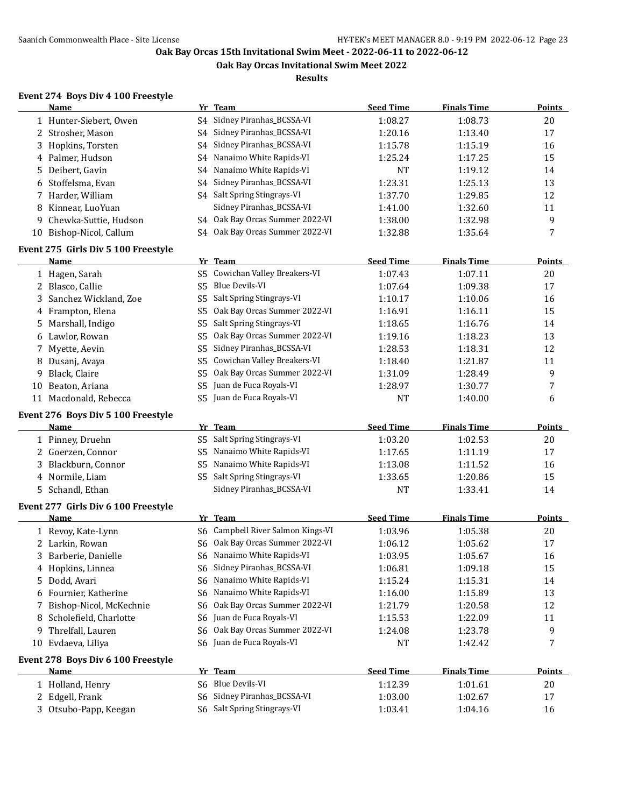**Oak Bay Orcas Invitational Swim Meet 2022**

**Results**

#### **Event 274 Boys Div 4 100 Freestyle**

|    | Name                                              |                | Yr Team                           | <b>Seed Time</b> | <b>Finals Time</b> | Points        |
|----|---------------------------------------------------|----------------|-----------------------------------|------------------|--------------------|---------------|
|    | 1 Hunter-Siebert, Owen                            |                | S4 Sidney Piranhas_BCSSA-VI       | 1:08.27          | 1:08.73            | 20            |
|    | 2 Strosher, Mason                                 | S4             | Sidney Piranhas_BCSSA-VI          | 1:20.16          | 1:13.40            | 17            |
| 3  | Hopkins, Torsten                                  | S4             | Sidney Piranhas_BCSSA-VI          | 1:15.78          | 1:15.19            | 16            |
|    | 4 Palmer, Hudson                                  | S4             | Nanaimo White Rapids-VI           | 1:25.24          | 1:17.25            | 15            |
| 5  | Deibert, Gavin                                    | S4             | Nanaimo White Rapids-VI           | <b>NT</b>        | 1:19.12            | 14            |
| 6  | Stoffelsma, Evan                                  | S4             | Sidney Piranhas_BCSSA-VI          | 1:23.31          | 1:25.13            | 13            |
|    | Harder, William                                   |                | S4 Salt Spring Stingrays-VI       | 1:37.70          | 1:29.85            | 12            |
| 8  | Kinnear, LuoYuan                                  |                | Sidney Piranhas_BCSSA-VI          | 1:41.00          | 1:32.60            | 11            |
| 9  | Chewka-Suttie, Hudson                             |                | S4 Oak Bay Orcas Summer 2022-VI   | 1:38.00          | 1:32.98            | 9             |
|    | 10 Bishop-Nicol, Callum                           |                | S4 Oak Bay Orcas Summer 2022-VI   | 1:32.88          | 1:35.64            | 7             |
|    | Event 275 Girls Div 5 100 Freestyle               |                |                                   |                  |                    |               |
|    | Name                                              |                | Yr Team                           | <b>Seed Time</b> | <b>Finals Time</b> | <b>Points</b> |
|    | 1 Hagen, Sarah                                    |                | S5 Cowichan Valley Breakers-VI    | 1:07.43          | 1:07.11            | 20            |
|    | 2 Blasco, Callie                                  | S <sub>5</sub> | Blue Devils-VI                    | 1:07.64          | 1:09.38            | 17            |
| 3  | Sanchez Wickland, Zoe                             | S <sub>5</sub> | Salt Spring Stingrays-VI          | 1:10.17          | 1:10.06            | 16            |
| 4  | Frampton, Elena                                   | S5             | Oak Bay Orcas Summer 2022-VI      | 1:16.91          | 1:16.11            | 15            |
| 5  | Marshall, Indigo                                  | S5             | Salt Spring Stingrays-VI          | 1:18.65          | 1:16.76            | 14            |
| 6  | Lawlor, Rowan                                     | S5             | Oak Bay Orcas Summer 2022-VI      | 1:19.16          | 1:18.23            | 13            |
| 7  | Myette, Aevin                                     | S5             | Sidney Piranhas_BCSSA-VI          | 1:28.53          | 1:18.31            | 12            |
|    |                                                   | S5             | Cowichan Valley Breakers-VI       |                  | 1:21.87            | 11            |
| 8  | Dusanj, Avaya                                     |                | Oak Bay Orcas Summer 2022-VI      | 1:18.40          |                    |               |
| 9  | Black, Claire                                     | S5             | Juan de Fuca Royals-VI            | 1:31.09          | 1:28.49            | 9             |
| 10 | Beaton, Ariana                                    | S <sub>5</sub> |                                   | 1:28.97          | 1:30.77            | 7             |
|    | 11 Macdonald, Rebecca                             |                | S5 Juan de Fuca Royals-VI         | <b>NT</b>        | 1:40.00            | 6             |
|    | Event 276 Boys Div 5 100 Freestyle                |                |                                   |                  |                    |               |
|    | Name                                              |                | Yr Team                           | <b>Seed Time</b> | <b>Finals Time</b> | <b>Points</b> |
|    | 1 Pinney, Druehn                                  | S <sub>5</sub> | Salt Spring Stingrays-VI          | 1:03.20          | 1:02.53            | 20            |
|    | 2 Goerzen, Connor                                 | S5             | Nanaimo White Rapids-VI           | 1:17.65          | 1:11.19            | 17            |
| 3  | Blackburn, Connor                                 | S5             | Nanaimo White Rapids-VI           | 1:13.08          | 1:11.52            | 16            |
|    | 4 Normile, Liam                                   | S5             | Salt Spring Stingrays-VI          | 1:33.65          | 1:20.86            | 15            |
| 5. | Schandl, Ethan                                    |                | Sidney Piranhas_BCSSA-VI          | <b>NT</b>        | 1:33.41            | 14            |
|    | Event 277 Girls Div 6 100 Freestyle               |                |                                   |                  |                    |               |
|    | Name                                              |                | Yr Team                           | <b>Seed Time</b> | <b>Finals Time</b> | <b>Points</b> |
|    | 1 Revoy, Kate-Lynn                                |                | S6 Campbell River Salmon Kings-VI | 1:03.96          | 1:05.38            | 20            |
|    | 2 Larkin, Rowan                                   |                | S6 Oak Bay Orcas Summer 2022-VI   | 1:06.12          | 1:05.62            | 17            |
| 3  | Barberie, Danielle                                |                | S6 Nanaimo White Rapids-VI        | 1:03.95          | 1:05.67            | 16            |
|    | 4 Hopkins, Linnea                                 |                | S6 Sidney Piranhas_BCSSA-VI       | 1:06.81          | 1:09.18            | 15            |
| 5  | Dodd, Avari                                       | S6             | Nanaimo White Rapids-VI           | 1:15.24          | 1:15.31            | 14            |
|    | 6 Fournier, Katherine                             | S6             | Nanaimo White Rapids-VI           | 1:16.00          | 1:15.89            | 13            |
| 7  | Bishop-Nicol, McKechnie                           | S6             | Oak Bay Orcas Summer 2022-VI      | 1:21.79          | 1:20.58            | 12            |
| 8  | Scholefield, Charlotte                            | S6             | Juan de Fuca Royals-VI            | 1:15.53          | 1:22.09            | 11            |
| 9  | Threlfall, Lauren                                 | S6             | Oak Bay Orcas Summer 2022-VI      | 1:24.08          | 1:23.78            | 9             |
|    | 10 Evdaeva, Liliya                                |                | S6 Juan de Fuca Royals-VI         | NT               | 1:42.42            | 7             |
|    |                                                   |                |                                   |                  |                    |               |
|    | Event 278 Boys Div 6 100 Freestyle<br><b>Name</b> |                | Yr Team                           | <b>Seed Time</b> | <b>Finals Time</b> | <b>Points</b> |
|    |                                                   |                | S6 Blue Devils-VI                 |                  |                    |               |
|    | 1 Holland, Henry                                  |                | S6 Sidney Piranhas_BCSSA-VI       | 1:12.39          | 1:01.61            | 20            |
|    | 2 Edgell, Frank                                   |                | S6 Salt Spring Stingrays-VI       | 1:03.00          | 1:02.67            | 17            |
|    | 3 Otsubo-Papp, Keegan                             |                |                                   | 1:03.41          | 1:04.16            | 16            |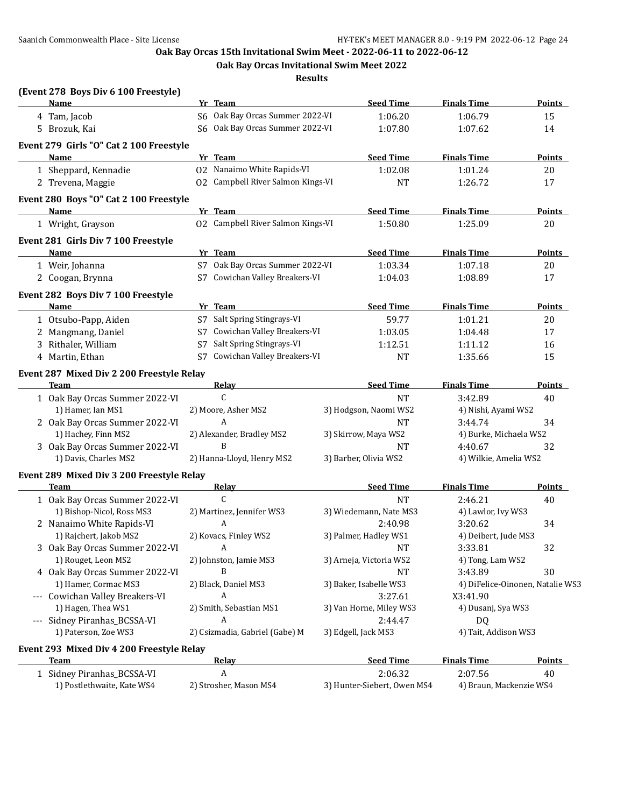**Oak Bay Orcas Invitational Swim Meet 2022**

**Results**

| (Event 278 Boys Div 6 100 Freestyle)<br>Name             |    | Yr Team                           | <b>Seed Time</b>        | <b>Finals Time</b>     | <b>Points</b>                    |
|----------------------------------------------------------|----|-----------------------------------|-------------------------|------------------------|----------------------------------|
| 4 Tam, Jacob                                             |    | S6 Oak Bay Orcas Summer 2022-VI   | 1:06.20                 | 1:06.79                | 15                               |
| 5 Brozuk, Kai                                            |    | S6 Oak Bay Orcas Summer 2022-VI   | 1:07.80                 | 1:07.62                | 14                               |
| Event 279 Girls "O" Cat 2 100 Freestyle                  |    |                                   |                         |                        |                                  |
| <b>Name</b>                                              |    | Yr Team                           | <b>Seed Time</b>        | <b>Finals Time</b>     | <b>Points</b>                    |
| 1 Sheppard, Kennadie                                     |    | 02 Nanaimo White Rapids-VI        | 1:02.08                 | 1:01.24                | 20                               |
| 2 Trevena, Maggie                                        |    | 02 Campbell River Salmon Kings-VI | <b>NT</b>               | 1:26.72                | 17                               |
| Event 280 Boys "O" Cat 2 100 Freestyle                   |    |                                   |                         |                        |                                  |
| Name                                                     |    | Yr Team                           | <b>Seed Time</b>        | <b>Finals Time</b>     | <b>Points</b>                    |
| 1 Wright, Grayson                                        |    | 02 Campbell River Salmon Kings-VI | 1:50.80                 | 1:25.09                | 20                               |
| Event 281 Girls Div 7 100 Freestyle                      |    |                                   |                         |                        |                                  |
| Name                                                     |    | Yr Team                           | <b>Seed Time</b>        | <b>Finals Time</b>     | Points                           |
| 1 Weir, Johanna                                          |    | S7 Oak Bay Orcas Summer 2022-VI   | 1:03.34                 | 1:07.18                | 20                               |
| 2 Coogan, Brynna                                         |    | S7 Cowichan Valley Breakers-VI    | 1:04.03                 | 1:08.89                | 17                               |
| Event 282 Boys Div 7 100 Freestyle                       |    |                                   |                         |                        |                                  |
| Name                                                     |    | Yr Team                           | <b>Seed Time</b>        | <b>Finals Time</b>     | Points                           |
| 1 Otsubo-Papp, Aiden                                     |    | S7 Salt Spring Stingrays-VI       | 59.77                   | 1:01.21                | 20                               |
| 2 Mangmang, Daniel                                       |    | S7 Cowichan Valley Breakers-VI    | 1:03.05                 | 1:04.48                | 17                               |
| 3 Rithaler, William                                      | S7 | Salt Spring Stingrays-VI          | 1:12.51                 | 1:11.12                | 16                               |
| 4 Martin, Ethan                                          | S7 | Cowichan Valley Breakers-VI       | <b>NT</b>               | 1:35.66                | 15                               |
|                                                          |    |                                   |                         |                        |                                  |
| Event 287 Mixed Div 2 200 Freestyle Relay<br><b>Team</b> |    | <b>Relay</b>                      | <b>Seed Time</b>        | <b>Finals Time</b>     | Points                           |
| 1 Oak Bay Orcas Summer 2022-VI                           |    | $\mathsf{C}$                      | <b>NT</b>               | 3:42.89                | 40                               |
| 1) Hamer, Ian MS1                                        |    | 2) Moore, Asher MS2               | 3) Hodgson, Naomi WS2   | 4) Nishi, Ayami WS2    |                                  |
| 2 Oak Bay Orcas Summer 2022-VI                           |    | A                                 | <b>NT</b>               | 3:44.74                | 34                               |
| 1) Hachey, Finn MS2                                      |    | 2) Alexander, Bradley MS2         | 3) Skirrow, Maya WS2    | 4) Burke, Michaela WS2 |                                  |
| 3 Oak Bay Orcas Summer 2022-VI                           |    | B                                 | <b>NT</b>               | 4:40.67                | 32                               |
| 1) Davis, Charles MS2                                    |    | 2) Hanna-Lloyd, Henry MS2         | 3) Barber, Olivia WS2   | 4) Wilkie, Amelia WS2  |                                  |
| Event 289 Mixed Div 3 200 Freestyle Relay                |    |                                   |                         |                        |                                  |
| Team                                                     |    | Relay                             | <b>Seed Time</b>        | <b>Finals Time</b>     | <b>Points</b>                    |
| 1 Oak Bay Orcas Summer 2022-VI                           |    | C                                 | <b>NT</b>               | 2:46.21                | 40                               |
| 1) Bishop-Nicol, Ross MS3                                |    | 2) Martinez, Jennifer WS3         | 3) Wiedemann, Nate MS3  | 4) Lawlor, Ivy WS3     |                                  |
| 2 Nanaimo White Rapids-VI                                |    | A                                 | 2:40.98                 | 3:20.62                | 34                               |
| 1) Rajchert, Jakob MS2                                   |    | 2) Kovacs, Finley WS2             | 3) Palmer, Hadley WS1   | 4) Deibert, Jude MS3   |                                  |
| 3 Oak Bay Orcas Summer 2022-VI                           |    | A                                 | NT                      | 3:33.81                | 32                               |
| 1) Rouget, Leon MS2                                      |    | 2) Johnston, Jamie MS3            | 3) Arneja, Victoria WS2 | 4) Tong, Lam WS2       |                                  |
| 4 Oak Bay Orcas Summer 2022-VI                           |    | B                                 | <b>NT</b>               | 3:43.89                | 30                               |
| 1) Hamer, Cormac MS3                                     |    | 2) Black, Daniel MS3              | 3) Baker, Isabelle WS3  |                        | 4) DiFelice-Oinonen, Natalie WS3 |
| --- Cowichan Valley Breakers-VI                          |    | A                                 | 3:27.61                 | X3:41.90               |                                  |
| 1) Hagen, Thea WS1                                       |    | 2) Smith, Sebastian MS1           | 3) Van Horne, Miley WS3 | 4) Dusanj, Sya WS3     |                                  |
| --- Sidney Piranhas_BCSSA-VI                             |    | A                                 | 2:44.47                 | DQ                     |                                  |
| 1) Paterson, Zoe WS3                                     |    | 2) Csizmadia, Gabriel (Gabe) M    | 3) Edgell, Jack MS3     | 4) Tait, Addison WS3   |                                  |
| Event 293 Mixed Div 4 200 Freestyle Relay                |    |                                   |                         |                        |                                  |
| Team                                                     |    | <b>Relay</b>                      | <b>Seed Time</b>        | <b>Finals Time</b>     | <b>Points</b>                    |
| 1 Sidney Piranhas_BCSSA-VI                               |    | A                                 | 2:06.32                 | 2:07.56                | 40                               |

1) Postlethwaite, Kate WS4 2) Strosher, Mason MS4 3) Hunter-Siebert, Owen MS4 4) Braun, Mackenzie WS4